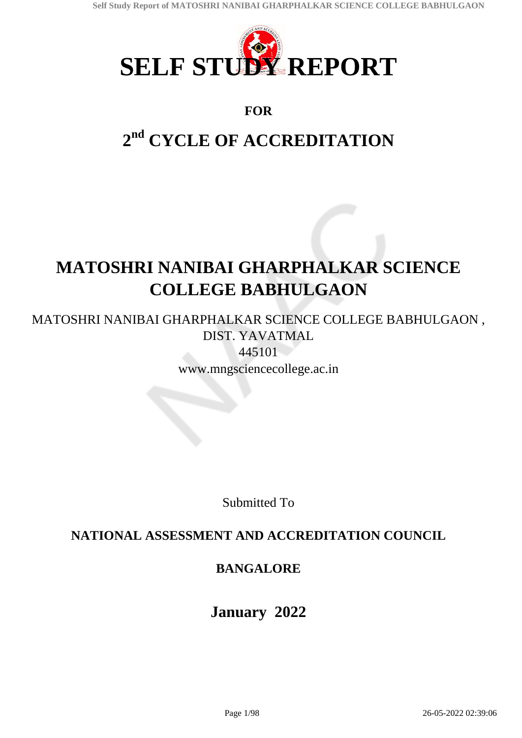

### **FOR**

# **2 nd CYCLE OF ACCREDITATION**

# **MATOSHRI NANIBAI GHARPHALKAR SCIENCE COLLEGE BABHULGAON**

MATOSHRI NANIBAI GHARPHALKAR SCIENCE COLLEGE BABHULGAON , DIST. YAVATMAL

445101 www.mngsciencecollege.ac.in

Submitted To

## **NATIONAL ASSESSMENT AND ACCREDITATION COUNCIL**

## **BANGALORE**

**January 2022**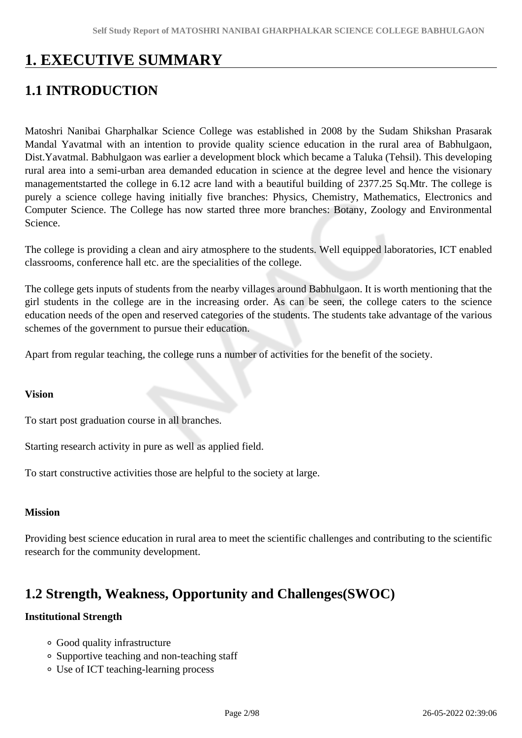# **1. EXECUTIVE SUMMARY**

# **1.1 INTRODUCTION**

Matoshri Nanibai Gharphalkar Science College was established in 2008 by the Sudam Shikshan Prasarak Mandal Yavatmal with an intention to provide quality science education in the rural area of Babhulgaon, Dist.Yavatmal. Babhulgaon was earlier a development block which became a Taluka (Tehsil). This developing rural area into a semi-urban area demanded education in science at the degree level and hence the visionary managementstarted the college in 6.12 acre land with a beautiful building of 2377.25 Sq.Mtr. The college is purely a science college having initially five branches: Physics, Chemistry, Mathematics, Electronics and Computer Science. The College has now started three more branches: Botany, Zoology and Environmental Science.

The college is providing a clean and airy atmosphere to the students. Well equipped laboratories, ICT enabled classrooms, conference hall etc. are the specialities of the college.

The college gets inputs of students from the nearby villages around Babhulgaon. It is worth mentioning that the girl students in the college are in the increasing order. As can be seen, the college caters to the science education needs of the open and reserved categories of the students. The students take advantage of the various schemes of the government to pursue their education.

Apart from regular teaching, the college runs a number of activities for the benefit of the society.

#### **Vision**

To start post graduation course in all branches.

Starting research activity in pure as well as applied field.

To start constructive activities those are helpful to the society at large.

#### **Mission**

Providing best science education in rural area to meet the scientific challenges and contributing to the scientific research for the community development.

## **1.2 Strength, Weakness, Opportunity and Challenges(SWOC)**

#### **Institutional Strength**

- Good quality infrastructure
- Supportive teaching and non-teaching staff
- Use of ICT teaching-learning process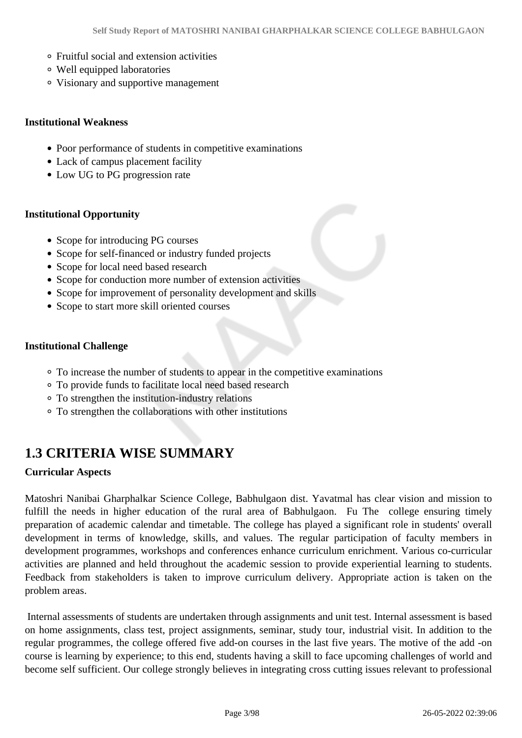- Fruitful social and extension activities
- Well equipped laboratories
- Visionary and supportive management

#### **Institutional Weakness**

- Poor performance of students in competitive examinations
- Lack of campus placement facility
- Low UG to PG progression rate

#### **Institutional Opportunity**

- Scope for introducing PG courses
- Scope for self-financed or industry funded projects
- Scope for local need based research
- Scope for conduction more number of extension activities
- Scope for improvement of personality development and skills
- Scope to start more skill oriented courses

#### **Institutional Challenge**

- To increase the number of students to appear in the competitive examinations
- To provide funds to facilitate local need based research
- To strengthen the institution-industry relations
- To strengthen the collaborations with other institutions

# **1.3 CRITERIA WISE SUMMARY**

#### **Curricular Aspects**

Matoshri Nanibai Gharphalkar Science College, Babhulgaon dist. Yavatmal has clear vision and mission to fulfill the needs in higher education of the rural area of Babhulgaon. Fu The college ensuring timely preparation of academic calendar and timetable. The college has played a significant role in students' overall development in terms of knowledge, skills, and values. The regular participation of faculty members in development programmes, workshops and conferences enhance curriculum enrichment. Various co-curricular activities are planned and held throughout the academic session to provide experiential learning to students. Feedback from stakeholders is taken to improve curriculum delivery. Appropriate action is taken on the problem areas.

 Internal assessments of students are undertaken through assignments and unit test. Internal assessment is based on home assignments, class test, project assignments, seminar, study tour, industrial visit. In addition to the regular programmes, the college offered five add-on courses in the last five years. The motive of the add -on course is learning by experience; to this end, students having a skill to face upcoming challenges of world and become self sufficient. Our college strongly believes in integrating cross cutting issues relevant to professional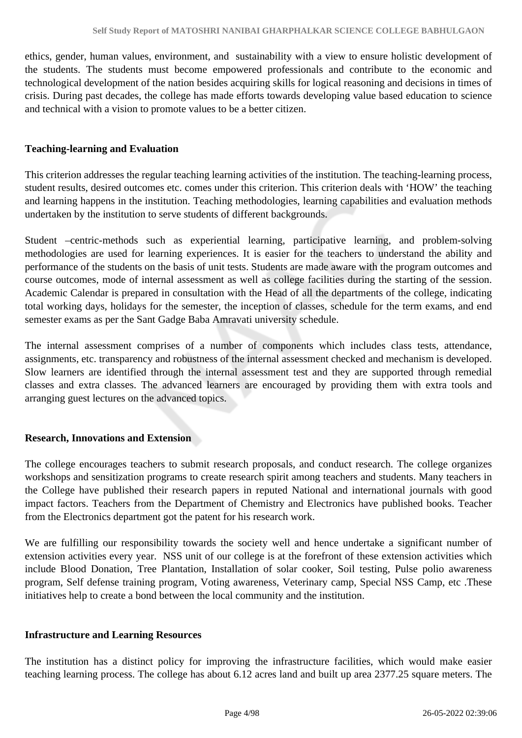ethics, gender, human values, environment, and sustainability with a view to ensure holistic development of the students. The students must become empowered professionals and contribute to the economic and technological development of the nation besides acquiring skills for logical reasoning and decisions in times of crisis. During past decades, the college has made efforts towards developing value based education to science and technical with a vision to promote values to be a better citizen.

#### **Teaching-learning and Evaluation**

This criterion addresses the regular teaching learning activities of the institution. The teaching-learning process, student results, desired outcomes etc. comes under this criterion. This criterion deals with 'HOW' the teaching and learning happens in the institution. Teaching methodologies, learning capabilities and evaluation methods undertaken by the institution to serve students of different backgrounds.

Student –centric-methods such as experiential learning, participative learning, and problem-solving methodologies are used for learning experiences. It is easier for the teachers to understand the ability and performance of the students on the basis of unit tests. Students are made aware with the program outcomes and course outcomes, mode of internal assessment as well as college facilities during the starting of the session. Academic Calendar is prepared in consultation with the Head of all the departments of the college, indicating total working days, holidays for the semester, the inception of classes, schedule for the term exams, and end semester exams as per the Sant Gadge Baba Amravati university schedule.

The internal assessment comprises of a number of components which includes class tests, attendance, assignments, etc. transparency and robustness of the internal assessment checked and mechanism is developed. Slow learners are identified through the internal assessment test and they are supported through remedial classes and extra classes. The advanced learners are encouraged by providing them with extra tools and arranging guest lectures on the advanced topics.

#### **Research, Innovations and Extension**

The college encourages teachers to submit research proposals, and conduct research. The college organizes workshops and sensitization programs to create research spirit among teachers and students. Many teachers in the College have published their research papers in reputed National and international journals with good impact factors. Teachers from the Department of Chemistry and Electronics have published books. Teacher from the Electronics department got the patent for his research work.

We are fulfilling our responsibility towards the society well and hence undertake a significant number of extension activities every year. NSS unit of our college is at the forefront of these extension activities which include Blood Donation, Tree Plantation, Installation of solar cooker, Soil testing, Pulse polio awareness program, Self defense training program, Voting awareness, Veterinary camp, Special NSS Camp, etc .These initiatives help to create a bond between the local community and the institution.

#### **Infrastructure and Learning Resources**

The institution has a distinct policy for improving the infrastructure facilities, which would make easier teaching learning process. The college has about 6.12 acres land and built up area 2377.25 square meters. The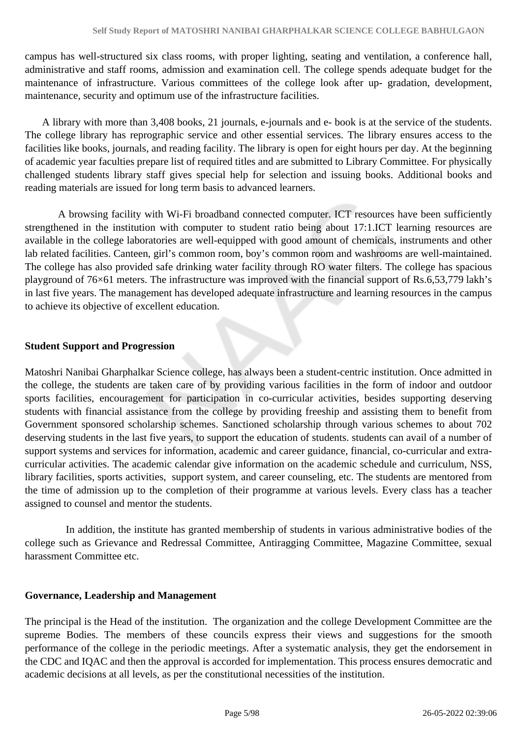campus has well-structured six class rooms, with proper lighting, seating and ventilation, a conference hall, administrative and staff rooms, admission and examination cell. The college spends adequate budget for the maintenance of infrastructure. Various committees of the college look after up- gradation, development, maintenance, security and optimum use of the infrastructure facilities.

 A library with more than 3,408 books, 21 journals, e-journals and e- book is at the service of the students. The college library has reprographic service and other essential services. The library ensures access to the facilities like books, journals, and reading facility. The library is open for eight hours per day. At the beginning of academic year faculties prepare list of required titles and are submitted to Library Committee. For physically challenged students library staff gives special help for selection and issuing books. Additional books and reading materials are issued for long term basis to advanced learners.

 A browsing facility with Wi-Fi broadband connected computer. ICT resources have been sufficiently strengthened in the institution with computer to student ratio being about 17:1.ICT learning resources are available in the college laboratories are well-equipped with good amount of chemicals, instruments and other lab related facilities. Canteen, girl's common room, boy's common room and washrooms are well-maintained. The college has also provided safe drinking water facility through RO water filters. The college has spacious playground of 76×61 meters. The infrastructure was improved with the financial support of Rs.6,53,779 lakh's in last five years. The management has developed adequate infrastructure and learning resources in the campus to achieve its objective of excellent education.

#### **Student Support and Progression**

Matoshri Nanibai Gharphalkar Science college, has always been a student-centric institution. Once admitted in the college, the students are taken care of by providing various facilities in the form of indoor and outdoor sports facilities, encouragement for participation in co-curricular activities, besides supporting deserving students with financial assistance from the college by providing freeship and assisting them to benefit from Government sponsored scholarship schemes. Sanctioned scholarship through various schemes to about 702 deserving students in the last five years, to support the education of students. students can avail of a number of support systems and services for information, academic and career guidance, financial, co-curricular and extracurricular activities. The academic calendar give information on the academic schedule and curriculum, NSS, library facilities, sports activities, support system, and career counseling, etc. The students are mentored from the time of admission up to the completion of their programme at various levels. Every class has a teacher assigned to counsel and mentor the students.

 In addition, the institute has granted membership of students in various administrative bodies of the college such as Grievance and Redressal Committee, Antiragging Committee, Magazine Committee, sexual harassment Committee etc.

#### **Governance, Leadership and Management**

The principal is the Head of the institution. The organization and the college Development Committee are the supreme Bodies. The members of these councils express their views and suggestions for the smooth performance of the college in the periodic meetings. After a systematic analysis, they get the endorsement in the CDC and IQAC and then the approval is accorded for implementation. This process ensures democratic and academic decisions at all levels, as per the constitutional necessities of the institution.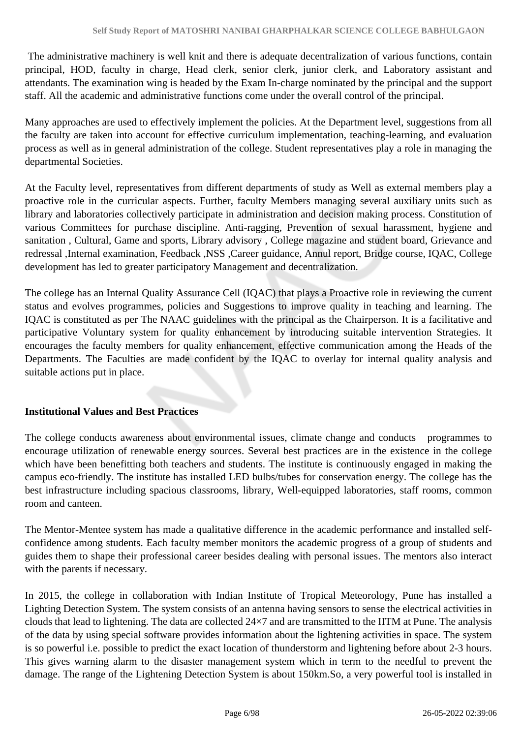The administrative machinery is well knit and there is adequate decentralization of various functions, contain principal, HOD, faculty in charge, Head clerk, senior clerk, junior clerk, and Laboratory assistant and attendants. The examination wing is headed by the Exam In-charge nominated by the principal and the support staff. All the academic and administrative functions come under the overall control of the principal.

Many approaches are used to effectively implement the policies. At the Department level, suggestions from all the faculty are taken into account for effective curriculum implementation, teaching-learning, and evaluation process as well as in general administration of the college. Student representatives play a role in managing the departmental Societies.

At the Faculty level, representatives from different departments of study as Well as external members play a proactive role in the curricular aspects. Further, faculty Members managing several auxiliary units such as library and laboratories collectively participate in administration and decision making process. Constitution of various Committees for purchase discipline. Anti-ragging, Prevention of sexual harassment, hygiene and sanitation , Cultural, Game and sports, Library advisory , College magazine and student board, Grievance and redressal ,Internal examination, Feedback ,NSS ,Career guidance, Annul report, Bridge course, IQAC, College development has led to greater participatory Management and decentralization.

The college has an Internal Quality Assurance Cell (IQAC) that plays a Proactive role in reviewing the current status and evolves programmes, policies and Suggestions to improve quality in teaching and learning. The IQAC is constituted as per The NAAC guidelines with the principal as the Chairperson. It is a facilitative and participative Voluntary system for quality enhancement by introducing suitable intervention Strategies. It encourages the faculty members for quality enhancement, effective communication among the Heads of the Departments. The Faculties are made confident by the IQAC to overlay for internal quality analysis and suitable actions put in place.

#### **Institutional Values and Best Practices**

The college conducts awareness about environmental issues, climate change and conducts programmes to encourage utilization of renewable energy sources. Several best practices are in the existence in the college which have been benefitting both teachers and students. The institute is continuously engaged in making the campus eco-friendly. The institute has installed LED bulbs/tubes for conservation energy. The college has the best infrastructure including spacious classrooms, library, Well-equipped laboratories, staff rooms, common room and canteen.

The Mentor-Mentee system has made a qualitative difference in the academic performance and installed selfconfidence among students. Each faculty member monitors the academic progress of a group of students and guides them to shape their professional career besides dealing with personal issues. The mentors also interact with the parents if necessary.

In 2015, the college in collaboration with Indian Institute of Tropical Meteorology, Pune has installed a Lighting Detection System. The system consists of an antenna having sensors to sense the electrical activities in clouds that lead to lightening. The data are collected 24×7 and are transmitted to the IITM at Pune. The analysis of the data by using special software provides information about the lightening activities in space. The system is so powerful i.e. possible to predict the exact location of thunderstorm and lightening before about 2-3 hours. This gives warning alarm to the disaster management system which in term to the needful to prevent the damage. The range of the Lightening Detection System is about 150km.So, a very powerful tool is installed in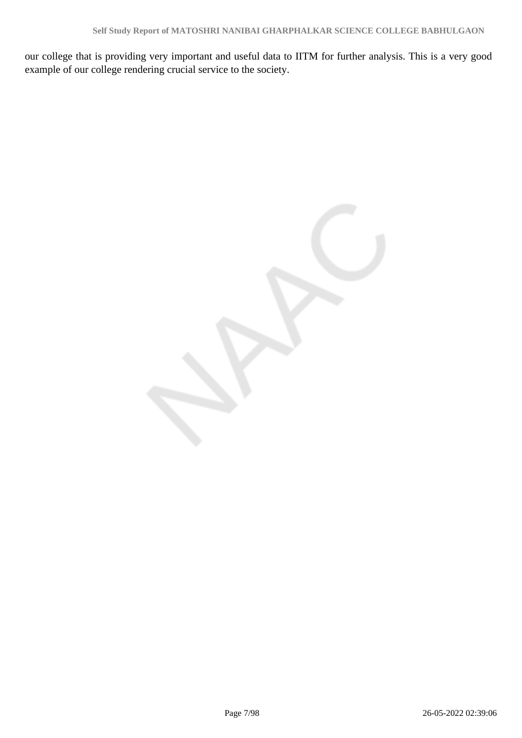our college that is providing very important and useful data to IITM for further analysis. This is a very good example of our college rendering crucial service to the society.

Page 7/98 26-05-2022 02:39:06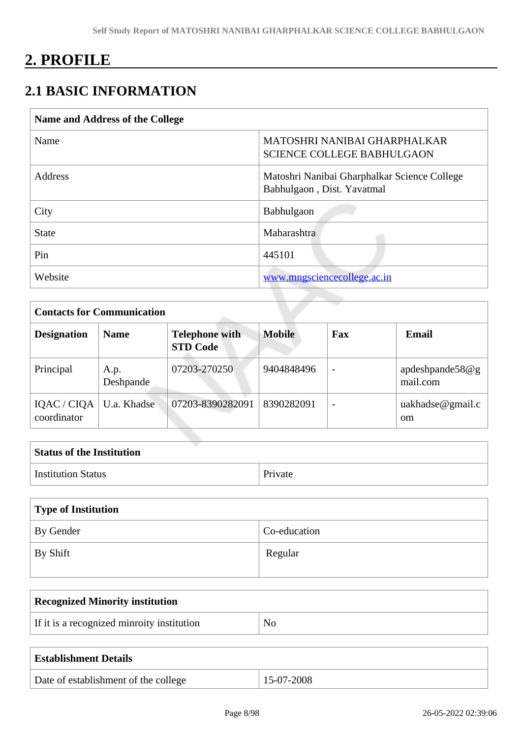# **2. PROFILE**

# **2.1 BASIC INFORMATION**

| Name and Address of the College |                                                                            |
|---------------------------------|----------------------------------------------------------------------------|
| Name                            | MATOSHRI NANIBAI GHARPHALKAR<br><b>SCIENCE COLLEGE BABHULGAON</b>          |
| <b>Address</b>                  | Matoshri Nanibai Gharphalkar Science College<br>Babhulgaon, Dist. Yavatmal |
| City                            | Babhulgaon                                                                 |
| <b>State</b>                    | Maharashtra                                                                |
| Pin                             | 445101                                                                     |
| Website                         | www.mngsciencecollege.ac.in                                                |

| <b>Contacts for Communication</b> |                   |                                          |               |                          |                                      |
|-----------------------------------|-------------------|------------------------------------------|---------------|--------------------------|--------------------------------------|
| <b>Designation</b>                | <b>Name</b>       | <b>Telephone with</b><br><b>STD Code</b> | <b>Mobile</b> | Fax                      | <b>Email</b>                         |
| Principal                         | A.p.<br>Deshpande | 07203-270250                             | 9404848496    | $\overline{\phantom{a}}$ | apdeshpande58 $@g$<br>mail.com       |
| IQAC / CIQA<br>coordinator        | U.a. Khadse       | 07203-8390282091                         | 8390282091    |                          | $u$ akhadse@gmail.c<br><sub>om</sub> |

| <b>Status of the Institution</b> |         |
|----------------------------------|---------|
| <b>Institution Status</b>        | Private |

| Type of Institution   |              |  |
|-----------------------|--------------|--|
| By Gender             | Co-education |  |
| $\mathsf{I}$ By Shift | Regular      |  |

| <b>Recognized Minority institution</b>     |    |  |
|--------------------------------------------|----|--|
| If it is a recognized minroity institution | No |  |
|                                            |    |  |

| <b>Establishment Details</b>         |            |
|--------------------------------------|------------|
| Date of establishment of the college | 15-07-2008 |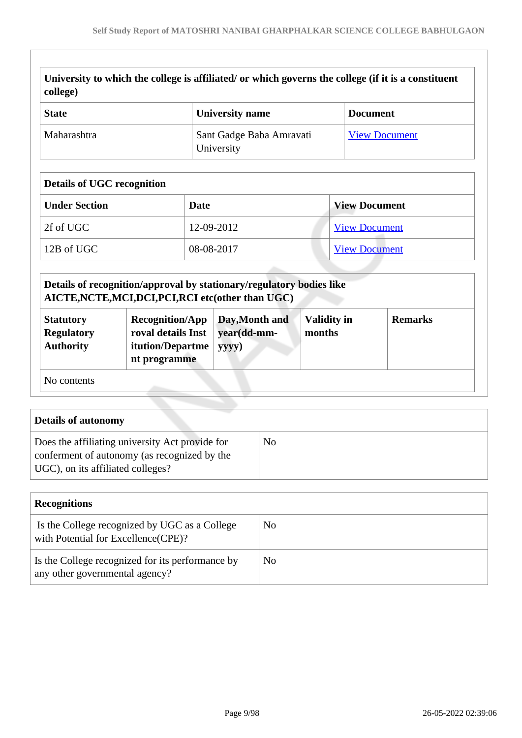| University to which the college is affiliated/ or which governs the college (if it is a constituent |
|-----------------------------------------------------------------------------------------------------|
| $\vert$ college)                                                                                    |

| <b>State</b> | University name                        | <b>Document</b>      |
|--------------|----------------------------------------|----------------------|
| Maharashtra  | Sant Gadge Baba Amravati<br>University | <b>View Document</b> |

### **Details of UGC recognition**

| <b>Under Section</b> | Date       | <b>View Document</b> |
|----------------------|------------|----------------------|
| 2f of UGC            | 12-09-2012 | <b>View Document</b> |
| 12B of UGC           | 08-08-2017 | <b>View Document</b> |

|                                                           | Details of recognition/approval by stationary/regulatory bodies like<br>AICTE, NCTE, MCI, DCI, PCI, RCI etc(other than UGC) |                                        |                              |                |
|-----------------------------------------------------------|-----------------------------------------------------------------------------------------------------------------------------|----------------------------------------|------------------------------|----------------|
| <b>Statutory</b><br><b>Regulatory</b><br><b>Authority</b> | <b>Recognition/App</b><br>roval details Inst<br>itution/Departme<br>nt programme                                            | Day, Month and<br>year(dd-mm-<br>yyyy) | <b>Validity in</b><br>months | <b>Remarks</b> |
| No contents                                               |                                                                                                                             |                                        |                              |                |

| Details of autonomy                                                                                                                  |    |
|--------------------------------------------------------------------------------------------------------------------------------------|----|
| Does the affiliating university Act provide for<br>conferment of autonomy (as recognized by the<br>UGC), on its affiliated colleges? | No |

| <b>Recognitions</b>                                                                  |     |
|--------------------------------------------------------------------------------------|-----|
| Is the College recognized by UGC as a College<br>with Potential for Excellence(CPE)? | No  |
| Is the College recognized for its performance by<br>any other governmental agency?   | No. |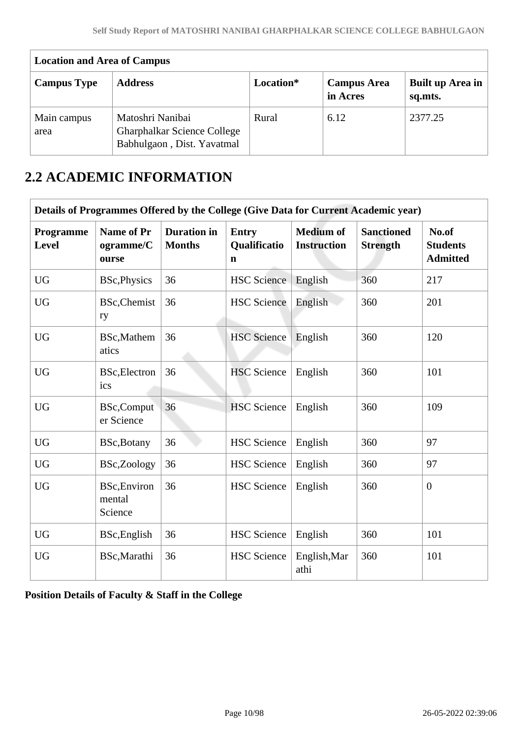| <b>Location and Area of Campus</b> |                                                                                      |           |                                |                             |  |  |  |
|------------------------------------|--------------------------------------------------------------------------------------|-----------|--------------------------------|-----------------------------|--|--|--|
| <b>Campus Type</b>                 | <b>Address</b>                                                                       | Location* | <b>Campus Area</b><br>in Acres | Built up Area in<br>sq.mts. |  |  |  |
| Main campus<br>area                | Matoshri Nanibai<br><b>Gharphalkar Science College</b><br>Babhulgaon, Dist. Yavatmal | Rural     | 6.12                           | 2377.25                     |  |  |  |

# **2.2 ACADEMIC INFORMATION**

|                    | Details of Programmes Offered by the College (Give Data for Current Academic year) |                                     |                                             |                                        |                                      |                                             |  |  |
|--------------------|------------------------------------------------------------------------------------|-------------------------------------|---------------------------------------------|----------------------------------------|--------------------------------------|---------------------------------------------|--|--|
| Programme<br>Level | Name of Pr<br>ogramme/C<br>ourse                                                   | <b>Duration</b> in<br><b>Months</b> | <b>Entry</b><br>Qualificatio<br>$\mathbf n$ | <b>Medium of</b><br><b>Instruction</b> | <b>Sanctioned</b><br><b>Strength</b> | No.of<br><b>Students</b><br><b>Admitted</b> |  |  |
| <b>UG</b>          | <b>BSc, Physics</b>                                                                | 36                                  | <b>HSC</b> Science                          | English                                | 360                                  | 217                                         |  |  |
| <b>UG</b>          | BSc, Chemist<br>ry                                                                 | 36                                  | <b>HSC</b> Science                          | English                                | 360                                  | 201                                         |  |  |
| <b>UG</b>          | BSc, Mathem<br>atics                                                               | 36                                  | <b>HSC</b> Science                          | English                                | 360                                  | 120                                         |  |  |
| <b>UG</b>          | <b>BSc, Electron</b><br>ics                                                        | 36                                  | <b>HSC</b> Science                          | English                                | 360                                  | 101                                         |  |  |
| <b>UG</b>          | <b>BSc,Comput</b><br>er Science                                                    | 36                                  | <b>HSC</b> Science                          | English                                | 360                                  | 109                                         |  |  |
| <b>UG</b>          | BSc, Botany                                                                        | 36                                  | <b>HSC</b> Science                          | English                                | 360                                  | 97                                          |  |  |
| <b>UG</b>          | BSc,Zoology                                                                        | 36                                  | <b>HSC</b> Science                          | English                                | 360                                  | 97                                          |  |  |
| <b>UG</b>          | <b>BSc, Environ</b><br>mental<br>Science                                           | 36                                  | <b>HSC</b> Science                          | English                                | 360                                  | $\boldsymbol{0}$                            |  |  |
| <b>UG</b>          | BSc, English                                                                       | 36                                  | <b>HSC</b> Science                          | English                                | 360                                  | 101                                         |  |  |
| <b>UG</b>          | BSc, Marathi                                                                       | 36                                  | <b>HSC</b> Science                          | English, Mar<br>athi                   | 360                                  | 101                                         |  |  |

**Position Details of Faculty & Staff in the College**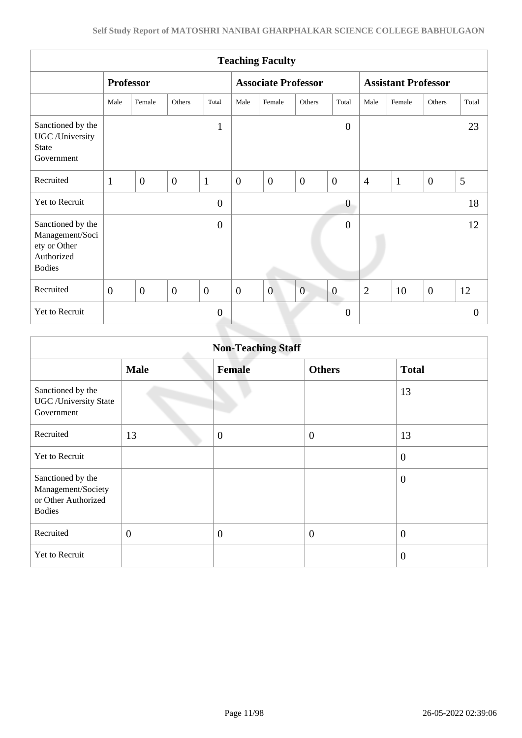|                                                                                     |                  |                |                  |                  |                | <b>Teaching Faculty</b>    |                |                       |                            |              |                |                |
|-------------------------------------------------------------------------------------|------------------|----------------|------------------|------------------|----------------|----------------------------|----------------|-----------------------|----------------------------|--------------|----------------|----------------|
|                                                                                     | <b>Professor</b> |                |                  |                  |                | <b>Associate Professor</b> |                |                       | <b>Assistant Professor</b> |              |                |                |
|                                                                                     | Male             | Female         | Others           | Total            | Male           | Female                     | Others         | Total                 | Male                       | Female       | Others         | Total          |
| Sanctioned by the<br>UGC /University<br><b>State</b><br>Government                  |                  |                |                  | $\mathbf{1}$     |                |                            |                | $\boldsymbol{0}$      |                            |              |                | 23             |
| Recruited                                                                           | $\mathbf{1}$     | $\overline{0}$ | $\boldsymbol{0}$ | $\mathbf{1}$     | $\overline{0}$ | $\overline{0}$             | $\overline{0}$ | $\overline{0}$        | $\overline{4}$             | $\mathbf{1}$ | $\overline{0}$ | 5              |
| Yet to Recruit                                                                      |                  |                |                  | $\mathbf{0}$     |                |                            |                | $\boldsymbol{0}$      |                            |              |                | 18             |
| Sanctioned by the<br>Management/Soci<br>ety or Other<br>Authorized<br><b>Bodies</b> |                  |                |                  | $\mathbf{0}$     |                |                            |                | $\overline{0}$        |                            |              |                | 12             |
| Recruited                                                                           | $\overline{0}$   | $\overline{0}$ | $\overline{0}$   | $\mathbf{0}$     | $\overline{0}$ | $\overline{0}$             | $\overline{0}$ | $\boldsymbol{0}$      | $\overline{2}$             | 10           | $\overline{0}$ | 12             |
| Yet to Recruit                                                                      |                  |                |                  | $\boldsymbol{0}$ |                |                            |                | a d<br>$\overline{0}$ |                            |              |                | $\overline{0}$ |
|                                                                                     |                  |                |                  |                  |                |                            |                |                       |                            |              |                |                |

|                                                                                 | <b>Non-Teaching Staff</b> |                |                  |                  |  |  |  |  |
|---------------------------------------------------------------------------------|---------------------------|----------------|------------------|------------------|--|--|--|--|
|                                                                                 | <b>Male</b>               | <b>Female</b>  | <b>Others</b>    | <b>Total</b>     |  |  |  |  |
| Sanctioned by the<br><b>UGC</b> / University State<br>Government                |                           |                |                  | 13               |  |  |  |  |
| Recruited                                                                       | 13                        | $\mathbf{0}$   | $\boldsymbol{0}$ | 13               |  |  |  |  |
| Yet to Recruit                                                                  |                           |                |                  | $\overline{0}$   |  |  |  |  |
| Sanctioned by the<br>Management/Society<br>or Other Authorized<br><b>Bodies</b> |                           |                |                  | $\theta$         |  |  |  |  |
| Recruited                                                                       | $\overline{0}$            | $\overline{0}$ | $\overline{0}$   | $\boldsymbol{0}$ |  |  |  |  |
| Yet to Recruit                                                                  |                           |                |                  | $\overline{0}$   |  |  |  |  |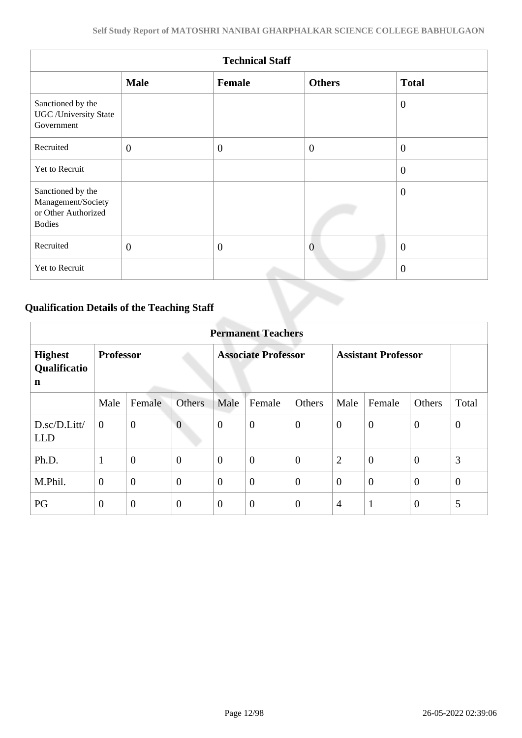|                                                                                 | <b>Technical Staff</b> |                  |                |                |  |  |  |  |
|---------------------------------------------------------------------------------|------------------------|------------------|----------------|----------------|--|--|--|--|
|                                                                                 | <b>Male</b>            | Female           | <b>Others</b>  | <b>Total</b>   |  |  |  |  |
| Sanctioned by the<br><b>UGC</b> / University State<br>Government                |                        |                  |                | $\overline{0}$ |  |  |  |  |
| Recruited                                                                       | $\overline{0}$         | $\boldsymbol{0}$ | $\overline{0}$ | $\mathbf{0}$   |  |  |  |  |
| Yet to Recruit                                                                  |                        |                  |                | $\overline{0}$ |  |  |  |  |
| Sanctioned by the<br>Management/Society<br>or Other Authorized<br><b>Bodies</b> |                        |                  |                | $\overline{0}$ |  |  |  |  |
| Recruited                                                                       | $\mathbf{0}$           | $\boldsymbol{0}$ | $\overline{0}$ | $\overline{0}$ |  |  |  |  |
| Yet to Recruit                                                                  |                        |                  |                | $\theta$       |  |  |  |  |

### **Qualification Details of the Teaching Staff**

|                                     | <b>Permanent Teachers</b> |                  |                            |                |                  |                            |                |                |                |                |
|-------------------------------------|---------------------------|------------------|----------------------------|----------------|------------------|----------------------------|----------------|----------------|----------------|----------------|
| <b>Highest</b><br>Qualificatio<br>n | <b>Professor</b>          |                  | <b>Associate Professor</b> |                |                  | <b>Assistant Professor</b> |                |                |                |                |
|                                     | Male                      | Female           | <b>Others</b>              | Male           | Female           | Others                     | Male           | Female         | Others         | Total          |
| D.sc/D.Litt/<br><b>LLD</b>          | $\overline{0}$            | $\overline{0}$   | $\overline{0}$             | $\mathbf{0}$   | $\boldsymbol{0}$ | $\overline{0}$             | $\theta$       | $\overline{0}$ | $\overline{0}$ | $\mathbf{0}$   |
| Ph.D.                               | 1                         | $\boldsymbol{0}$ | $\overline{0}$             | $\overline{0}$ | $\overline{0}$   | $\overline{0}$             | 2              | $\overline{0}$ | $\overline{0}$ | 3              |
| M.Phil.                             | $\boldsymbol{0}$          | $\overline{0}$   | $\overline{0}$             | $\overline{0}$ | $\overline{0}$   | $\overline{0}$             | $\overline{0}$ | $\overline{0}$ | $\overline{0}$ | $\overline{0}$ |
| PG                                  | $\overline{0}$            | $\overline{0}$   | $\overline{0}$             | $\overline{0}$ | $\overline{0}$   | $\overline{0}$             | $\overline{4}$ | $\mathbf{1}$   | $\overline{0}$ | 5              |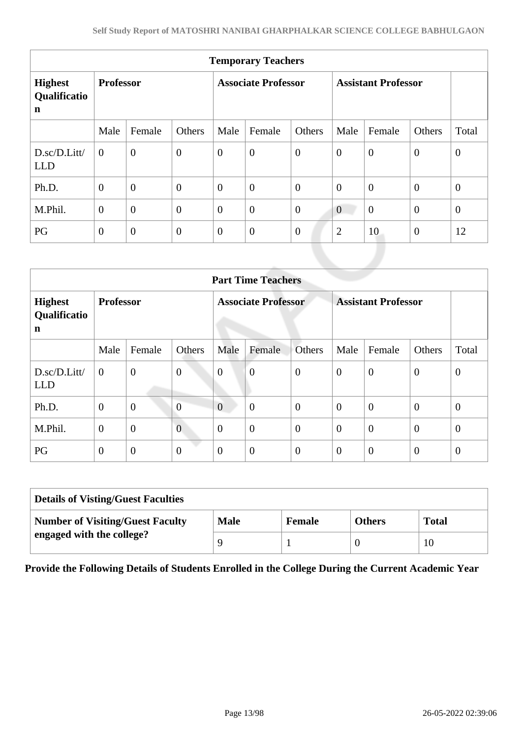| <b>Temporary Teachers</b>                     |                  |                  |                            |              |                  |                            |                |                |                  |                  |
|-----------------------------------------------|------------------|------------------|----------------------------|--------------|------------------|----------------------------|----------------|----------------|------------------|------------------|
| <b>Highest</b><br>Qualificatio<br>$\mathbf n$ | <b>Professor</b> |                  | <b>Associate Professor</b> |              |                  | <b>Assistant Professor</b> |                |                |                  |                  |
|                                               | Male             | Female           | Others                     | Male         | Female           | Others                     | Male           | Female         | Others           | Total            |
| D.sc/D.Litt/<br><b>LLD</b>                    | $\mathbf{0}$     | $\overline{0}$   | $\boldsymbol{0}$           | $\mathbf{0}$ | $\boldsymbol{0}$ | $\overline{0}$             | $\mathbf{0}$   | $\mathbf{0}$   | $\overline{0}$   | $\boldsymbol{0}$ |
| Ph.D.                                         | $\theta$         | $\boldsymbol{0}$ | $\overline{0}$             | $\theta$     | $\overline{0}$   | $\mathbf{0}$               | $\theta$       | $\mathbf{0}$   | $\mathbf{0}$     | $\theta$         |
| M.Phil.                                       | $\overline{0}$   | $\boldsymbol{0}$ | $\overline{0}$             | $\mathbf{0}$ | $\theta$         | $\overline{0}$             | $\theta$       | $\overline{0}$ | $\boldsymbol{0}$ | $\mathbf{0}$     |
| PG                                            | $\boldsymbol{0}$ | $\boldsymbol{0}$ | $\boldsymbol{0}$           | $\mathbf{0}$ | $\boldsymbol{0}$ | $\mathbf{0}$               | $\overline{2}$ | 10             | $\overline{0}$   | 12               |
|                                               |                  |                  |                            |              |                  |                            |                |                |                  |                  |

| <b>Part Time Teachers</b>           |                  |                  |                            |                  |                  |                            |                |                  |                  |                  |
|-------------------------------------|------------------|------------------|----------------------------|------------------|------------------|----------------------------|----------------|------------------|------------------|------------------|
| <b>Highest</b><br>Qualificatio<br>n | <b>Professor</b> |                  | <b>Associate Professor</b> |                  |                  | <b>Assistant Professor</b> |                |                  |                  |                  |
|                                     | Male             | Female           | Others                     | Male             | Female           | Others                     | Male           | Female           | Others           | Total            |
| D.sc/D.Litt/<br><b>LLD</b>          | $\mathbf{0}$     | $\overline{0}$   | $\boldsymbol{0}$           | $\boldsymbol{0}$ | $\overline{0}$   | $\boldsymbol{0}$           | $\overline{0}$ | $\theta$         | $\mathbf{0}$     | $\boldsymbol{0}$ |
| Ph.D.                               | $\boldsymbol{0}$ | $\boldsymbol{0}$ | $\overline{0}$             | $\overline{0}$   | $\overline{0}$   | $\overline{0}$             | $\theta$       | $\boldsymbol{0}$ | $\theta$         | $\theta$         |
| M.Phil.                             | $\mathbf{0}$     | $\overline{0}$   | $\overline{0}$             | $\overline{0}$   | $\overline{0}$   | $\overline{0}$             | $\overline{0}$ | $\overline{0}$   | $\overline{0}$   | $\theta$         |
| PG                                  | $\mathbf{0}$     | $\mathbf{0}$     | $\boldsymbol{0}$           | $\overline{0}$   | $\boldsymbol{0}$ | $\theta$                   | $\overline{0}$ | $\overline{0}$   | $\boldsymbol{0}$ | $\theta$         |

| <b>Details of Visting/Guest Faculties</b> |             |               |               |              |  |  |
|-------------------------------------------|-------------|---------------|---------------|--------------|--|--|
| <b>Number of Visiting/Guest Faculty</b>   | <b>Male</b> | <b>Female</b> | <b>Others</b> | <b>Total</b> |  |  |
| engaged with the college?                 |             |               |               | 10           |  |  |

**Provide the Following Details of Students Enrolled in the College During the Current Academic Year**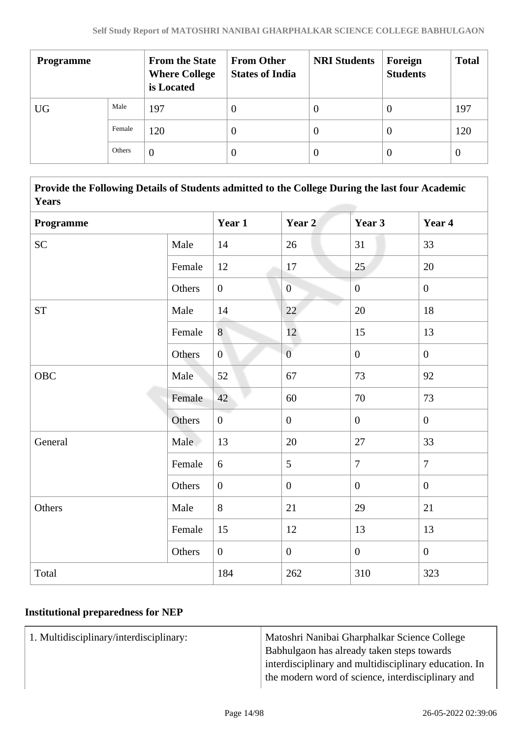| <b>Programme</b> |        | <b>From the State</b><br><b>Where College</b><br>is Located | <b>From Other</b><br><b>States of India</b> | <b>NRI Students</b> | Foreign<br><b>Students</b> | <b>Total</b> |
|------------------|--------|-------------------------------------------------------------|---------------------------------------------|---------------------|----------------------------|--------------|
| <b>UG</b>        | Male   | 197                                                         | 0                                           | O                   | <b>U</b>                   | 197          |
|                  | Female | 120                                                         |                                             | $\theta$            | 0                          | 120          |
|                  | Others | $\theta$                                                    |                                             | $\theta$            | 0                          | $\theta$     |

 **Provide the Following Details of Students admitted to the College During the last four Academic Years**

| Programme |        | Year 1           | Year 2           | Year 3           | Year 4           |  |  |  |
|-----------|--------|------------------|------------------|------------------|------------------|--|--|--|
| <b>SC</b> | Male   | 14               | 26               | 31               | 33               |  |  |  |
|           | Female | 12               | 17               | 25               | 20               |  |  |  |
|           | Others | $\overline{0}$   | $\overline{0}$   | $\overline{0}$   | $\overline{0}$   |  |  |  |
| <b>ST</b> | Male   | $14\,$           | 22               | 20               | 18               |  |  |  |
|           | Female | 8                | 12               | 15               | 13               |  |  |  |
|           | Others | $\boldsymbol{0}$ | $\overline{0}$   | $\overline{0}$   | $\mathbf{0}$     |  |  |  |
| OBC       | Male   | 52               | 67               | 73               | 92               |  |  |  |
|           | Female | 42               | 60               | 70               | 73               |  |  |  |
|           | Others | $\overline{0}$   | $\boldsymbol{0}$ | $\boldsymbol{0}$ | $\boldsymbol{0}$ |  |  |  |
| General   | Male   | 13               | $20\,$           | $27\,$           | 33               |  |  |  |
|           | Female | $6\,$            | 5                | $\tau$           | $\overline{7}$   |  |  |  |
|           | Others | $\overline{0}$   | $\boldsymbol{0}$ | $\boldsymbol{0}$ | $\boldsymbol{0}$ |  |  |  |
| Others    | Male   | 8                | 21               | 29               | 21               |  |  |  |
|           | Female | 15               | 12               | 13               | 13               |  |  |  |
|           | Others | $\overline{0}$   | $\mathbf{0}$     | $\overline{0}$   | $\mathbf{0}$     |  |  |  |
| Total     |        | 184              | 262              | 310              | 323              |  |  |  |

#### **Institutional preparedness for NEP**

1. Multidisciplinary/interdisciplinary: Matoshri Nanibai Gharphalkar Science College Babhulgaon has already taken steps towards interdisciplinary and multidisciplinary education. In the modern word of science, interdisciplinary and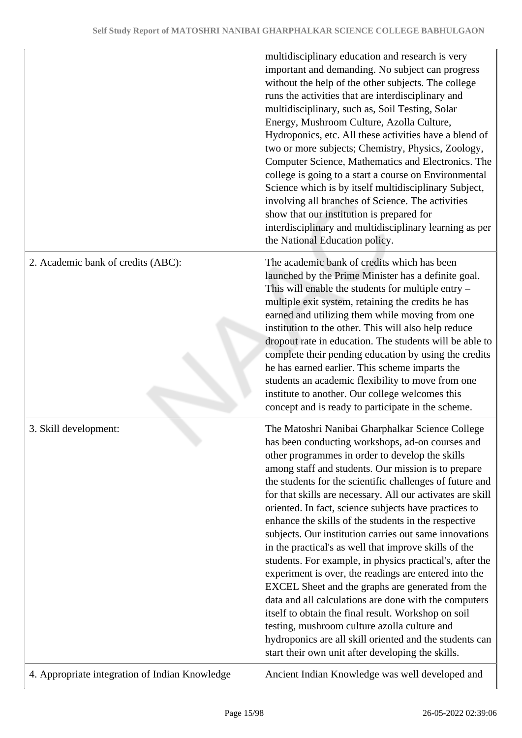|                                                | multidisciplinary education and research is very<br>important and demanding. No subject can progress<br>without the help of the other subjects. The college<br>runs the activities that are interdisciplinary and<br>multidisciplinary, such as, Soil Testing, Solar<br>Energy, Mushroom Culture, Azolla Culture,<br>Hydroponics, etc. All these activities have a blend of<br>two or more subjects; Chemistry, Physics, Zoology,<br>Computer Science, Mathematics and Electronics. The<br>college is going to a start a course on Environmental<br>Science which is by itself multidisciplinary Subject,<br>involving all branches of Science. The activities<br>show that our institution is prepared for<br>interdisciplinary and multidisciplinary learning as per<br>the National Education policy.                                                                                                                                                                                                                               |
|------------------------------------------------|----------------------------------------------------------------------------------------------------------------------------------------------------------------------------------------------------------------------------------------------------------------------------------------------------------------------------------------------------------------------------------------------------------------------------------------------------------------------------------------------------------------------------------------------------------------------------------------------------------------------------------------------------------------------------------------------------------------------------------------------------------------------------------------------------------------------------------------------------------------------------------------------------------------------------------------------------------------------------------------------------------------------------------------|
| 2. Academic bank of credits (ABC):             | The academic bank of credits which has been<br>launched by the Prime Minister has a definite goal.<br>This will enable the students for multiple entry $-$<br>multiple exit system, retaining the credits he has<br>earned and utilizing them while moving from one<br>institution to the other. This will also help reduce<br>dropout rate in education. The students will be able to<br>complete their pending education by using the credits<br>he has earned earlier. This scheme imparts the<br>students an academic flexibility to move from one<br>institute to another. Our college welcomes this<br>concept and is ready to participate in the scheme.                                                                                                                                                                                                                                                                                                                                                                        |
| 3. Skill development:                          | The Matoshri Nanibai Gharphalkar Science College<br>has been conducting workshops, ad-on courses and<br>other programmes in order to develop the skills<br>among staff and students. Our mission is to prepare<br>the students for the scientific challenges of future and<br>for that skills are necessary. All our activates are skill<br>oriented. In fact, science subjects have practices to<br>enhance the skills of the students in the respective<br>subjects. Our institution carries out same innovations<br>in the practical's as well that improve skills of the<br>students. For example, in physics practical's, after the<br>experiment is over, the readings are entered into the<br>EXCEL Sheet and the graphs are generated from the<br>data and all calculations are done with the computers<br>itself to obtain the final result. Workshop on soil<br>testing, mushroom culture azolla culture and<br>hydroponics are all skill oriented and the students can<br>start their own unit after developing the skills. |
| 4. Appropriate integration of Indian Knowledge | Ancient Indian Knowledge was well developed and                                                                                                                                                                                                                                                                                                                                                                                                                                                                                                                                                                                                                                                                                                                                                                                                                                                                                                                                                                                        |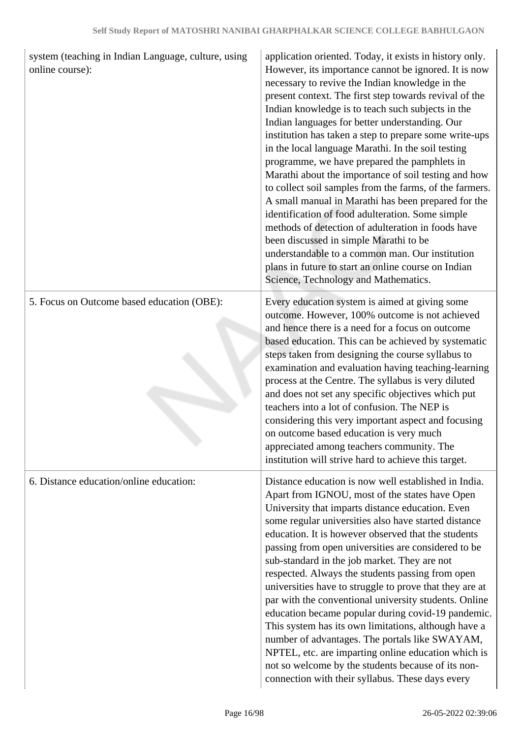| system (teaching in Indian Language, culture, using<br>online course): | application oriented. Today, it exists in history only.<br>However, its importance cannot be ignored. It is now<br>necessary to revive the Indian knowledge in the<br>present context. The first step towards revival of the<br>Indian knowledge is to teach such subjects in the<br>Indian languages for better understanding. Our<br>institution has taken a step to prepare some write-ups<br>in the local language Marathi. In the soil testing<br>programme, we have prepared the pamphlets in<br>Marathi about the importance of soil testing and how<br>to collect soil samples from the farms, of the farmers.<br>A small manual in Marathi has been prepared for the<br>identification of food adulteration. Some simple<br>methods of detection of adulteration in foods have<br>been discussed in simple Marathi to be<br>understandable to a common man. Our institution<br>plans in future to start an online course on Indian<br>Science, Technology and Mathematics. |
|------------------------------------------------------------------------|-------------------------------------------------------------------------------------------------------------------------------------------------------------------------------------------------------------------------------------------------------------------------------------------------------------------------------------------------------------------------------------------------------------------------------------------------------------------------------------------------------------------------------------------------------------------------------------------------------------------------------------------------------------------------------------------------------------------------------------------------------------------------------------------------------------------------------------------------------------------------------------------------------------------------------------------------------------------------------------|
| 5. Focus on Outcome based education (OBE):                             | Every education system is aimed at giving some<br>outcome. However, 100% outcome is not achieved<br>and hence there is a need for a focus on outcome<br>based education. This can be achieved by systematic<br>steps taken from designing the course syllabus to<br>examination and evaluation having teaching-learning<br>process at the Centre. The syllabus is very diluted<br>and does not set any specific objectives which put<br>teachers into a lot of confusion. The NEP is<br>considering this very important aspect and focusing<br>on outcome based education is very much<br>appreciated among teachers community. The<br>institution will strive hard to achieve this target.                                                                                                                                                                                                                                                                                         |
| 6. Distance education/online education:                                | Distance education is now well established in India.<br>Apart from IGNOU, most of the states have Open<br>University that imparts distance education. Even<br>some regular universities also have started distance<br>education. It is however observed that the students<br>passing from open universities are considered to be<br>sub-standard in the job market. They are not<br>respected. Always the students passing from open<br>universities have to struggle to prove that they are at<br>par with the conventional university students. Online<br>education became popular during covid-19 pandemic.<br>This system has its own limitations, although have a<br>number of advantages. The portals like SWAYAM,<br>NPTEL, etc. are imparting online education which is<br>not so welcome by the students because of its non-<br>connection with their syllabus. These days every                                                                                           |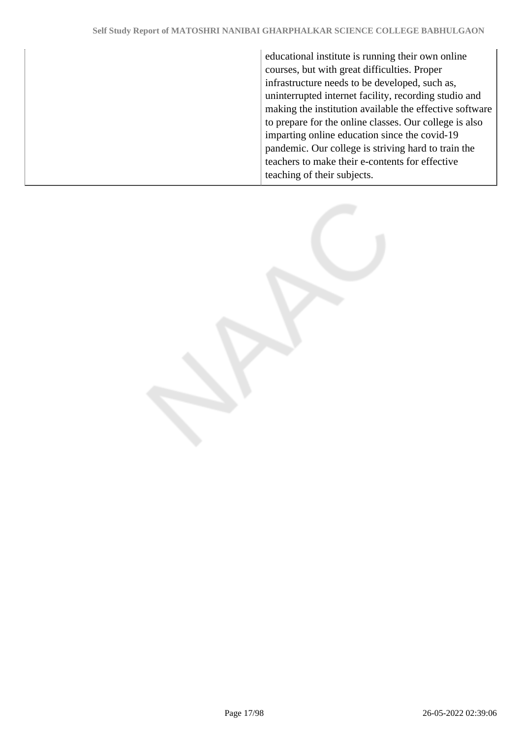educational institute is running their own online courses, but with great difficulties. Proper infrastructure needs to be developed, such as, uninterrupted internet facility, recording studio and making the institution available the effective software to prepare for the online classes. Our college is also imparting online education since the covid-19 pandemic. Our college is striving hard to train the teachers to make their e-contents for effective teaching of their subjects.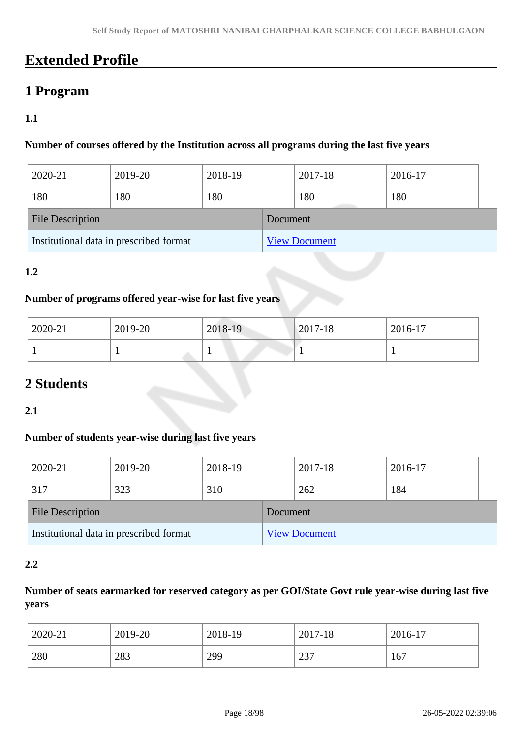# **Extended Profile**

## **1 Program**

#### **1.1**

#### **Number of courses offered by the Institution across all programs during the last five years**

| 2020-21                                 | 2019-20 | 2018-19  |                      | 2017-18 | 2016-17 |  |
|-----------------------------------------|---------|----------|----------------------|---------|---------|--|
| 180                                     | 180     | 180      |                      | 180     | 180     |  |
| <b>File Description</b>                 |         | Document |                      |         |         |  |
| Institutional data in prescribed format |         |          | <b>View Document</b> |         |         |  |

#### **1.2**

#### **Number of programs offered year-wise for last five years**

| 2020-21 | 2019-20 | 2018-19 | $ 2017 - 18 $ | 2016-17 |
|---------|---------|---------|---------------|---------|
|         |         |         |               |         |

## **2 Students**

**2.1**

#### **Number of students year-wise during last five years**

| 2020-21                                 | 2019-20 | 2018-19  |                      | 2017-18 | 2016-17 |  |
|-----------------------------------------|---------|----------|----------------------|---------|---------|--|
| 317                                     | 323     | 310      |                      | 262     | 184     |  |
| <b>File Description</b>                 |         | Document |                      |         |         |  |
| Institutional data in prescribed format |         |          | <b>View Document</b> |         |         |  |

#### **2.2**

#### **Number of seats earmarked for reserved category as per GOI/State Govt rule year-wise during last five years**

| 2020-21 | 2019-20 | 2018-19 | 2017-18 | 2016-17 |
|---------|---------|---------|---------|---------|
| 280     | 283     | 299     | 237     | 167     |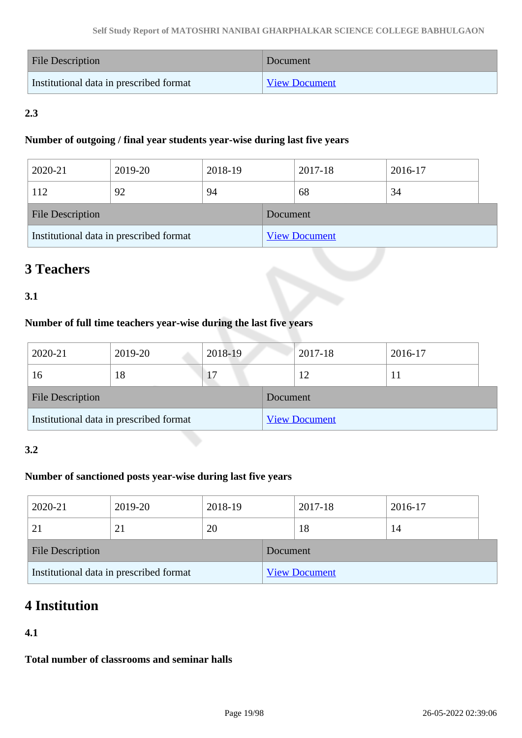| File Description                        | Document             |
|-----------------------------------------|----------------------|
| Institutional data in prescribed format | <b>View Document</b> |

### **2.3**

#### **Number of outgoing / final year students year-wise during last five years**

| 2020-21                                 | 2019-20 | 2018-19  |                      | 2017-18 | 2016-17 |  |
|-----------------------------------------|---------|----------|----------------------|---------|---------|--|
| 112                                     | 92      | 94       |                      | 68      | 34      |  |
| <b>File Description</b>                 |         | Document |                      |         |         |  |
| Institutional data in prescribed format |         |          | <b>View Document</b> |         |         |  |

# **3 Teachers**

#### **3.1**

#### **Number of full time teachers year-wise during the last five years**

| 2020-21                                 | 2019-20 | 2018-19  |                      | 2017-18 | 2016-17 |  |
|-----------------------------------------|---------|----------|----------------------|---------|---------|--|
| 16                                      | 18      |          |                      | 12      |         |  |
| <b>File Description</b>                 |         | Document |                      |         |         |  |
| Institutional data in prescribed format |         |          | <b>View Document</b> |         |         |  |

#### **3.2**

#### **Number of sanctioned posts year-wise during last five years**

| 2020-21                                 | 2019-20 | 2018-19  |                      | 2017-18 | 2016-17 |  |
|-----------------------------------------|---------|----------|----------------------|---------|---------|--|
|                                         | 21      | 20       |                      | 18      | 14      |  |
| <b>File Description</b>                 |         | Document |                      |         |         |  |
| Institutional data in prescribed format |         |          | <b>View Document</b> |         |         |  |

# **4 Institution**

#### **4.1**

**Total number of classrooms and seminar halls**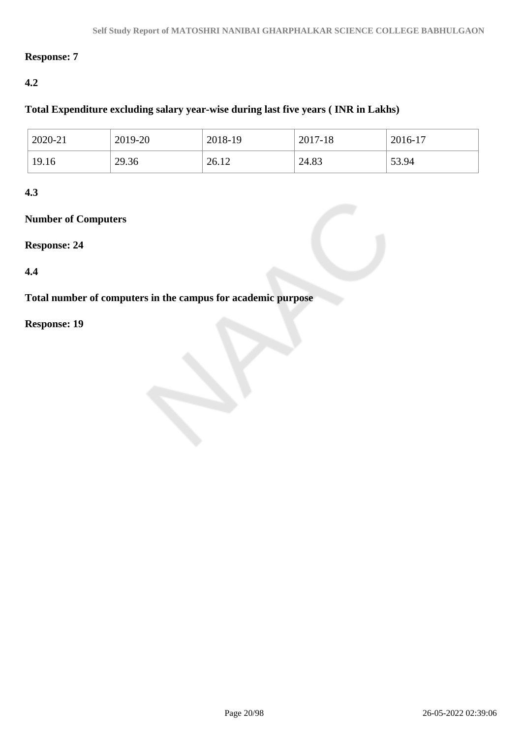#### **Response: 7**

#### **4.2**

### **Total Expenditure excluding salary year-wise during last five years ( INR in Lakhs)**

| 2020-21 | 2019-20 | 2018-19 | 2017-18 | 2016-17 |
|---------|---------|---------|---------|---------|
| 19.16   | 29.36   | 26.12   | 24.83   | 53.94   |

#### **4.3**

#### **Number of Computers**

#### **Response: 24**

#### **4.4**

**Total number of computers in the campus for academic purpose**

#### **Response: 19**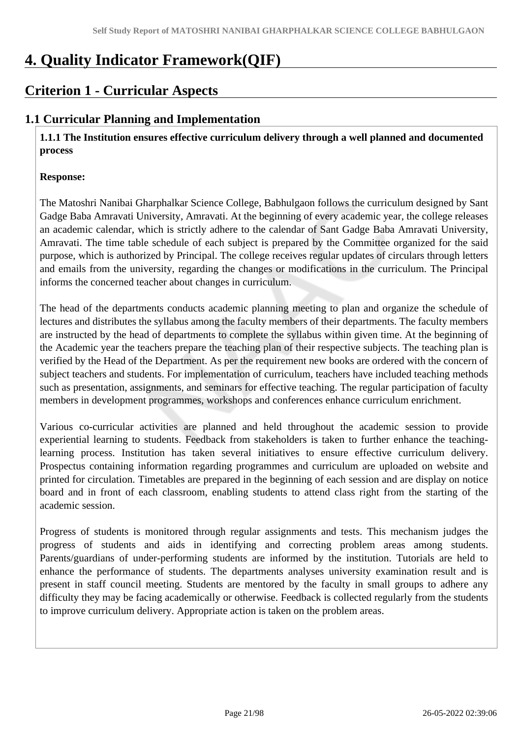# **4. Quality Indicator Framework(QIF)**

# **Criterion 1 - Curricular Aspects**

### **1.1 Curricular Planning and Implementation**

 **1.1.1 The Institution ensures effective curriculum delivery through a well planned and documented process**

#### **Response:**

The Matoshri Nanibai Gharphalkar Science College, Babhulgaon follows the curriculum designed by Sant Gadge Baba Amravati University, Amravati. At the beginning of every academic year, the college releases an academic calendar, which is strictly adhere to the calendar of Sant Gadge Baba Amravati University, Amravati. The time table schedule of each subject is prepared by the Committee organized for the said purpose, which is authorized by Principal. The college receives regular updates of circulars through letters and emails from the university, regarding the changes or modifications in the curriculum. The Principal informs the concerned teacher about changes in curriculum.

The head of the departments conducts academic planning meeting to plan and organize the schedule of lectures and distributes the syllabus among the faculty members of their departments. The faculty members are instructed by the head of departments to complete the syllabus within given time. At the beginning of the Academic year the teachers prepare the teaching plan of their respective subjects. The teaching plan is verified by the Head of the Department. As per the requirement new books are ordered with the concern of subject teachers and students. For implementation of curriculum, teachers have included teaching methods such as presentation, assignments, and seminars for effective teaching. The regular participation of faculty members in development programmes, workshops and conferences enhance curriculum enrichment.

Various co-curricular activities are planned and held throughout the academic session to provide experiential learning to students. Feedback from stakeholders is taken to further enhance the teachinglearning process. Institution has taken several initiatives to ensure effective curriculum delivery. Prospectus containing information regarding programmes and curriculum are uploaded on website and printed for circulation. Timetables are prepared in the beginning of each session and are display on notice board and in front of each classroom, enabling students to attend class right from the starting of the academic session.

Progress of students is monitored through regular assignments and tests. This mechanism judges the progress of students and aids in identifying and correcting problem areas among students. Parents/guardians of under-performing students are informed by the institution. Tutorials are held to enhance the performance of students. The departments analyses university examination result and is present in staff council meeting. Students are mentored by the faculty in small groups to adhere any difficulty they may be facing academically or otherwise. Feedback is collected regularly from the students to improve curriculum delivery. Appropriate action is taken on the problem areas.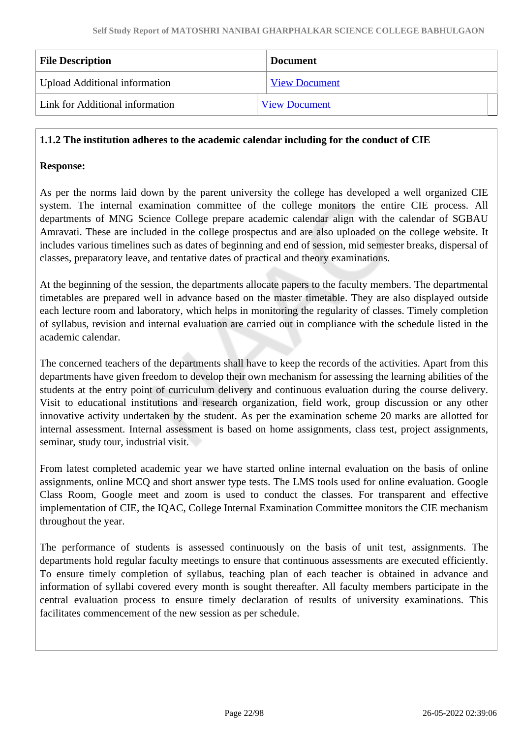| <b>File Description</b>              | <b>Document</b>      |
|--------------------------------------|----------------------|
| <b>Upload Additional information</b> | <b>View Document</b> |
| Link for Additional information      | <b>View Document</b> |

#### **1.1.2 The institution adheres to the academic calendar including for the conduct of CIE**

#### **Response:**

As per the norms laid down by the parent university the college has developed a well organized CIE system. The internal examination committee of the college monitors the entire CIE process. All departments of MNG Science College prepare academic calendar align with the calendar of SGBAU Amravati. These are included in the college prospectus and are also uploaded on the college website. It includes various timelines such as dates of beginning and end of session, mid semester breaks, dispersal of classes, preparatory leave, and tentative dates of practical and theory examinations.

At the beginning of the session, the departments allocate papers to the faculty members. The departmental timetables are prepared well in advance based on the master timetable. They are also displayed outside each lecture room and laboratory, which helps in monitoring the regularity of classes. Timely completion of syllabus, revision and internal evaluation are carried out in compliance with the schedule listed in the academic calendar.

The concerned teachers of the departments shall have to keep the records of the activities. Apart from this departments have given freedom to develop their own mechanism for assessing the learning abilities of the students at the entry point of curriculum delivery and continuous evaluation during the course delivery. Visit to educational institutions and research organization, field work, group discussion or any other innovative activity undertaken by the student. As per the examination scheme 20 marks are allotted for internal assessment. Internal assessment is based on home assignments, class test, project assignments, seminar, study tour, industrial visit.

From latest completed academic year we have started online internal evaluation on the basis of online assignments, online MCQ and short answer type tests. The LMS tools used for online evaluation. Google Class Room, Google meet and zoom is used to conduct the classes. For transparent and effective implementation of CIE, the IQAC, College Internal Examination Committee monitors the CIE mechanism throughout the year.

The performance of students is assessed continuously on the basis of unit test, assignments. The departments hold regular faculty meetings to ensure that continuous assessments are executed efficiently. To ensure timely completion of syllabus, teaching plan of each teacher is obtained in advance and information of syllabi covered every month is sought thereafter. All faculty members participate in the central evaluation process to ensure timely declaration of results of university examinations. This facilitates commencement of the new session as per schedule.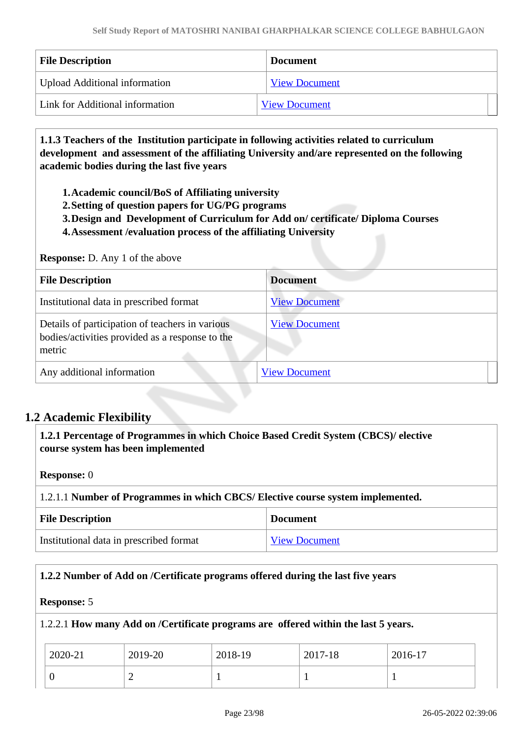| <b>File Description</b>              | <b>Document</b>      |
|--------------------------------------|----------------------|
| <b>Upload Additional information</b> | <b>View Document</b> |
| Link for Additional information      | <b>View Document</b> |

 **1.1.3 Teachers of the Institution participate in following activities related to curriculum development and assessment of the affiliating University and/are represented on the following academic bodies during the last five years** 

**1.Academic council/BoS of Affiliating university**

- **2.Setting of question papers for UG/PG programs**
- **3.Design and Development of Curriculum for Add on/ certificate/ Diploma Courses**
- **4.Assessment /evaluation process of the affiliating University**

#### **Response:** D. Any 1 of the above

| <b>File Description</b>                                                                                      | <b>Document</b>      |
|--------------------------------------------------------------------------------------------------------------|----------------------|
| Institutional data in prescribed format                                                                      | <b>View Document</b> |
| Details of participation of teachers in various<br>bodies/activities provided as a response to the<br>metric | <b>View Document</b> |
| Any additional information                                                                                   | <b>View Document</b> |

#### **1.2 Academic Flexibility**

 **1.2.1 Percentage of Programmes in which Choice Based Credit System (CBCS)/ elective course system has been implemented** 

**Response:** 0

1.2.1.1 **Number of Programmes in which CBCS/ Elective course system implemented.**

| <b>File Description</b>                 | <b>Document</b>      |
|-----------------------------------------|----------------------|
| Institutional data in prescribed format | <b>View Document</b> |

#### **1.2.2 Number of Add on /Certificate programs offered during the last five years**

#### **Response:** 5

1.2.2.1 **How many Add on /Certificate programs are offered within the last 5 years.**

| 2020-21 | 2019-20 | 2018-19 | 2017-18 | 2016-17 |
|---------|---------|---------|---------|---------|
|         | -       |         |         |         |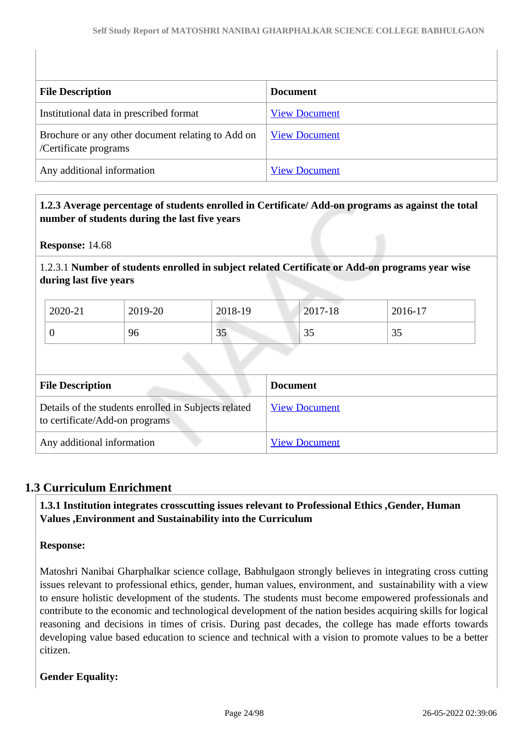| <b>File Description</b>                                                    | <b>Document</b>      |
|----------------------------------------------------------------------------|----------------------|
| Institutional data in prescribed format                                    | <b>View Document</b> |
| Brochure or any other document relating to Add on<br>/Certificate programs | <b>View Document</b> |
| Any additional information                                                 | <b>View Document</b> |

#### **1.2.3 Average percentage of students enrolled in Certificate/ Add-on programs as against the total number of students during the last five years**

**Response:** 14.68

1.2.3.1 **Number of students enrolled in subject related Certificate or Add-on programs year wise during last five years**

| 2020-21 | 2019-20 | 2018-19 | $2017 - 18$ | 2016-17 |
|---------|---------|---------|-------------|---------|
|         | 96      | 35      | 35          | ູ       |

| <b>File Description</b>                                                                | <b>Document</b>      |
|----------------------------------------------------------------------------------------|----------------------|
| Details of the students enrolled in Subjects related<br>to certificate/Add-on programs | <b>View Document</b> |
| Any additional information                                                             | <b>View Document</b> |

### **1.3 Curriculum Enrichment**

 **1.3.1 Institution integrates crosscutting issues relevant to Professional Ethics ,Gender, Human Values ,Environment and Sustainability into the Curriculum**

#### **Response:**

Matoshri Nanibai Gharphalkar science collage, Babhulgaon strongly believes in integrating cross cutting issues relevant to professional ethics, gender, human values, environment, and sustainability with a view to ensure holistic development of the students. The students must become empowered professionals and contribute to the economic and technological development of the nation besides acquiring skills for logical reasoning and decisions in times of crisis. During past decades, the college has made efforts towards developing value based education to science and technical with a vision to promote values to be a better citizen.

#### **Gender Equality:**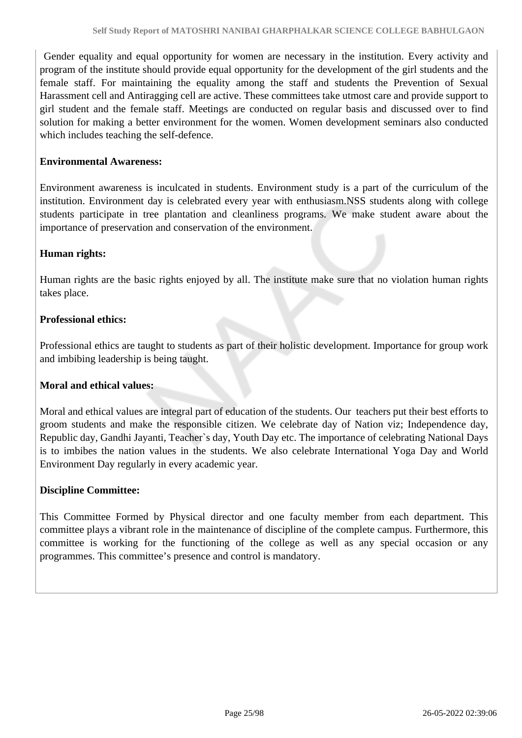Gender equality and equal opportunity for women are necessary in the institution. Every activity and program of the institute should provide equal opportunity for the development of the girl students and the female staff. For maintaining the equality among the staff and students the Prevention of Sexual Harassment cell and Antiragging cell are active. These committees take utmost care and provide support to girl student and the female staff. Meetings are conducted on regular basis and discussed over to find solution for making a better environment for the women. Women development seminars also conducted which includes teaching the self-defence.

#### **Environmental Awareness:**

Environment awareness is inculcated in students. Environment study is a part of the curriculum of the institution. Environment day is celebrated every year with enthusiasm.NSS students along with college students participate in tree plantation and cleanliness programs. We make student aware about the importance of preservation and conservation of the environment.

#### **Human rights:**

Human rights are the basic rights enjoyed by all. The institute make sure that no violation human rights takes place.

#### **Professional ethics:**

Professional ethics are taught to students as part of their holistic development. Importance for group work and imbibing leadership is being taught.

#### **Moral and ethical values:**

Moral and ethical values are integral part of education of the students. Our teachers put their best efforts to groom students and make the responsible citizen. We celebrate day of Nation viz; Independence day, Republic day, Gandhi Jayanti, Teacher`s day, Youth Day etc. The importance of celebrating National Days is to imbibes the nation values in the students. We also celebrate International Yoga Day and World Environment Day regularly in every academic year.

#### **Discipline Committee:**

This Committee Formed by Physical director and one faculty member from each department. This committee plays a vibrant role in the maintenance of discipline of the complete campus. Furthermore, this committee is working for the functioning of the college as well as any special occasion or any programmes. This committee's presence and control is mandatory.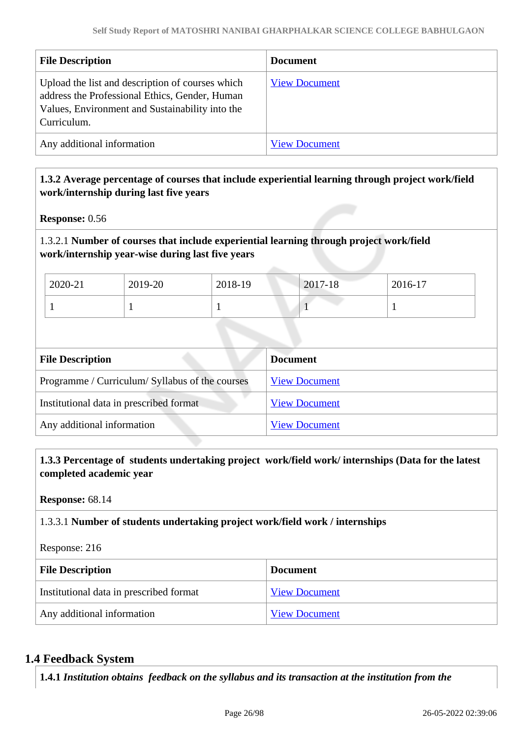| <b>File Description</b>                                                                                                                                              | <b>Document</b>      |
|----------------------------------------------------------------------------------------------------------------------------------------------------------------------|----------------------|
| Upload the list and description of courses which<br>address the Professional Ethics, Gender, Human<br>Values, Environment and Sustainability into the<br>Curriculum. | <b>View Document</b> |
| Any additional information                                                                                                                                           | <b>View Document</b> |

#### **1.3.2 Average percentage of courses that include experiential learning through project work/field work/internship during last five years**

**Response:** 0.56

#### 1.3.2.1 **Number of courses that include experiential learning through project work/field work/internship year-wise during last five years**

| 2020-21 | 2019-20 | 2018-19 | 2017-18 | 2016-17 |
|---------|---------|---------|---------|---------|
|         |         |         |         |         |

| <b>File Description</b>                         | <b>Document</b>      |
|-------------------------------------------------|----------------------|
| Programme / Curriculum/ Syllabus of the courses | <b>View Document</b> |
| Institutional data in prescribed format         | <b>View Document</b> |
| Any additional information                      | <b>View Document</b> |

 **1.3.3 Percentage of students undertaking project work/field work/ internships (Data for the latest completed academic year**

**Response:** 68.14

#### 1.3.3.1 **Number of students undertaking project work/field work / internships**

Response: 216

| <b>File Description</b>                 | <b>Document</b>      |
|-----------------------------------------|----------------------|
| Institutional data in prescribed format | <b>View Document</b> |
| Any additional information              | <b>View Document</b> |

#### **1.4 Feedback System**

**1.4.1** *Institution obtains feedback on the syllabus and its transaction at the institution from the*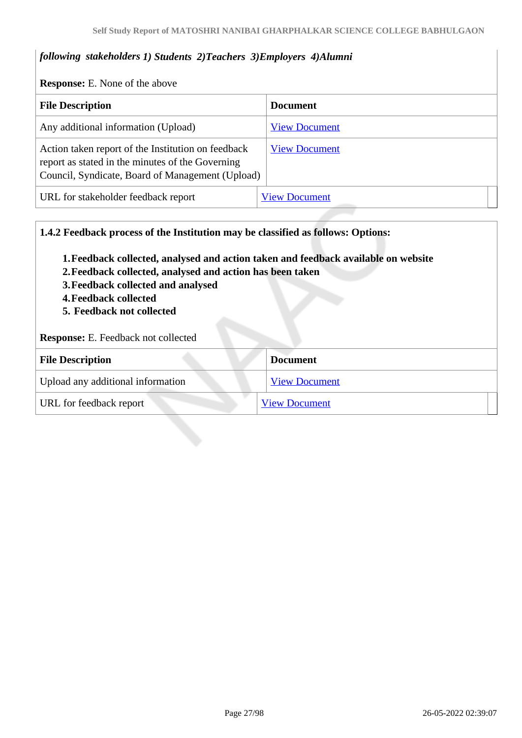#### *following stakeholders 1) Students 2)Teachers 3)Employers 4)Alumni*

**Response:** E. None of the above

| <b>File Description</b>                                                                                                                                    | <b>Document</b>      |  |
|------------------------------------------------------------------------------------------------------------------------------------------------------------|----------------------|--|
| Any additional information (Upload)                                                                                                                        | <b>View Document</b> |  |
| Action taken report of the Institution on feedback<br>report as stated in the minutes of the Governing<br>Council, Syndicate, Board of Management (Upload) | <b>View Document</b> |  |
| URL for stakeholder feedback report                                                                                                                        | <b>View Document</b> |  |

**1.4.2 Feedback process of the Institution may be classified as follows: Options:**

- **1.Feedback collected, analysed and action taken and feedback available on website**
- **2.Feedback collected, analysed and action has been taken**
- **3.Feedback collected and analysed**
- **4.Feedback collected**
- **5. Feedback not collected**

**Response:** E. Feedback not collected

| <b>File Description</b>           | <b>Document</b>      |
|-----------------------------------|----------------------|
| Upload any additional information | <b>View Document</b> |
| URL for feedback report           | <b>View Document</b> |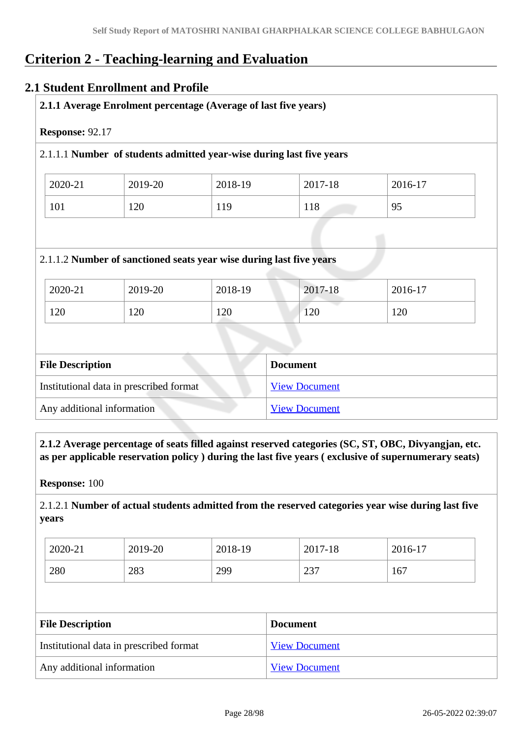# **Criterion 2 - Teaching-learning and Evaluation**

#### **2.1 Student Enrollment and Profile**

| 2.1.1 Average Enrolment percentage (Average of last five years) |         |                                                                      |                 |         |
|-----------------------------------------------------------------|---------|----------------------------------------------------------------------|-----------------|---------|
| Response: 92.17                                                 |         |                                                                      |                 |         |
|                                                                 |         | 2.1.1.1 Number of students admitted year-wise during last five years |                 |         |
| 2020-21                                                         | 2019-20 | 2018-19                                                              | 2017-18         | 2016-17 |
| 101                                                             | 120     | 119                                                                  | 118             | 95      |
|                                                                 |         | 2.1.1.2 Number of sanctioned seats year wise during last five years  |                 |         |
| 2020-21                                                         | 2019-20 | 2018-19                                                              | 2017-18         | 2016-17 |
| 120                                                             | 120     | 120                                                                  | 120             | 120     |
|                                                                 |         |                                                                      |                 |         |
| <b>File Description</b>                                         |         |                                                                      | <b>Document</b> |         |

| msututional data in prescribed format | VICW DOCUMENT |
|---------------------------------------|---------------|
| Any additional information            | View Document |
|                                       |               |

 **2.1.2 Average percentage of seats filled against reserved categories (SC, ST, OBC, Divyangjan, etc. as per applicable reservation policy ) during the last five years ( exclusive of supernumerary seats)**

**Response:** 100

2.1.2.1 **Number of actual students admitted from the reserved categories year wise during last five years**

| 2020-21 | 2019-20 | 2018-19 | 2017-18 | 2016-17 |
|---------|---------|---------|---------|---------|
| 280     | 283     | 299     | 237     | 167     |

| <b>File Description</b>                 | <b>Document</b>      |
|-----------------------------------------|----------------------|
| Institutional data in prescribed format | <b>View Document</b> |
| Any additional information              | <b>View Document</b> |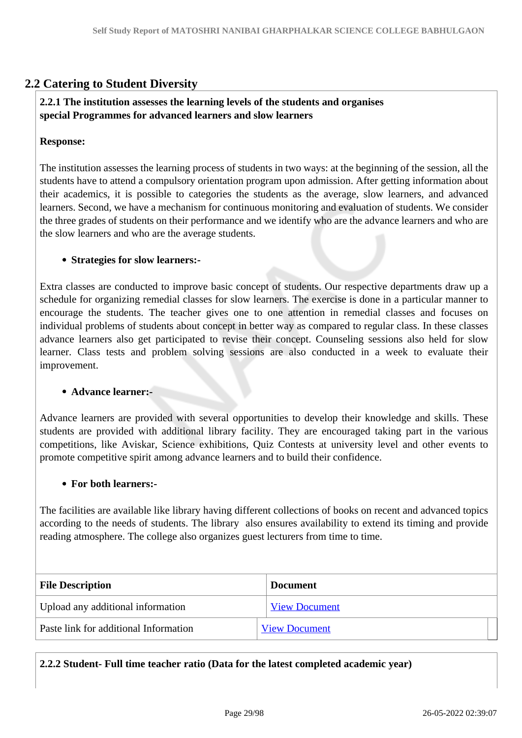### **2.2 Catering to Student Diversity**

#### **2.2.1 The institution assesses the learning levels of the students and organises special Programmes for advanced learners and slow learners**

#### **Response:**

The institution assesses the learning process of students in two ways: at the beginning of the session, all the students have to attend a compulsory orientation program upon admission. After getting information about their academics, it is possible to categories the students as the average, slow learners, and advanced learners. Second, we have a mechanism for continuous monitoring and evaluation of students. We consider the three grades of students on their performance and we identify who are the advance learners and who are the slow learners and who are the average students.

#### **Strategies for slow learners:-**

Extra classes are conducted to improve basic concept of students. Our respective departments draw up a schedule for organizing remedial classes for slow learners. The exercise is done in a particular manner to encourage the students. The teacher gives one to one attention in remedial classes and focuses on individual problems of students about concept in better way as compared to regular class. In these classes advance learners also get participated to revise their concept. Counseling sessions also held for slow learner. Class tests and problem solving sessions are also conducted in a week to evaluate their improvement.

#### **Advance learner:-**

Advance learners are provided with several opportunities to develop their knowledge and skills. These students are provided with additional library facility. They are encouraged taking part in the various competitions, like Aviskar, Science exhibitions, Quiz Contests at university level and other events to promote competitive spirit among advance learners and to build their confidence.

#### **For both learners:-**

The facilities are available like library having different collections of books on recent and advanced topics according to the needs of students. The library also ensures availability to extend its timing and provide reading atmosphere. The college also organizes guest lecturers from time to time.

| <b>File Description</b>               | <b>Document</b>      |
|---------------------------------------|----------------------|
| Upload any additional information     | <b>View Document</b> |
| Paste link for additional Information | <b>View Document</b> |

**2.2.2 Student- Full time teacher ratio (Data for the latest completed academic year)**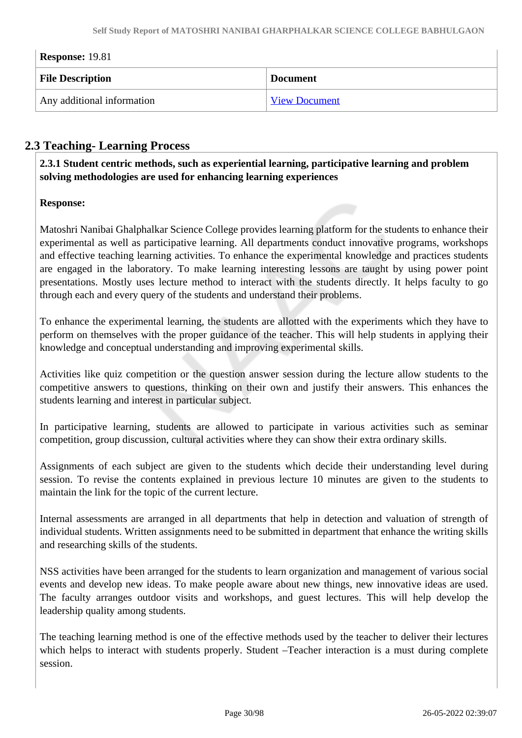| <b>Response: 19.81</b>     |                      |  |
|----------------------------|----------------------|--|
| <b>File Description</b>    | <b>Document</b>      |  |
| Any additional information | <b>View Document</b> |  |

### **2.3 Teaching- Learning Process**

 **2.3.1 Student centric methods, such as experiential learning, participative learning and problem solving methodologies are used for enhancing learning experiences**

#### **Response:**

Matoshri Nanibai Ghalphalkar Science College provides learning platform for the students to enhance their experimental as well as participative learning. All departments conduct innovative programs, workshops and effective teaching learning activities. To enhance the experimental knowledge and practices students are engaged in the laboratory. To make learning interesting lessons are taught by using power point presentations. Mostly uses lecture method to interact with the students directly. It helps faculty to go through each and every query of the students and understand their problems.

To enhance the experimental learning, the students are allotted with the experiments which they have to perform on themselves with the proper guidance of the teacher. This will help students in applying their knowledge and conceptual understanding and improving experimental skills.

Activities like quiz competition or the question answer session during the lecture allow students to the competitive answers to questions, thinking on their own and justify their answers. This enhances the students learning and interest in particular subject.

In participative learning, students are allowed to participate in various activities such as seminar competition, group discussion, cultural activities where they can show their extra ordinary skills.

Assignments of each subject are given to the students which decide their understanding level during session. To revise the contents explained in previous lecture 10 minutes are given to the students to maintain the link for the topic of the current lecture.

Internal assessments are arranged in all departments that help in detection and valuation of strength of individual students. Written assignments need to be submitted in department that enhance the writing skills and researching skills of the students.

NSS activities have been arranged for the students to learn organization and management of various social events and develop new ideas. To make people aware about new things, new innovative ideas are used. The faculty arranges outdoor visits and workshops, and guest lectures. This will help develop the leadership quality among students.

The teaching learning method is one of the effective methods used by the teacher to deliver their lectures which helps to interact with students properly. Student –Teacher interaction is a must during complete session.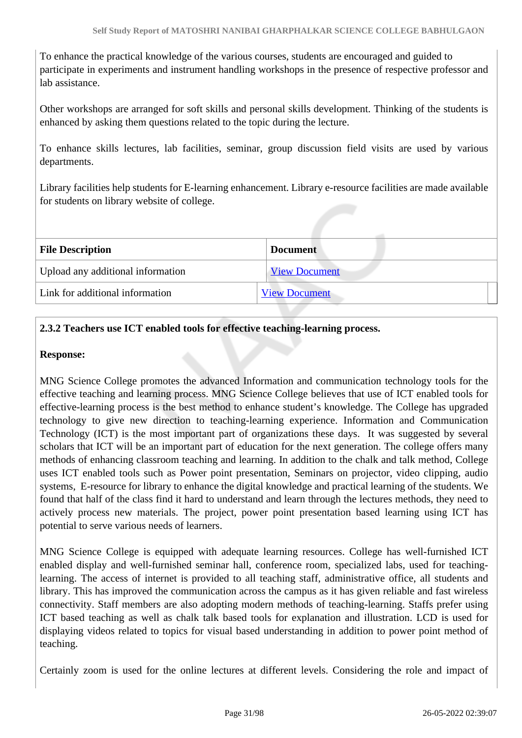To enhance the practical knowledge of the various courses, students are encouraged and guided to participate in experiments and instrument handling workshops in the presence of respective professor and lab assistance.

Other workshops are arranged for soft skills and personal skills development. Thinking of the students is enhanced by asking them questions related to the topic during the lecture.

To enhance skills lectures, lab facilities, seminar, group discussion field visits are used by various departments.

Library facilities help students for E-learning enhancement. Library e-resource facilities are made available for students on library website of college.

| <b>File Description</b>           | <b>Document</b>      |
|-----------------------------------|----------------------|
| Upload any additional information | <b>View Document</b> |
| Link for additional information   | <b>View Document</b> |

#### **2.3.2 Teachers use ICT enabled tools for effective teaching-learning process.**

#### **Response:**

MNG Science College promotes the advanced Information and communication technology tools for the effective teaching and learning process. MNG Science College believes that use of ICT enabled tools for effective-learning process is the best method to enhance student's knowledge. The College has upgraded technology to give new direction to teaching-learning experience. Information and Communication Technology (ICT) is the most important part of organizations these days. It was suggested by several scholars that ICT will be an important part of education for the next generation. The college offers many methods of enhancing classroom teaching and learning. In addition to the chalk and talk method, College uses ICT enabled tools such as Power point presentation, Seminars on projector, video clipping, audio systems, E-resource for library to enhance the digital knowledge and practical learning of the students. We found that half of the class find it hard to understand and learn through the lectures methods, they need to actively process new materials. The project, power point presentation based learning using ICT has potential to serve various needs of learners.

MNG Science College is equipped with adequate learning resources. College has well-furnished ICT enabled display and well-furnished seminar hall, conference room, specialized labs, used for teachinglearning. The access of internet is provided to all teaching staff, administrative office, all students and library. This has improved the communication across the campus as it has given reliable and fast wireless connectivity. Staff members are also adopting modern methods of teaching-learning. Staffs prefer using ICT based teaching as well as chalk talk based tools for explanation and illustration. LCD is used for displaying videos related to topics for visual based understanding in addition to power point method of teaching.

Certainly zoom is used for the online lectures at different levels. Considering the role and impact of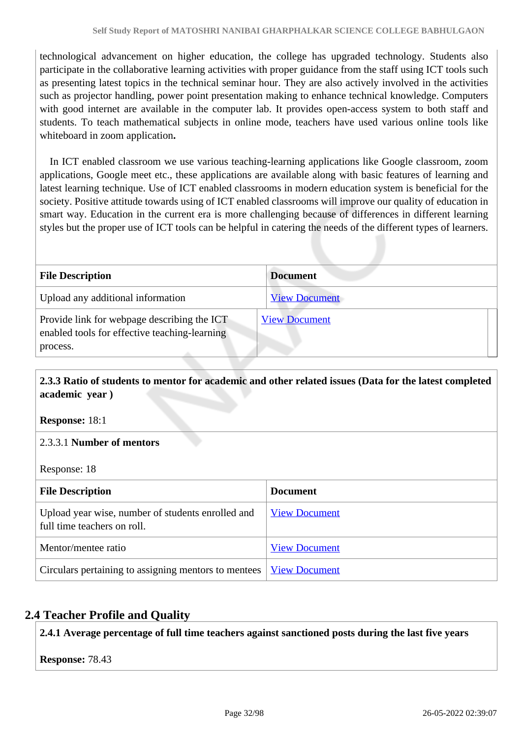technological advancement on higher education, the college has upgraded technology. Students also participate in the collaborative learning activities with proper guidance from the staff using ICT tools such as presenting latest topics in the technical seminar hour. They are also actively involved in the activities such as projector handling, power point presentation making to enhance technical knowledge. Computers with good internet are available in the computer lab. It provides open-access system to both staff and students. To teach mathematical subjects in online mode, teachers have used various online tools like whiteboard in zoom application**.** 

 In ICT enabled classroom we use various teaching-learning applications like Google classroom, zoom applications, Google meet etc., these applications are available along with basic features of learning and latest learning technique. Use of ICT enabled classrooms in modern education system is beneficial for the society. Positive attitude towards using of ICT enabled classrooms will improve our quality of education in smart way. Education in the current era is more challenging because of differences in different learning styles but the proper use of ICT tools can be helpful in catering the needs of the different types of learners.

| <b>File Description</b>                                                                                  | <b>Document</b>      |
|----------------------------------------------------------------------------------------------------------|----------------------|
| Upload any additional information                                                                        | <b>View Document</b> |
| Provide link for webpage describing the ICT<br>enabled tools for effective teaching-learning<br>process. | <b>View Document</b> |

 **2.3.3 Ratio of students to mentor for academic and other related issues (Data for the latest completed academic year )**

**Response:** 18:1

#### 2.3.3.1 **Number of mentors**

Response: 18

| <b>File Description</b>                                                          | <b>Document</b>      |
|----------------------------------------------------------------------------------|----------------------|
| Upload year wise, number of students enrolled and<br>full time teachers on roll. | <b>View Document</b> |
| Mentor/mentee ratio                                                              | <b>View Document</b> |
| Circulars pertaining to assigning mentors to mentees   <u>View Document</u>      |                      |

### **2.4 Teacher Profile and Quality**

**2.4.1 Average percentage of full time teachers against sanctioned posts during the last five years**

**Response:** 78.43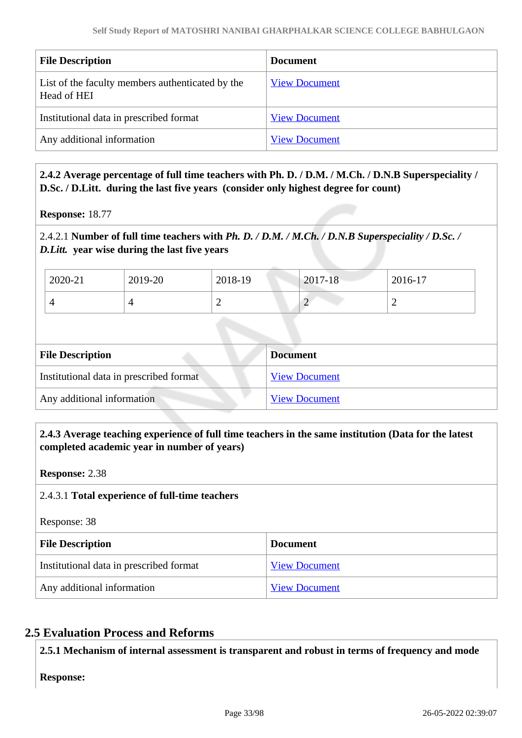| <b>File Description</b>                                         | <b>Document</b>      |
|-----------------------------------------------------------------|----------------------|
| List of the faculty members authenticated by the<br>Head of HEI | <b>View Document</b> |
| Institutional data in prescribed format                         | <b>View Document</b> |
| Any additional information                                      | <b>View Document</b> |

#### **2.4.2 Average percentage of full time teachers with Ph. D. / D.M. / M.Ch. / D.N.B Superspeciality / D.Sc. / D.Litt. during the last five years (consider only highest degree for count)**

**Response:** 18.77

#### 2.4.2.1 **Number of full time teachers with** *Ph. D. / D.M. / M.Ch. / D.N.B Superspeciality / D.Sc. / D.Litt.* **year wise during the last five years**

| 2020-21 | 2019-20 | 2018-19 | $2017 - 18$                           | 2016-17 |
|---------|---------|---------|---------------------------------------|---------|
|         |         |         | $\bigcap$<br>$\overline{\phantom{a}}$ | ∸       |

| <b>File Description</b>                 | <b>Document</b>      |
|-----------------------------------------|----------------------|
| Institutional data in prescribed format | <b>View Document</b> |
| Any additional information              | <b>View Document</b> |

#### **2.4.3 Average teaching experience of full time teachers in the same institution (Data for the latest completed academic year in number of years)**

**Response:** 2.38

#### 2.4.3.1 **Total experience of full-time teachers**

Response: 38

| <b>File Description</b>                 | <b>Document</b>      |
|-----------------------------------------|----------------------|
| Institutional data in prescribed format | <b>View Document</b> |
| Any additional information              | <b>View Document</b> |

### **2.5 Evaluation Process and Reforms**

**2.5.1 Mechanism of internal assessment is transparent and robust in terms of frequency and mode**

**Response:**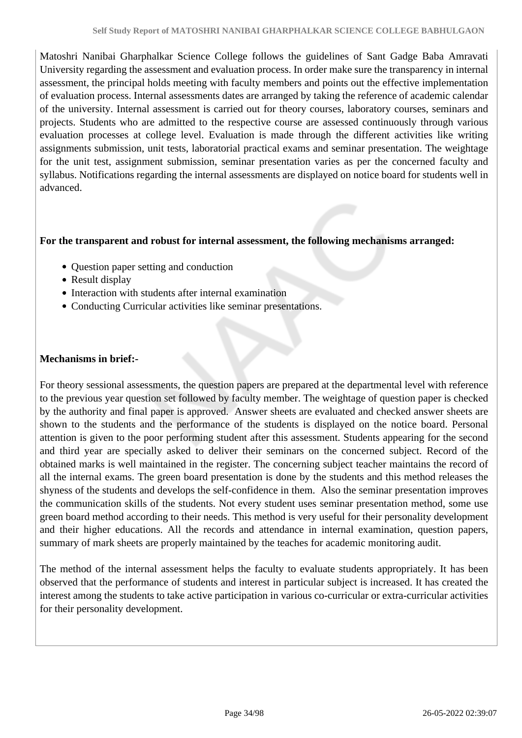Matoshri Nanibai Gharphalkar Science College follows the guidelines of Sant Gadge Baba Amravati University regarding the assessment and evaluation process. In order make sure the transparency in internal assessment, the principal holds meeting with faculty members and points out the effective implementation of evaluation process. Internal assessments dates are arranged by taking the reference of academic calendar of the university. Internal assessment is carried out for theory courses, laboratory courses, seminars and projects. Students who are admitted to the respective course are assessed continuously through various evaluation processes at college level. Evaluation is made through the different activities like writing assignments submission, unit tests, laboratorial practical exams and seminar presentation. The weightage for the unit test, assignment submission, seminar presentation varies as per the concerned faculty and syllabus. Notifications regarding the internal assessments are displayed on notice board for students well in advanced.

#### **For the transparent and robust for internal assessment, the following mechanisms arranged:**

- Question paper setting and conduction
- Result display
- Interaction with students after internal examination
- Conducting Curricular activities like seminar presentations.

#### **Mechanisms in brief:-**

For theory sessional assessments, the question papers are prepared at the departmental level with reference to the previous year question set followed by faculty member. The weightage of question paper is checked by the authority and final paper is approved. Answer sheets are evaluated and checked answer sheets are shown to the students and the performance of the students is displayed on the notice board. Personal attention is given to the poor performing student after this assessment. Students appearing for the second and third year are specially asked to deliver their seminars on the concerned subject. Record of the obtained marks is well maintained in the register. The concerning subject teacher maintains the record of all the internal exams. The green board presentation is done by the students and this method releases the shyness of the students and develops the self-confidence in them. Also the seminar presentation improves the communication skills of the students. Not every student uses seminar presentation method, some use green board method according to their needs. This method is very useful for their personality development and their higher educations. All the records and attendance in internal examination, question papers, summary of mark sheets are properly maintained by the teaches for academic monitoring audit.

The method of the internal assessment helps the faculty to evaluate students appropriately. It has been observed that the performance of students and interest in particular subject is increased. It has created the interest among the students to take active participation in various co-curricular or extra-curricular activities for their personality development.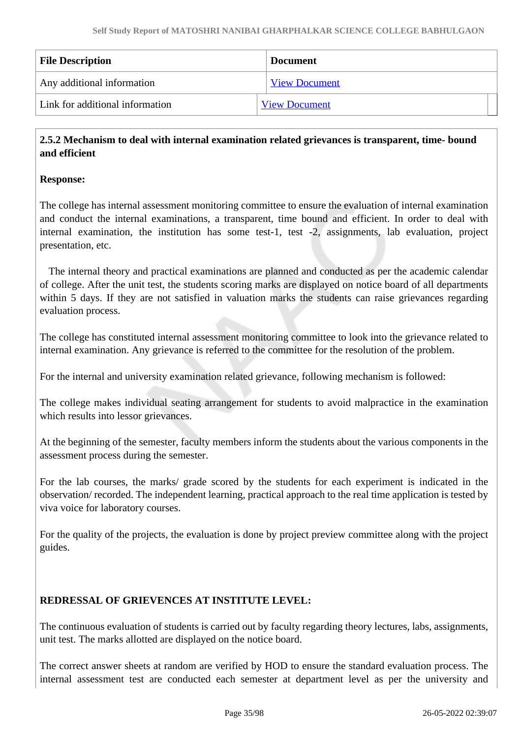| <b>File Description</b>         | <b>Document</b>      |
|---------------------------------|----------------------|
| Any additional information      | <b>View Document</b> |
| Link for additional information | <b>View Document</b> |

#### **2.5.2 Mechanism to deal with internal examination related grievances is transparent, time- bound and efficient**

#### **Response:**

The college has internal assessment monitoring committee to ensure the evaluation of internal examination and conduct the internal examinations, a transparent, time bound and efficient. In order to deal with internal examination, the institution has some test-1, test -2, assignments, lab evaluation, project presentation, etc.

 The internal theory and practical examinations are planned and conducted as per the academic calendar of college. After the unit test, the students scoring marks are displayed on notice board of all departments within 5 days. If they are not satisfied in valuation marks the students can raise grievances regarding evaluation process.

The college has constituted internal assessment monitoring committee to look into the grievance related to internal examination. Any grievance is referred to the committee for the resolution of the problem.

For the internal and university examination related grievance, following mechanism is followed:

The college makes individual seating arrangement for students to avoid malpractice in the examination which results into lessor grievances.

At the beginning of the semester, faculty members inform the students about the various components in the assessment process during the semester.

For the lab courses, the marks/ grade scored by the students for each experiment is indicated in the observation/ recorded. The independent learning, practical approach to the real time application is tested by viva voice for laboratory courses.

For the quality of the projects, the evaluation is done by project preview committee along with the project guides.

#### **REDRESSAL OF GRIEVENCES AT INSTITUTE LEVEL:**

The continuous evaluation of students is carried out by faculty regarding theory lectures, labs, assignments, unit test. The marks allotted are displayed on the notice board.

The correct answer sheets at random are verified by HOD to ensure the standard evaluation process. The internal assessment test are conducted each semester at department level as per the university and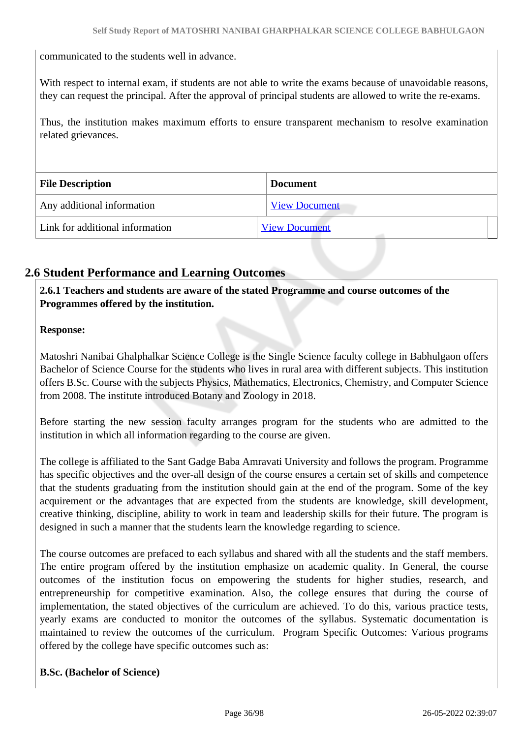communicated to the students well in advance.

With respect to internal exam, if students are not able to write the exams because of unavoidable reasons, they can request the principal. After the approval of principal students are allowed to write the re-exams.

Thus, the institution makes maximum efforts to ensure transparent mechanism to resolve examination related grievances.

| <b>File Description</b>         | <b>Document</b>      |
|---------------------------------|----------------------|
| Any additional information      | <b>View Document</b> |
| Link for additional information | <b>View Document</b> |

### **2.6 Student Performance and Learning Outcomes**

 **2.6.1 Teachers and students are aware of the stated Programme and course outcomes of the Programmes offered by the institution.**

#### **Response:**

Matoshri Nanibai Ghalphalkar Science College is the Single Science faculty college in Babhulgaon offers Bachelor of Science Course for the students who lives in rural area with different subjects. This institution offers B.Sc. Course with the subjects Physics, Mathematics, Electronics, Chemistry, and Computer Science from 2008. The institute introduced Botany and Zoology in 2018.

Before starting the new session faculty arranges program for the students who are admitted to the institution in which all information regarding to the course are given.

The college is affiliated to the Sant Gadge Baba Amravati University and follows the program. Programme has specific objectives and the over-all design of the course ensures a certain set of skills and competence that the students graduating from the institution should gain at the end of the program. Some of the key acquirement or the advantages that are expected from the students are knowledge, skill development, creative thinking, discipline, ability to work in team and leadership skills for their future. The program is designed in such a manner that the students learn the knowledge regarding to science.

The course outcomes are prefaced to each syllabus and shared with all the students and the staff members. The entire program offered by the institution emphasize on academic quality. In General, the course outcomes of the institution focus on empowering the students for higher studies, research, and entrepreneurship for competitive examination. Also, the college ensures that during the course of implementation, the stated objectives of the curriculum are achieved. To do this, various practice tests, yearly exams are conducted to monitor the outcomes of the syllabus. Systematic documentation is maintained to review the outcomes of the curriculum. Program Specific Outcomes: Various programs offered by the college have specific outcomes such as:

#### **B.Sc. (Bachelor of Science)**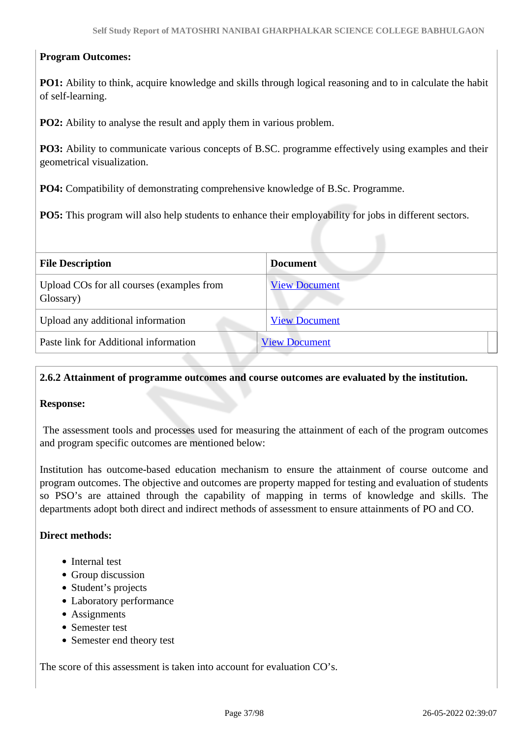# **Program Outcomes:**

**PO1:** Ability to think, acquire knowledge and skills through logical reasoning and to in calculate the habit of self-learning.

**PO2:** Ability to analyse the result and apply them in various problem.

**PO3:** Ability to communicate various concepts of B.SC. programme effectively using examples and their geometrical visualization.

**PO4:** Compatibility of demonstrating comprehensive knowledge of B.Sc. Programme.

**PO5:** This program will also help students to enhance their employability for jobs in different sectors.

| <b>File Description</b>                                | Document             |
|--------------------------------------------------------|----------------------|
| Upload COs for all courses (examples from<br>Glossary) | <b>View Document</b> |
| Upload any additional information                      | <b>View Document</b> |
| Paste link for Additional information                  | <b>View Document</b> |

#### **2.6.2 Attainment of programme outcomes and course outcomes are evaluated by the institution.**

#### **Response:**

 The assessment tools and processes used for measuring the attainment of each of the program outcomes and program specific outcomes are mentioned below:

Institution has outcome-based education mechanism to ensure the attainment of course outcome and program outcomes. The objective and outcomes are property mapped for testing and evaluation of students so PSO's are attained through the capability of mapping in terms of knowledge and skills. The departments adopt both direct and indirect methods of assessment to ensure attainments of PO and CO.

#### **Direct methods:**

- Internal test
- Group discussion
- Student's projects
- Laboratory performance
- Assignments
- Semester test
- Semester end theory test

The score of this assessment is taken into account for evaluation CO's.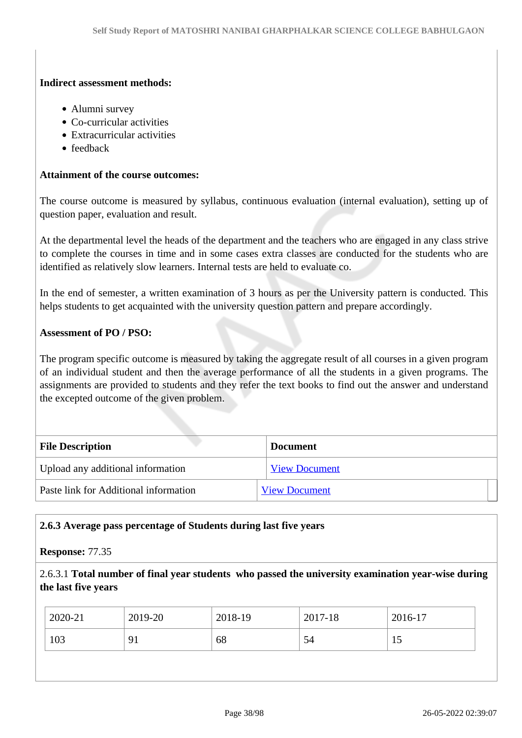#### **Indirect assessment methods:**

- Alumni survey
- Co-curricular activities
- Extracurricular activities
- feedback

#### **Attainment of the course outcomes:**

The course outcome is measured by syllabus, continuous evaluation (internal evaluation), setting up of question paper, evaluation and result.

At the departmental level the heads of the department and the teachers who are engaged in any class strive to complete the courses in time and in some cases extra classes are conducted for the students who are identified as relatively slow learners. Internal tests are held to evaluate co.

In the end of semester, a written examination of 3 hours as per the University pattern is conducted. This helps students to get acquainted with the university question pattern and prepare accordingly.

#### **Assessment of PO / PSO:**

The program specific outcome is measured by taking the aggregate result of all courses in a given program of an individual student and then the average performance of all the students in a given programs. The assignments are provided to students and they refer the text books to find out the answer and understand the excepted outcome of the given problem.

| <b>File Description</b>               | <b>Document</b>      |
|---------------------------------------|----------------------|
| Upload any additional information     | <b>View Document</b> |
| Paste link for Additional information | <b>View Document</b> |

#### **2.6.3 Average pass percentage of Students during last five years**

#### **Response:** 77.35

2.6.3.1 **Total number of final year students who passed the university examination year-wise during the last five years**

| 2020-21 | 2019-20 | 2018-19 | 2017-18 | 2016-17 |
|---------|---------|---------|---------|---------|
| 103     | 91      | 68      | 54      | 19      |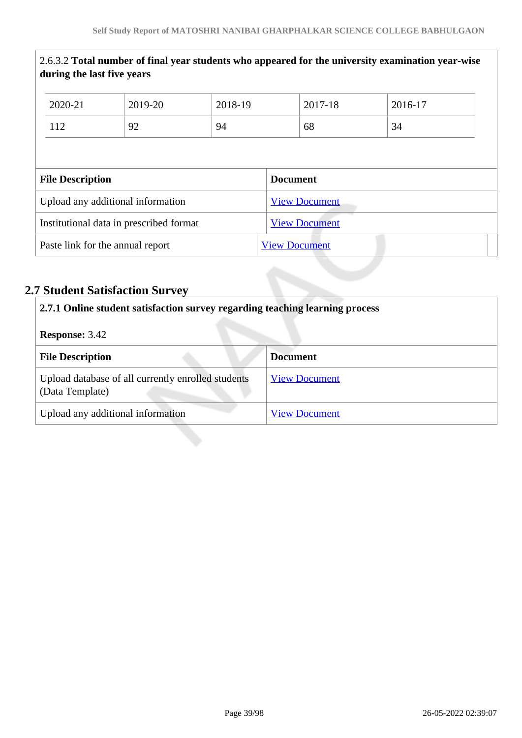|                                         | during the last five years       |                      |         |                      | 2.6.3.2 Total number of final year students who appeared for the university examination year-wise |
|-----------------------------------------|----------------------------------|----------------------|---------|----------------------|---------------------------------------------------------------------------------------------------|
|                                         | 2020-21                          | 2019-20              | 2018-19 | 2017-18              | 2016-17                                                                                           |
|                                         | 112                              | 92                   | 94      | 68                   | 34                                                                                                |
|                                         | <b>File Description</b>          |                      |         | <b>Document</b>      |                                                                                                   |
| Upload any additional information       |                                  | <b>View Document</b> |         |                      |                                                                                                   |
| Institutional data in prescribed format |                                  | <b>View Document</b> |         |                      |                                                                                                   |
|                                         | Paste link for the annual report |                      |         | <b>View Document</b> |                                                                                                   |

# **2.7 Student Satisfaction Survey**

| 2.7.1 Online student satisfaction survey regarding teaching learning process |                      |
|------------------------------------------------------------------------------|----------------------|
| <b>Response: 3.42</b>                                                        |                      |
| <b>File Description</b>                                                      | <b>Document</b>      |
| Upload database of all currently enrolled students<br>(Data Template)        | <b>View Document</b> |
| Upload any additional information                                            | <b>View Document</b> |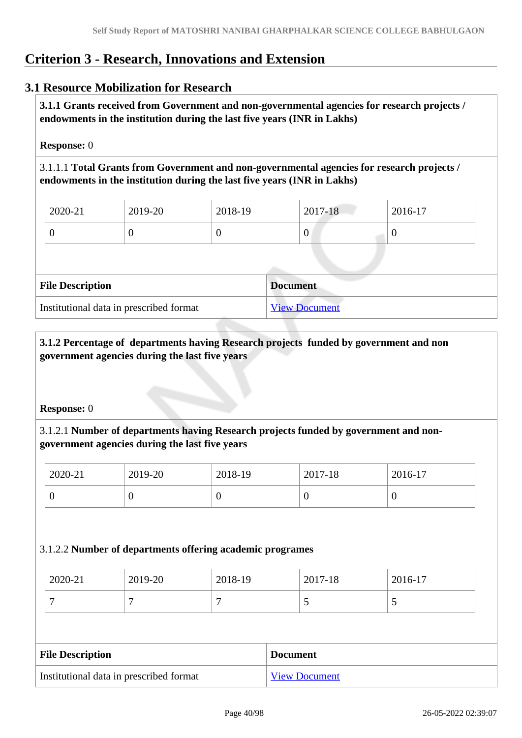# **Criterion 3 - Research, Innovations and Extension**

# **3.1 Resource Mobilization for Research**

 **3.1.1 Grants received from Government and non-governmental agencies for research projects / endowments in the institution during the last five years (INR in Lakhs)** 

**Response:** 0

3.1.1.1 **Total Grants from Government and non-governmental agencies for research projects / endowments in the institution during the last five years (INR in Lakhs)**

| $12020 - 21$ | 2019-20 | 2018-19 | 2017-18 | 2016-17 |
|--------------|---------|---------|---------|---------|
|              |         |         | 0       | ν       |

| <b>File Description</b>                 | Document             |
|-----------------------------------------|----------------------|
| Institutional data in prescribed format | <b>View Document</b> |

# **3.1.2 Percentage of departments having Research projects funded by government and non government agencies during the last five years**

#### **Response:** 0

# 3.1.2.1 **Number of departments having Research projects funded by government and nongovernment agencies during the last five years**

| 2020-21 | 2019-20 | 2018-19 | 2017-18 | $2016-17$ |
|---------|---------|---------|---------|-----------|
|         | ◡       | ິ       |         | ν         |

#### 3.1.2.2 **Number of departments offering academic programes**

| 2020-21 | 2019-20 | 2018-19 | 2017-18 | 2016-17 |
|---------|---------|---------|---------|---------|
| -       |         |         | ັ       | ັ       |

| <b>File Description</b>                 | <b>Document</b>      |
|-----------------------------------------|----------------------|
| Institutional data in prescribed format | <b>View Document</b> |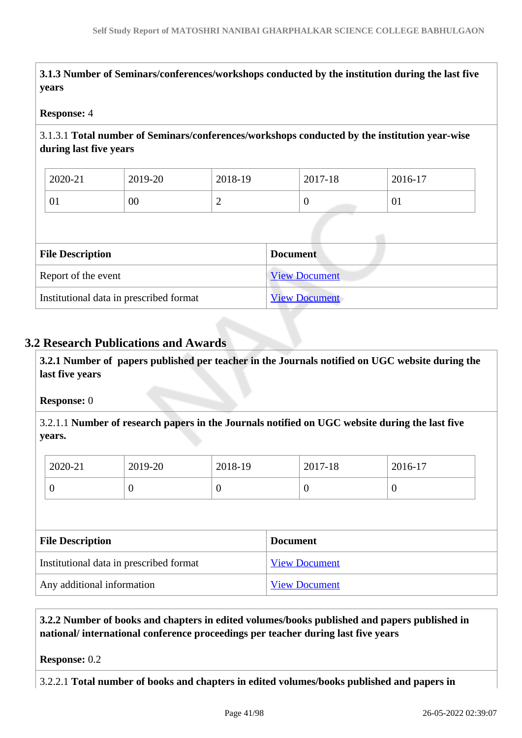**3.1.3 Number of Seminars/conferences/workshops conducted by the institution during the last five years**

#### **Response:** 4

# 3.1.3.1 **Total number of Seminars/conferences/workshops conducted by the institution year-wise during last five years**

| 2020-21 | 2019-20         | 2018-19 | 2017-18 | 2016-17 |
|---------|-----------------|---------|---------|---------|
| 01      | $\overline{00}$ | ∼       | ◡       | 01      |

| <b>File Description</b>                 | <b>Document</b>      |
|-----------------------------------------|----------------------|
| Report of the event                     | <b>View Document</b> |
| Institutional data in prescribed format | <b>View Document</b> |

# **3.2 Research Publications and Awards**

 **3.2.1 Number of papers published per teacher in the Journals notified on UGC website during the last five years** 

#### **Response:** 0

3.2.1.1 **Number of research papers in the Journals notified on UGC website during the last five years.**

| 2020-21 | 2019-20 | 2018-19 | 2017-18 | 2016-17 |
|---------|---------|---------|---------|---------|
|         | ν       | ິ       | ν       | ິ       |

| <b>File Description</b>                 | <b>Document</b>      |
|-----------------------------------------|----------------------|
| Institutional data in prescribed format | <b>View Document</b> |
| Any additional information              | <b>View Document</b> |

 **3.2.2 Number of books and chapters in edited volumes/books published and papers published in national/ international conference proceedings per teacher during last five years**

#### **Response:** 0.2

3.2.2.1 **Total number of books and chapters in edited volumes/books published and papers in**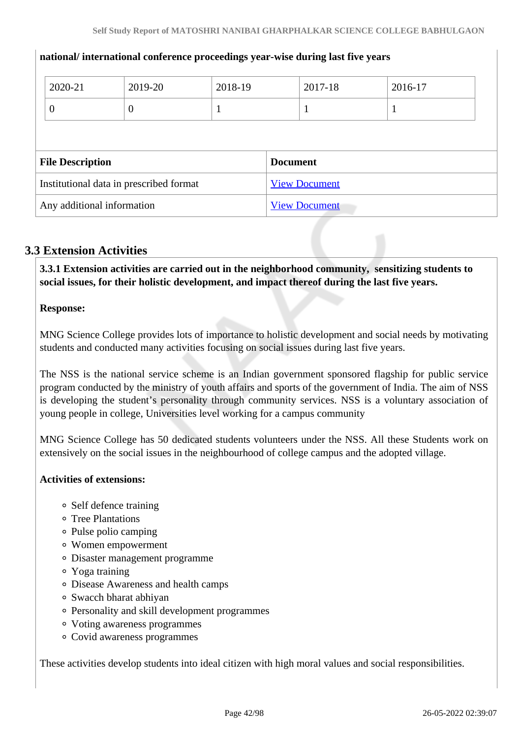|                                         | 2020-21        | 2019-20              | 2018-19         |  | 2017-18 | 2016-17 |
|-----------------------------------------|----------------|----------------------|-----------------|--|---------|---------|
|                                         | $\overline{0}$ | $\theta$             |                 |  |         |         |
|                                         |                |                      |                 |  |         |         |
| <b>File Description</b>                 |                |                      | <b>Document</b> |  |         |         |
| Institutional data in prescribed format |                | <b>View Document</b> |                 |  |         |         |
| Any additional information              |                | <b>View Document</b> |                 |  |         |         |

#### **national/ international conference proceedings year-wise during last five years**

# **3.3 Extension Activities**

 **3.3.1 Extension activities are carried out in the neighborhood community, sensitizing students to social issues, for their holistic development, and impact thereof during the last five years.**

#### **Response:**

MNG Science College provides lots of importance to holistic development and social needs by motivating students and conducted many activities focusing on social issues during last five years.

The NSS is the national service scheme is an Indian government sponsored flagship for public service program conducted by the ministry of youth affairs and sports of the government of India. The aim of NSS is developing the student's personality through community services. NSS is a voluntary association of young people in college, Universities level working for a campus community

MNG Science College has 50 dedicated students volunteers under the NSS. All these Students work on extensively on the social issues in the neighbourhood of college campus and the adopted village.

#### **Activities of extensions:**

- Self defence training
- Tree Plantations
- Pulse polio camping
- Women empowerment
- Disaster management programme
- Yoga training
- Disease Awareness and health camps
- Swacch bharat abhiyan
- Personality and skill development programmes
- Voting awareness programmes
- Covid awareness programmes

These activities develop students into ideal citizen with high moral values and social responsibilities.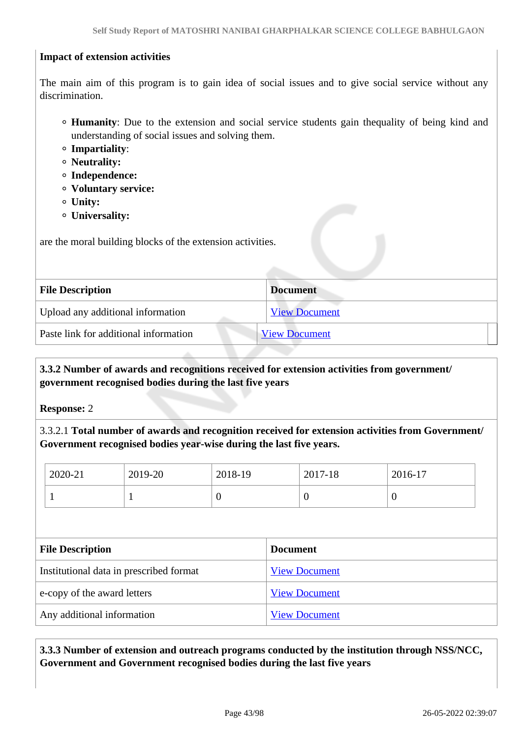#### **Impact of extension activities**

The main aim of this program is to gain idea of social issues and to give social service without any discrimination.

- **Humanity**: Due to the extension and social service students gain thequality of being kind and understanding of social issues and solving them.
- **Impartiality**:
- **Neutrality:**
- **Independence:**
- **Voluntary service:**
- **Unity:**
- **Universality:**

are the moral building blocks of the extension activities.

| <b>File Description</b>               | <b>Document</b>      |
|---------------------------------------|----------------------|
| Upload any additional information     | <b>View Document</b> |
| Paste link for additional information | <b>View Document</b> |
|                                       |                      |

# **3.3.2 Number of awards and recognitions received for extension activities from government/ government recognised bodies during the last five years**

**Response:** 2

3.3.2.1 **Total number of awards and recognition received for extension activities from Government/ Government recognised bodies year-wise during the last five years.**

| 2020-21 | 2019-20 | 2018-19 | 2017-18 | 2016-17 |
|---------|---------|---------|---------|---------|
|         |         | v       |         | ν       |

| <b>File Description</b>                 | <b>Document</b>      |
|-----------------------------------------|----------------------|
| Institutional data in prescribed format | <b>View Document</b> |
| e-copy of the award letters             | <b>View Document</b> |
| Any additional information              | <b>View Document</b> |

 **3.3.3 Number of extension and outreach programs conducted by the institution through NSS/NCC, Government and Government recognised bodies during the last five years**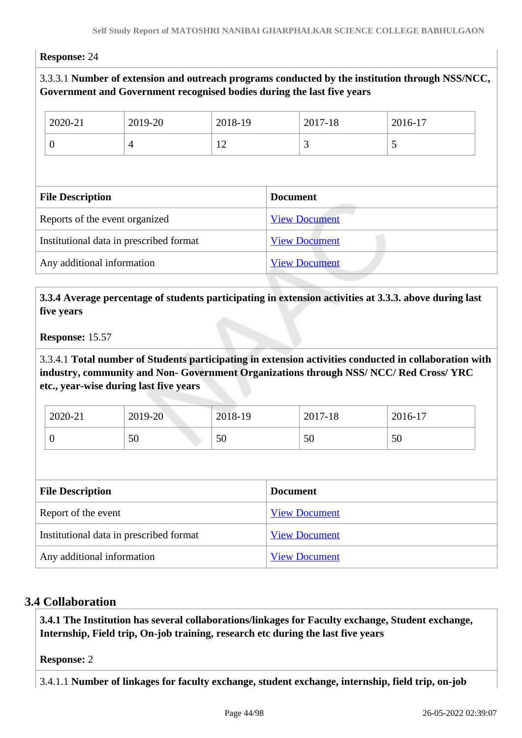#### **Response:** 24

# 3.3.3.1 **Number of extension and outreach programs conducted by the institution through NSS/NCC, Government and Government recognised bodies during the last five years**

| 2020-21                                 | 2019-20        | 2018-19              |                      | 2017-18 | 2016-17 |  |
|-----------------------------------------|----------------|----------------------|----------------------|---------|---------|--|
| $\overline{0}$                          | $\overline{4}$ | 12                   |                      | 3       | 5       |  |
|                                         |                |                      |                      |         |         |  |
| <b>File Description</b>                 |                |                      | <b>Document</b>      |         |         |  |
| Reports of the event organized          |                | <b>View Document</b> |                      |         |         |  |
| Institutional data in prescribed format |                | <b>View Document</b> |                      |         |         |  |
| Any additional information              |                |                      | <b>View Document</b> |         |         |  |

#### **3.3.4 Average percentage of students participating in extension activities at 3.3.3. above during last five years**

#### **Response:** 15.57

3.3.4.1 **Total number of Students participating in extension activities conducted in collaboration with industry, community and Non- Government Organizations through NSS/ NCC/ Red Cross/ YRC etc., year-wise during last five years**

| 2020-21 | 2019-20 | 2018-19 | 2017-18 | $2016-17$ |
|---------|---------|---------|---------|-----------|
|         | 50      | 50      | 50      | 50        |

| <b>File Description</b>                 | <b>Document</b>      |
|-----------------------------------------|----------------------|
| Report of the event                     | <b>View Document</b> |
| Institutional data in prescribed format | <b>View Document</b> |
| Any additional information              | <b>View Document</b> |

#### **3.4 Collaboration**

 **3.4.1 The Institution has several collaborations/linkages for Faculty exchange, Student exchange, Internship, Field trip, On-job training, research etc during the last five years** 

**Response:** 2

3.4.1.1 **Number of linkages for faculty exchange, student exchange, internship, field trip, on-job**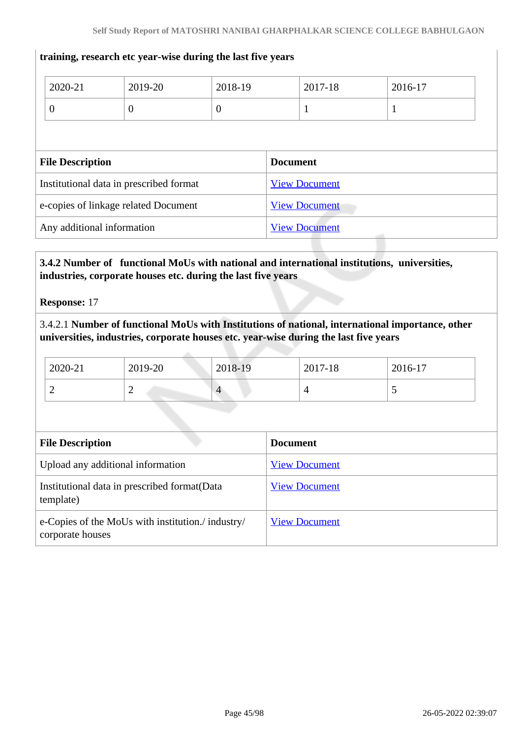# 2020-21 2019-20 2018-19 2017-18 2016-17 0 0 0 1 1 **File Description Document** Institutional data in prescribed format [View Document](https://assessmentonline.naac.gov.in/storage/app/hei/SSR/102730/3.4.1_1641469210_7255.xlsx) e-copies of linkage related Document [View Document](https://assessmentonline.naac.gov.in/storage/app/hei/SSR/102730/3.4.1_1641469239_7255.pdf) Any additional information [View Document](https://assessmentonline.naac.gov.in/storage/app/hei/SSR/102730/3.4.1_1641478985_7255.pdf)

#### **training, research etc year-wise during the last five years**

# **3.4.2 Number of functional MoUs with national and international institutions, universities, industries, corporate houses etc. during the last five years**

**Response:** 17

## 3.4.2.1 **Number of functional MoUs with Institutions of national, international importance, other universities, industries, corporate houses etc. year-wise during the last five years**

| 2020-21 | 2019-20 | 2018-19 | 2017-18 | 2016-17 |
|---------|---------|---------|---------|---------|
| ∽       | -       | 4       |         |         |

| <b>File Description</b>                                               | <b>Document</b>      |
|-----------------------------------------------------------------------|----------------------|
| Upload any additional information                                     | <b>View Document</b> |
| Institutional data in prescribed format (Data<br>template)            | <b>View Document</b> |
| e-Copies of the MoUs with institution./ industry/<br>corporate houses | <b>View Document</b> |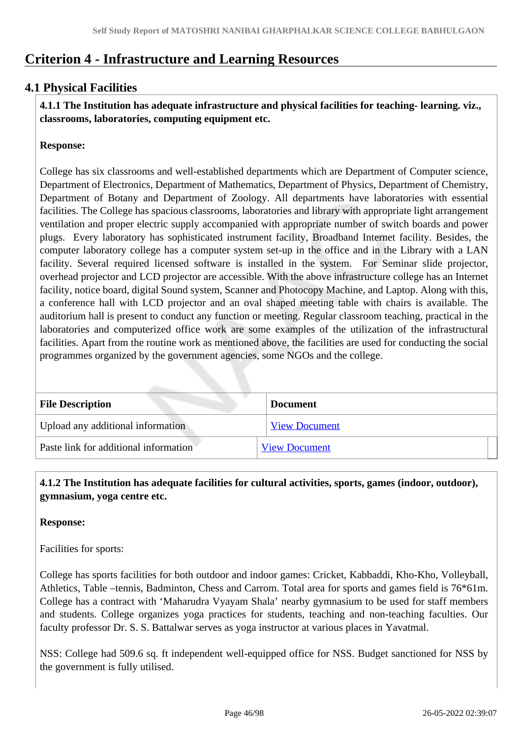# **Criterion 4 - Infrastructure and Learning Resources**

# **4.1 Physical Facilities**

 **4.1.1 The Institution has adequate infrastructure and physical facilities for teaching- learning. viz., classrooms, laboratories, computing equipment etc.** 

#### **Response:**

College has six classrooms and well-established departments which are Department of Computer science, Department of Electronics, Department of Mathematics, Department of Physics, Department of Chemistry, Department of Botany and Department of Zoology. All departments have laboratories with essential facilities. The College has spacious classrooms, laboratories and library with appropriate light arrangement ventilation and proper electric supply accompanied with appropriate number of switch boards and power plugs. Every laboratory has sophisticated instrument facility, Broadband Internet facility. Besides, the computer laboratory college has a computer system set-up in the office and in the Library with a LAN facility. Several required licensed software is installed in the system. For Seminar slide projector, overhead projector and LCD projector are accessible. With the above infrastructure college has an Internet facility, notice board, digital Sound system, Scanner and Photocopy Machine, and Laptop. Along with this, a conference hall with LCD projector and an oval shaped meeting table with chairs is available. The auditorium hall is present to conduct any function or meeting. Regular classroom teaching, practical in the laboratories and computerized office work are some examples of the utilization of the infrastructural facilities. Apart from the routine work as mentioned above, the facilities are used for conducting the social programmes organized by the government agencies, some NGOs and the college.

| <b>File Description</b>               | <b>Document</b>      |
|---------------------------------------|----------------------|
| Upload any additional information     | <b>View Document</b> |
| Paste link for additional information | <b>View Document</b> |

# **4.1.2 The Institution has adequate facilities for cultural activities, sports, games (indoor, outdoor), gymnasium, yoga centre etc.**

#### **Response:**

Facilities for sports:

College has sports facilities for both outdoor and indoor games: Cricket, Kabbaddi, Kho-Kho, Volleyball, Athletics, Table –tennis, Badminton, Chess and Carrom. Total area for sports and games field is 76\*61m. College has a contract with 'Maharudra Vyayam Shala' nearby gymnasium to be used for staff members and students. College organizes yoga practices for students, teaching and non-teaching faculties. Our faculty professor Dr. S. S. Battalwar serves as yoga instructor at various places in Yavatmal.

NSS: College had 509.6 sq. ft independent well-equipped office for NSS. Budget sanctioned for NSS by the government is fully utilised.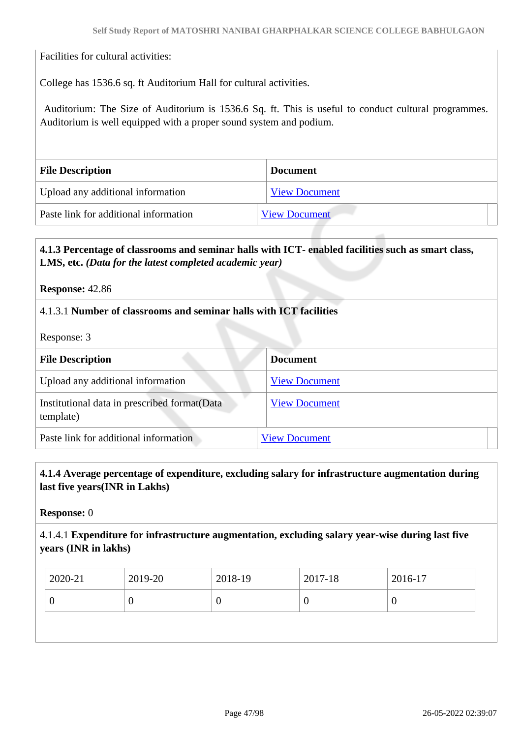Facilities for cultural activities:

College has 1536.6 sq. ft Auditorium Hall for cultural activities.

 Auditorium: The Size of Auditorium is 1536.6 Sq. ft. This is useful to conduct cultural programmes. Auditorium is well equipped with a proper sound system and podium.

| <b>File Description</b>               | <b>Document</b>      |
|---------------------------------------|----------------------|
| Upload any additional information     | <b>View Document</b> |
| Paste link for additional information | <b>View Document</b> |

# **4.1.3 Percentage of classrooms and seminar halls with ICT- enabled facilities such as smart class, LMS, etc.** *(Data for the latest completed academic year)*

**Response:** 42.86

# 4.1.3.1 **Number of classrooms and seminar halls with ICT facilities**

Response: 3

| <b>File Description</b>                                    | <b>Document</b>      |
|------------------------------------------------------------|----------------------|
| Upload any additional information                          | <b>View Document</b> |
| Institutional data in prescribed format (Data<br>template) | <b>View Document</b> |
| Paste link for additional information                      | <b>View Document</b> |

#### **4.1.4 Average percentage of expenditure, excluding salary for infrastructure augmentation during last five years(INR in Lakhs)**

**Response:** 0

4.1.4.1 **Expenditure for infrastructure augmentation, excluding salary year-wise during last five years (INR in lakhs)**

|                  | 2020-21 | 2019-20 | 2018-19 | 2017-18 | 2016-17 |
|------------------|---------|---------|---------|---------|---------|
| ν<br>U<br>ν<br>ິ |         |         |         |         |         |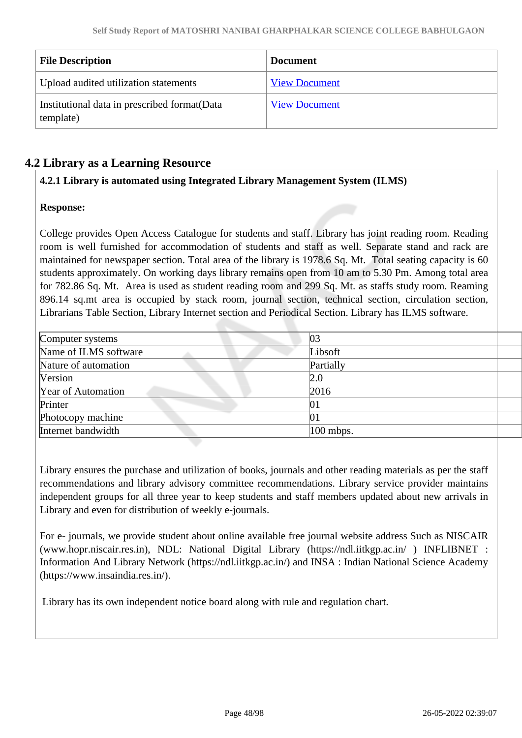| <b>File Description</b>                                    | <b>Document</b>      |
|------------------------------------------------------------|----------------------|
| Upload audited utilization statements                      | <b>View Document</b> |
| Institutional data in prescribed format (Data<br>template) | <b>View Document</b> |

# **4.2 Library as a Learning Resource**

# **4.2.1 Library is automated using Integrated Library Management System (ILMS)**

# **Response:**

College provides Open Access Catalogue for students and staff. Library has joint reading room. Reading room is well furnished for accommodation of students and staff as well. Separate stand and rack are maintained for newspaper section. Total area of the library is 1978.6 Sq. Mt. Total seating capacity is 60 students approximately. On working days library remains open from 10 am to 5.30 Pm. Among total area for 782.86 Sq. Mt. Area is used as student reading room and 299 Sq. Mt. as staffs study room. Reaming 896.14 sq.mt area is occupied by stack room, journal section, technical section, circulation section, Librarians Table Section, Library Internet section and Periodical Section. Library has ILMS software.

| Computer systems      | 03          |  |
|-----------------------|-------------|--|
| Name of ILMS software | Libsoft     |  |
| Nature of automation  | Partially   |  |
| <b>Version</b>        | 2.0         |  |
| Year of Automation    | 2016        |  |
| Printer               | 01          |  |
| Photocopy machine     | 01          |  |
| Internet bandwidth    | $100$ mbps. |  |
|                       |             |  |

Library ensures the purchase and utilization of books, journals and other reading materials as per the staff recommendations and library advisory committee recommendations. Library service provider maintains independent groups for all three year to keep students and staff members updated about new arrivals in Library and even for distribution of weekly e-journals.

For e- journals, we provide student about online available free journal website address Such as NISCAIR (www.hopr.niscair.res.in), NDL: National Digital Library (https://ndl.iitkgp.ac.in/ ) INFLIBNET : Information And Library Network (https://ndl.iitkgp.ac.in/) and INSA : Indian National Science Academy (https://www.insaindia.res.in/).

Library has its own independent notice board along with rule and regulation chart.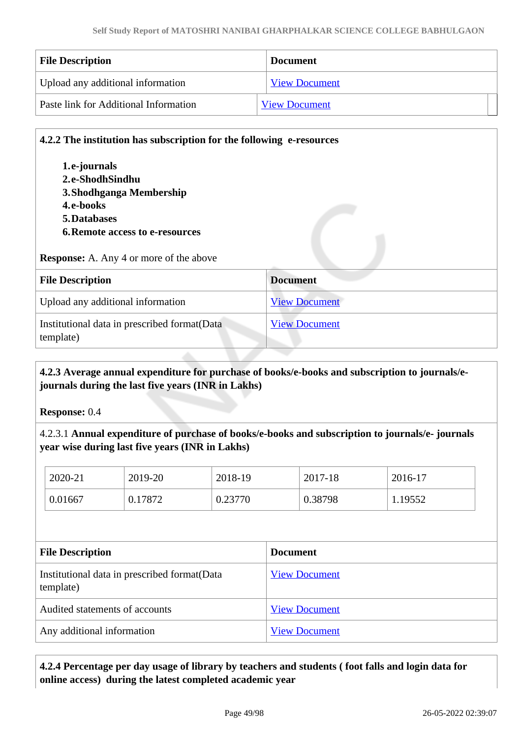| <b>File Description</b>               | <b>Document</b>      |
|---------------------------------------|----------------------|
| Upload any additional information     | <b>View Document</b> |
| Paste link for Additional Information | <b>View Document</b> |

#### **4.2.2 The institution has subscription for the following e-resources**

**1.e-journals 2.e-ShodhSindhu 3.Shodhganga Membership 4.e-books 5.Databases 6.Remote access to e-resources**

#### **Response:** A. Any 4 or more of the above

| <b>File Description</b>                                    | <b>Document</b>      |
|------------------------------------------------------------|----------------------|
| Upload any additional information                          | <b>View Document</b> |
| Institutional data in prescribed format (Data<br>template) | <b>View Document</b> |

# **4.2.3 Average annual expenditure for purchase of books/e-books and subscription to journals/ejournals during the last five years (INR in Lakhs)**

**Response:** 0.4

4.2.3.1 **Annual expenditure of purchase of books/e-books and subscription to journals/e- journals year wise during last five years (INR in Lakhs)**

| 2020-21 | 2019-20 | 2018-19 | 2017-18 | 2016-17 |
|---------|---------|---------|---------|---------|
| 0.01667 | 0.17872 | 0.23770 | 0.38798 | 1.19552 |

| <b>File Description</b>                                    | Document             |
|------------------------------------------------------------|----------------------|
| Institutional data in prescribed format (Data<br>template) | <b>View Document</b> |
| Audited statements of accounts                             | <b>View Document</b> |
| Any additional information                                 | <b>View Document</b> |

# **4.2.4 Percentage per day usage of library by teachers and students ( foot falls and login data for online access) during the latest completed academic year**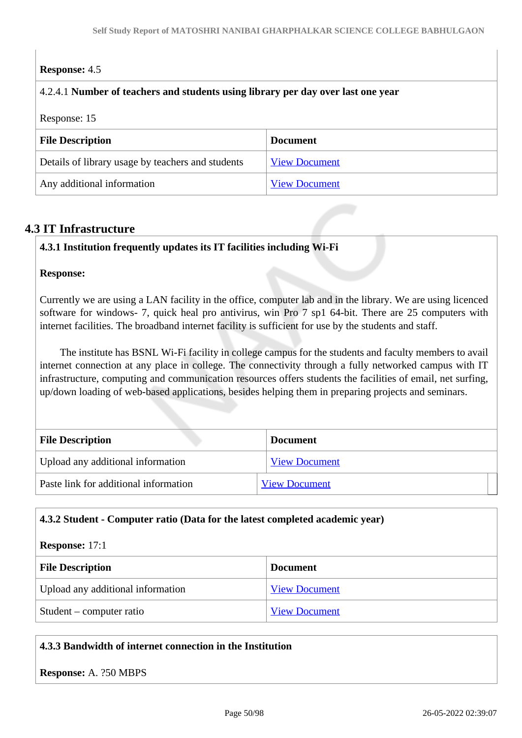# **Response:** 4.5

#### 4.2.4.1 **Number of teachers and students using library per day over last one year**

Response: 15

| <b>File Description</b>                           | <b>Document</b>      |
|---------------------------------------------------|----------------------|
| Details of library usage by teachers and students | <b>View Document</b> |
| Any additional information                        | <b>View Document</b> |

# **4.3 IT Infrastructure**

#### **4.3.1 Institution frequently updates its IT facilities including Wi-Fi**

#### **Response:**

Currently we are using a LAN facility in the office, computer lab and in the library. We are using licenced software for windows- 7, quick heal pro antivirus, win Pro 7 sp1 64-bit. There are 25 computers with internet facilities. The broadband internet facility is sufficient for use by the students and staff.

 The institute has BSNL Wi-Fi facility in college campus for the students and faculty members to avail internet connection at any place in college. The connectivity through a fully networked campus with IT infrastructure, computing and communication resources offers students the facilities of email, net surfing, up/down loading of web-based applications, besides helping them in preparing projects and seminars.

| <b>File Description</b>               | <b>Document</b>      |
|---------------------------------------|----------------------|
| Upload any additional information     | <b>View Document</b> |
| Paste link for additional information | <b>View Document</b> |

#### **4.3.2 Student - Computer ratio (Data for the latest completed academic year)**

# **Response:** 17:1

| <b>File Description</b>           | <b>Document</b>      |
|-----------------------------------|----------------------|
| Upload any additional information | <b>View Document</b> |
| Student – computer ratio          | <b>View Document</b> |

#### **4.3.3 Bandwidth of internet connection in the Institution**

**Response:** A. ?50 MBPS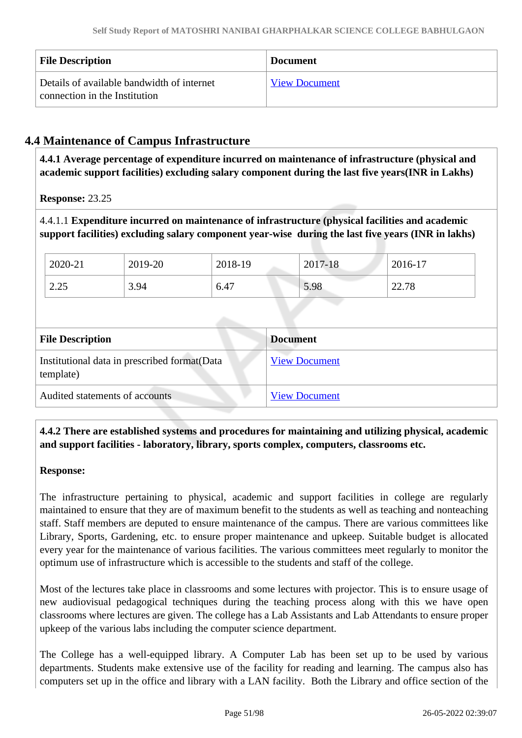| <b>File Description</b>                                                     | <b>Document</b>      |
|-----------------------------------------------------------------------------|----------------------|
| Details of available bandwidth of internet<br>connection in the Institution | <b>View Document</b> |

# **4.4 Maintenance of Campus Infrastructure**

 **4.4.1 Average percentage of expenditure incurred on maintenance of infrastructure (physical and academic support facilities) excluding salary component during the last five years(INR in Lakhs)**

**Response:** 23.25

4.4.1.1 **Expenditure incurred on maintenance of infrastructure (physical facilities and academic support facilities) excluding salary component year-wise during the last five years (INR in lakhs)**

| 2020-21 | 2019-20 | 2018-19 | 2017-18 | 2016-17 |
|---------|---------|---------|---------|---------|
| 2.25    | 3.94    | 6.47    | 5.98    | 22.78   |

| <b>File Description</b>                                   | <b>Document</b>      |
|-----------------------------------------------------------|----------------------|
| Institutional data in prescribed format(Data<br>template) | <b>View Document</b> |
| Audited statements of accounts                            | <b>View Document</b> |

# **4.4.2 There are established systems and procedures for maintaining and utilizing physical, academic and support facilities - laboratory, library, sports complex, computers, classrooms etc.**

**Response:** 

The infrastructure pertaining to physical, academic and support facilities in college are regularly maintained to ensure that they are of maximum benefit to the students as well as teaching and nonteaching staff. Staff members are deputed to ensure maintenance of the campus. There are various committees like Library, Sports, Gardening, etc. to ensure proper maintenance and upkeep. Suitable budget is allocated every year for the maintenance of various facilities. The various committees meet regularly to monitor the optimum use of infrastructure which is accessible to the students and staff of the college.

Most of the lectures take place in classrooms and some lectures with projector. This is to ensure usage of new audiovisual pedagogical techniques during the teaching process along with this we have open classrooms where lectures are given. The college has a Lab Assistants and Lab Attendants to ensure proper upkeep of the various labs including the computer science department.

The College has a well-equipped library. A Computer Lab has been set up to be used by various departments. Students make extensive use of the facility for reading and learning. The campus also has computers set up in the office and library with a LAN facility. Both the Library and office section of the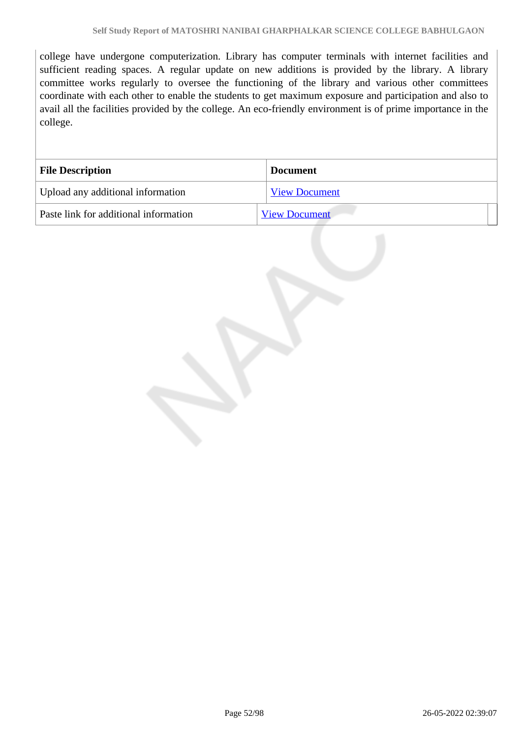college have undergone computerization. Library has computer terminals with internet facilities and sufficient reading spaces. A regular update on new additions is provided by the library. A library committee works regularly to oversee the functioning of the library and various other committees coordinate with each other to enable the students to get maximum exposure and participation and also to avail all the facilities provided by the college. An eco-friendly environment is of prime importance in the college.

| <b>File Description</b>               | <b>Document</b>      |
|---------------------------------------|----------------------|
| Upload any additional information     | <b>View Document</b> |
| Paste link for additional information | <b>View Document</b> |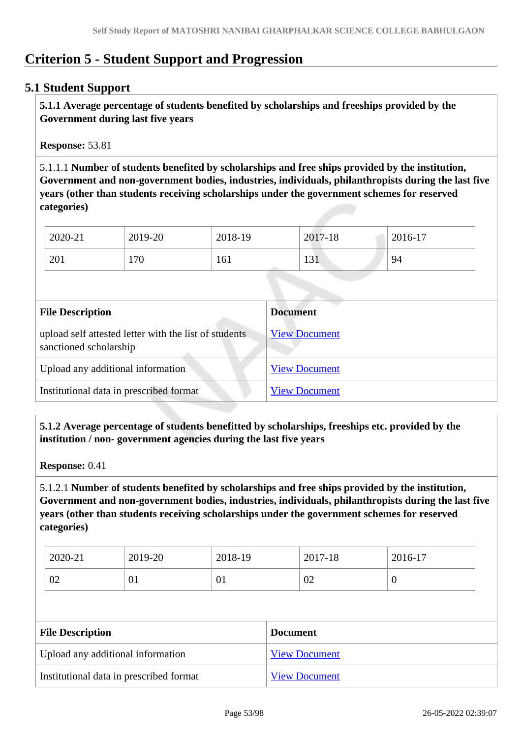# **Criterion 5 - Student Support and Progression**

# **5.1 Student Support**

 **5.1.1 Average percentage of students benefited by scholarships and freeships provided by the Government during last five years** 

**Response:** 53.81

5.1.1.1 **Number of students benefited by scholarships and free ships provided by the institution, Government and non-government bodies, industries, individuals, philanthropists during the last five years (other than students receiving scholarships under the government schemes for reserved categories)** 

| 2020-21 | 2019-20 | 2018-19 | 2017-18           | 2016-17 |
|---------|---------|---------|-------------------|---------|
| 201     | 170     | 161     | $\sqrt{1}$<br>121 | 94      |

| <b>File Description</b>                                                         | <b>Document</b>      |
|---------------------------------------------------------------------------------|----------------------|
| upload self attested letter with the list of students<br>sanctioned scholarship | <b>View Document</b> |
| Upload any additional information                                               | <b>View Document</b> |
| Institutional data in prescribed format                                         | <b>View Document</b> |

 **5.1.2 Average percentage of students benefitted by scholarships, freeships etc. provided by the institution / non- government agencies during the last five years**

**Response:** 0.41

5.1.2.1 **Number of students benefited by scholarships and free ships provided by the institution, Government and non-government bodies, industries, individuals, philanthropists during the last five years (other than students receiving scholarships under the government schemes for reserved categories)** 

| 2020-21 | 2019-20 | 2018-19    | 2017-18 | 2016-17 |
|---------|---------|------------|---------|---------|
| 02      | UΙ      | $\sim 0.1$ | 02      | 0       |

| <b>File Description</b>                 | <b>Document</b>      |
|-----------------------------------------|----------------------|
| Upload any additional information       | <b>View Document</b> |
| Institutional data in prescribed format | <b>View Document</b> |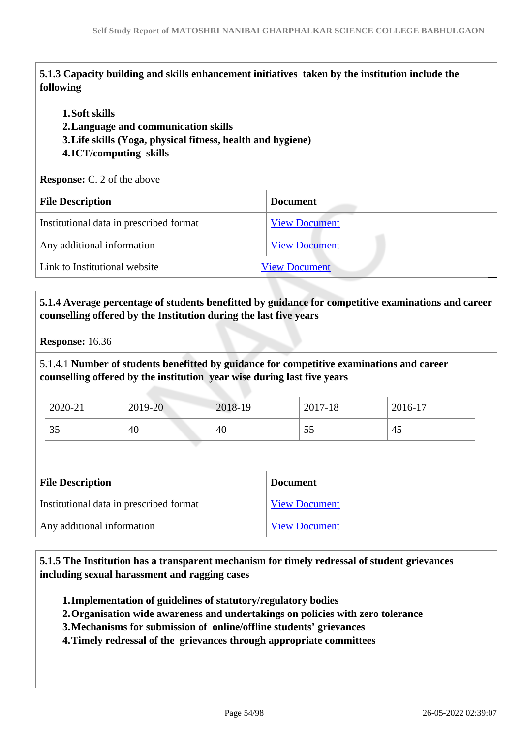**5.1.3 Capacity building and skills enhancement initiatives taken by the institution include the following**

#### **1.Soft skills**

**2.Language and communication skills** 

**3.Life skills (Yoga, physical fitness, health and hygiene)**

#### **4.ICT/computing skills**

**Response:** C. 2 of the above

| <b>File Description</b>                 | <b>Document</b>      |  |
|-----------------------------------------|----------------------|--|
| Institutional data in prescribed format | <b>View Document</b> |  |
| Any additional information              | <b>View Document</b> |  |
| Link to Institutional website           | <b>View Document</b> |  |
|                                         |                      |  |

# **5.1.4 Average percentage of students benefitted by guidance for competitive examinations and career counselling offered by the Institution during the last five years**

**Response:** 16.36

5.1.4.1 **Number of students benefitted by guidance for competitive examinations and career counselling offered by the institution year wise during last five years**

| 2020-21 | 2019-20 | 2018-19 | 2017-18 | 2016-17 |
|---------|---------|---------|---------|---------|
| 35      | 40      | 40      | ັບ      | 45      |

| <b>File Description</b>                 | <b>Document</b>      |  |  |
|-----------------------------------------|----------------------|--|--|
| Institutional data in prescribed format | <b>View Document</b> |  |  |
| Any additional information              | <b>View Document</b> |  |  |

 **5.1.5 The Institution has a transparent mechanism for timely redressal of student grievances including sexual harassment and ragging cases**

**1.Implementation of guidelines of statutory/regulatory bodies**

- **2.Organisation wide awareness and undertakings on policies with zero tolerance**
- **3.Mechanisms for submission of online/offline students' grievances**
- **4.Timely redressal of the grievances through appropriate committees**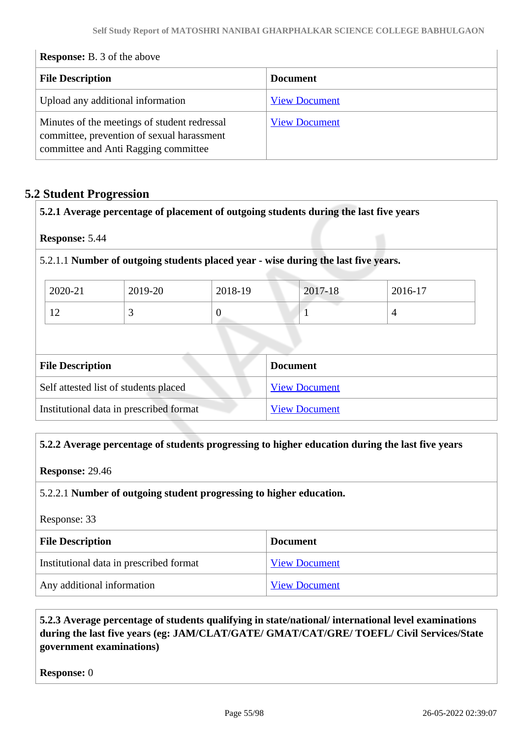| <b>Response:</b> B. 3 of the above |  |  |  |  |
|------------------------------------|--|--|--|--|
|------------------------------------|--|--|--|--|

| <b>File Description</b>                                                                                                            | <b>Document</b>      |  |
|------------------------------------------------------------------------------------------------------------------------------------|----------------------|--|
| Upload any additional information                                                                                                  | <b>View Document</b> |  |
| Minutes of the meetings of student redressal<br>committee, prevention of sexual harassment<br>committee and Anti Ragging committee | <b>View Document</b> |  |

# **5.2 Student Progression**

| 5.2.1 Average percentage of placement of outgoing students during the last five years |
|---------------------------------------------------------------------------------------|
|                                                                                       |

**Response:** 5.44

5.2.1.1 **Number of outgoing students placed year - wise during the last five years.**

| 2020-21     | 2019-20 | 2018-19 | 2017-18 | 2016-17 |
|-------------|---------|---------|---------|---------|
| $\sim$<br>┸ |         |         |         |         |

| <b>File Description</b>                 | <b>Document</b>      |
|-----------------------------------------|----------------------|
| Self attested list of students placed   | <b>View Document</b> |
| Institutional data in prescribed format | <b>View Document</b> |

#### **5.2.2 Average percentage of students progressing to higher education during the last five years**

**Response:** 29.46

5.2.2.1 **Number of outgoing student progressing to higher education.**

| Response: 33 |  |
|--------------|--|
|--------------|--|

| <b>File Description</b>                 | <b>Document</b>      |  |
|-----------------------------------------|----------------------|--|
| Institutional data in prescribed format | <b>View Document</b> |  |
| Any additional information              | <b>View Document</b> |  |

# **5.2.3 Average percentage of students qualifying in state/national/ international level examinations during the last five years (eg: JAM/CLAT/GATE/ GMAT/CAT/GRE/ TOEFL/ Civil Services/State government examinations)**

**Response:** 0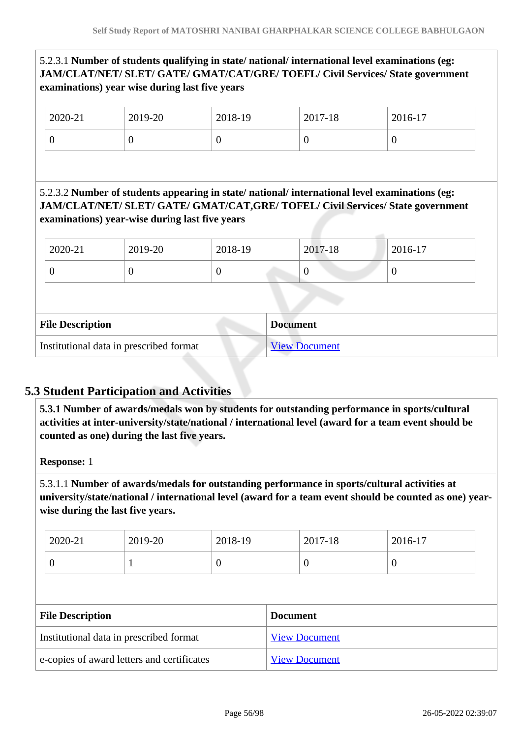# 5.2.3.1 **Number of students qualifying in state/ national/ international level examinations (eg: JAM/CLAT/NET/ SLET/ GATE/ GMAT/CAT/GRE/ TOEFL/ Civil Services/ State government examinations) year wise during last five years**

| 2020-21 | 2019-20 | 2018-19 | 2017-18 | 2016-17          |
|---------|---------|---------|---------|------------------|
| ν       |         | v       |         | $\boldsymbol{0}$ |

5.2.3.2 **Number of students appearing in state/ national/ international level examinations (eg: JAM/CLAT/NET/ SLET/ GATE/ GMAT/CAT,GRE/ TOFEL/ Civil Services/ State government examinations) year-wise during last five years**

| 2020-21                                    | 2019-20 | 2018-19  | 2017-18              | 2016-17          |
|--------------------------------------------|---------|----------|----------------------|------------------|
| $\boldsymbol{0}$                           | U       | $\theta$ |                      | $\boldsymbol{0}$ |
|                                            |         |          |                      |                  |
| <b>File Description</b><br><b>Document</b> |         |          |                      |                  |
| Institutional data in prescribed format    |         |          | <b>View Document</b> |                  |

# **5.3 Student Participation and Activities**

 **5.3.1 Number of awards/medals won by students for outstanding performance in sports/cultural activities at inter-university/state/national / international level (award for a team event should be counted as one) during the last five years.**

**Response:** 1

5.3.1.1 **Number of awards/medals for outstanding performance in sports/cultural activities at university/state/national / international level (award for a team event should be counted as one) yearwise during the last five years.**

| $E1. \nD 1.4$ |         |         | $\mathbf{D}$ and $\mathbf{D}$ |          |  |
|---------------|---------|---------|-------------------------------|----------|--|
|               |         |         |                               |          |  |
|               |         |         |                               |          |  |
| U             |         |         | U                             | $\theta$ |  |
| 2020-21       | 2019-20 | 2018-19 | 2017-18                       | 2016-17  |  |

| <b>File Description</b>                    | <b>Document</b>      |
|--------------------------------------------|----------------------|
| Institutional data in prescribed format    | <b>View Document</b> |
| e-copies of award letters and certificates | <b>View Document</b> |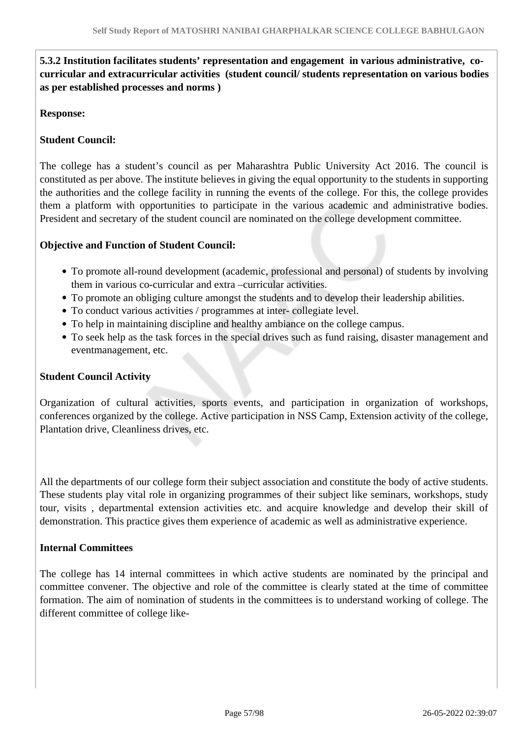# **5.3.2 Institution facilitates students' representation and engagement in various administrative, cocurricular and extracurricular activities (student council/ students representation on various bodies as per established processes and norms )**

#### **Response:**

# **Student Council:**

The college has a student's council as per Maharashtra Public University Act 2016. The council is constituted as per above. The institute believes in giving the equal opportunity to the students in supporting the authorities and the college facility in running the events of the college. For this, the college provides them a platform with opportunities to participate in the various academic and administrative bodies. President and secretary of the student council are nominated on the college development committee.

#### **Objective and Function of Student Council:**

- To promote all-round development (academic, professional and personal) of students by involving them in various co-curricular and extra –curricular activities.
- To promote an obliging culture amongst the students and to develop their leadership abilities.
- To conduct various activities / programmes at inter- collegiate level.
- To help in maintaining discipline and healthy ambiance on the college campus.
- To seek help as the task forces in the special drives such as fund raising, disaster management and eventmanagement, etc.

#### **Student Council Activity**

Organization of cultural activities, sports events, and participation in organization of workshops, conferences organized by the college. Active participation in NSS Camp, Extension activity of the college, Plantation drive, Cleanliness drives, etc.

All the departments of our college form their subject association and constitute the body of active students. These students play vital role in organizing programmes of their subject like seminars, workshops, study tour, visits , departmental extension activities etc. and acquire knowledge and develop their skill of demonstration. This practice gives them experience of academic as well as administrative experience.

#### **Internal Committees**

The college has 14 internal committees in which active students are nominated by the principal and committee convener. The objective and role of the committee is clearly stated at the time of committee formation. The aim of nomination of students in the committees is to understand working of college. The different committee of college like-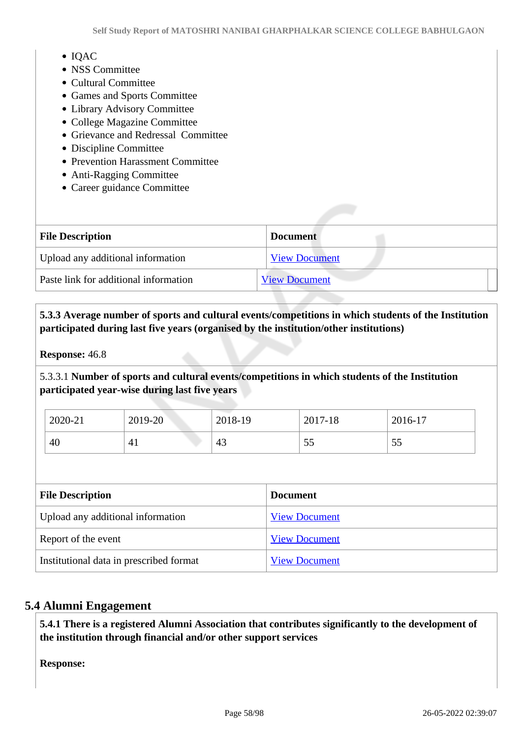- $\bullet$  IOAC
- NSS Committee
- Cultural Committee
- Games and Sports Committee
- Library Advisory Committee
- College Magazine Committee
- Grievance and Redressal Committee
- Discipline Committee
- Prevention Harassment Committee
- Anti-Ragging Committee
- Career guidance Committee

| <b>File Description</b>               | <b>Document</b>      |
|---------------------------------------|----------------------|
| Upload any additional information     | <b>View Document</b> |
| Paste link for additional information | <b>View Document</b> |

 **5.3.3 Average number of sports and cultural events/competitions in which students of the Institution participated during last five years (organised by the institution/other institutions)**

**Response:** 46.8

5.3.3.1 **Number of sports and cultural events/competitions in which students of the Institution participated year-wise during last five years**

| 2020-21 | 2019-20 | 2018-19 | 2017-18   | 2016-17  |
|---------|---------|---------|-----------|----------|
| 40      | $4_{1}$ | 43      | - -<br>ັບ | 55<br>JJ |

| <b>File Description</b>                 | <b>Document</b>      |
|-----------------------------------------|----------------------|
| Upload any additional information       | <b>View Document</b> |
| Report of the event                     | <b>View Document</b> |
| Institutional data in prescribed format | <b>View Document</b> |

#### **5.4 Alumni Engagement**

 **5.4.1 There is a registered Alumni Association that contributes significantly to the development of the institution through financial and/or other support services**

**Response:**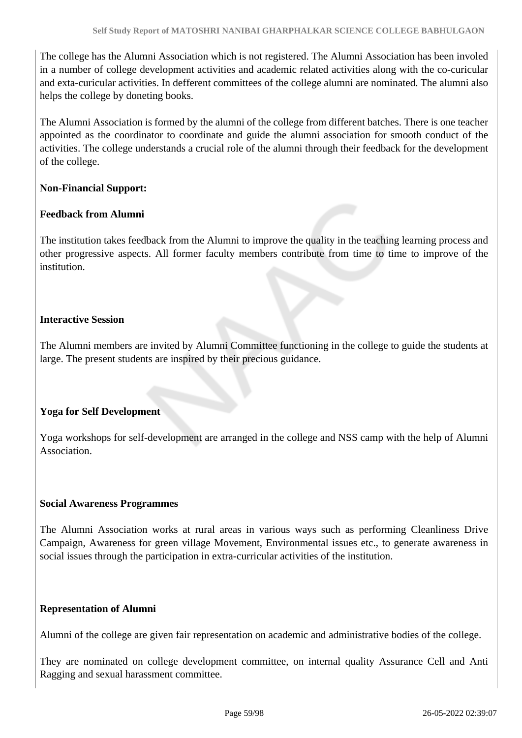The college has the Alumni Association which is not registered. The Alumni Association has been involed in a number of college development activities and academic related activities along with the co-curicular and exta-curicular activities. In defferent committees of the college alumni are nominated. The alumni also helps the college by doneting books.

The Alumni Association is formed by the alumni of the college from different batches. There is one teacher appointed as the coordinator to coordinate and guide the alumni association for smooth conduct of the activities. The college understands a crucial role of the alumni through their feedback for the development of the college.

#### **Non-Financial Support:**

#### **Feedback from Alumni**

The institution takes feedback from the Alumni to improve the quality in the teaching learning process and other progressive aspects. All former faculty members contribute from time to time to improve of the institution.

# **Interactive Session**

The Alumni members are invited by Alumni Committee functioning in the college to guide the students at large. The present students are inspired by their precious guidance.

#### **Yoga for Self Development**

Yoga workshops for self-development are arranged in the college and NSS camp with the help of Alumni **Association** 

#### **Social Awareness Programmes**

The Alumni Association works at rural areas in various ways such as performing Cleanliness Drive Campaign, Awareness for green village Movement, Environmental issues etc., to generate awareness in social issues through the participation in extra-curricular activities of the institution.

#### **Representation of Alumni**

Alumni of the college are given fair representation on academic and administrative bodies of the college.

They are nominated on college development committee, on internal quality Assurance Cell and Anti Ragging and sexual harassment committee.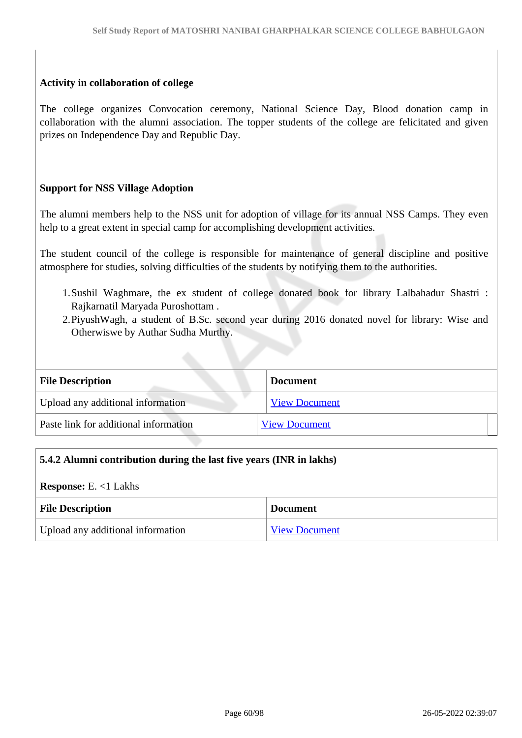#### **Activity in collaboration of college**

The college organizes Convocation ceremony, National Science Day, Blood donation camp in collaboration with the alumni association. The topper students of the college are felicitated and given prizes on Independence Day and Republic Day.

#### **Support for NSS Village Adoption**

The alumni members help to the NSS unit for adoption of village for its annual NSS Camps. They even help to a great extent in special camp for accomplishing development activities.

The student council of the college is responsible for maintenance of general discipline and positive atmosphere for studies, solving difficulties of the students by notifying them to the authorities.

- 1.Sushil Waghmare, the ex student of college donated book for library Lalbahadur Shastri : Rajkarnatil Maryada Puroshottam .
- 2.PiyushWagh, a student of B.Sc. second year during 2016 donated novel for library: Wise and Otherwiswe by Authar Sudha Murthy.

| <b>File Description</b>               | <b>Document</b>      |
|---------------------------------------|----------------------|
| Upload any additional information     | <b>View Document</b> |
| Paste link for additional information | <b>View Document</b> |

#### **5.4.2 Alumni contribution during the last five years (INR in lakhs)**

**Response:** E. <1 Lakhs

| <b>File Description</b>           | <b>Document</b>      |
|-----------------------------------|----------------------|
| Upload any additional information | <b>View Document</b> |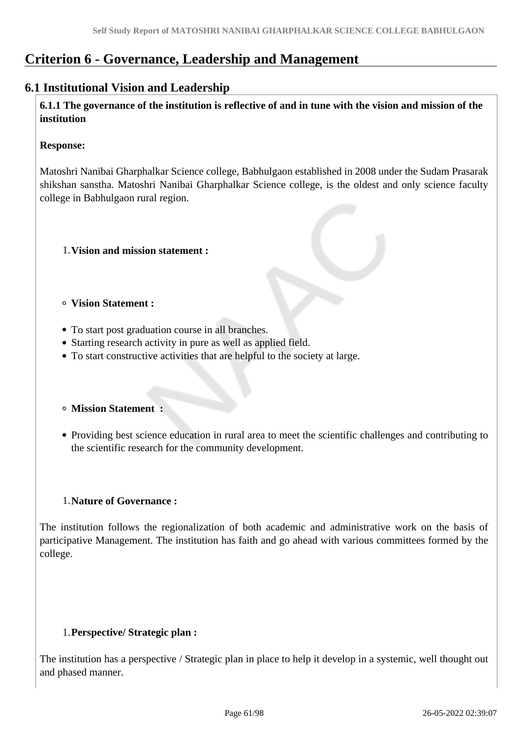# **Criterion 6 - Governance, Leadership and Management**

# **6.1 Institutional Vision and Leadership**

 **6.1.1 The governance of the institution is reflective of and in tune with the vision and mission of the institution**

#### **Response:**

Matoshri Nanibai Gharphalkar Science college, Babhulgaon established in 2008 under the Sudam Prasarak shikshan sanstha. Matoshri Nanibai Gharphalkar Science college, is the oldest and only science faculty college in Babhulgaon rural region.

- 1.**Vision and mission statement :**
- **Vision Statement :**
- To start post graduation course in all branches.
- Starting research activity in pure as well as applied field.
- To start constructive activities that are helpful to the society at large.
- **Mission Statement :**
- Providing best science education in rural area to meet the scientific challenges and contributing to the scientific research for the community development.

#### 1.**Nature of Governance :**

The institution follows the regionalization of both academic and administrative work on the basis of participative Management. The institution has faith and go ahead with various committees formed by the college.

#### 1.**Perspective/ Strategic plan :**

The institution has a perspective / Strategic plan in place to help it develop in a systemic, well thought out and phased manner.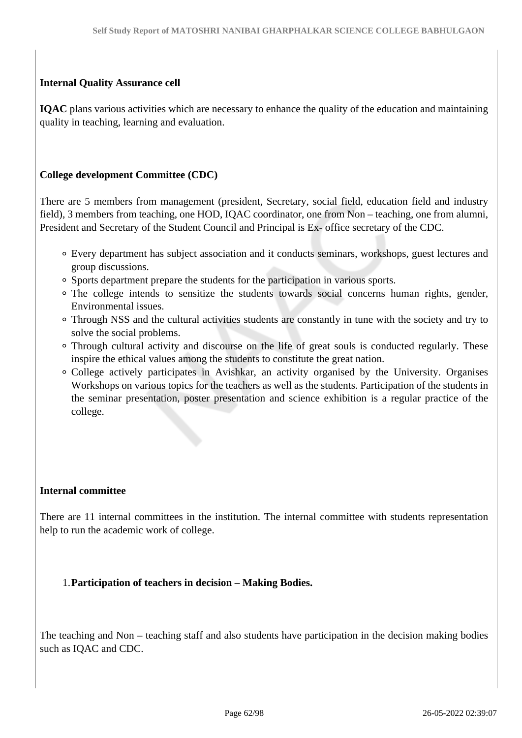#### **Internal Quality Assurance cell**

**IQAC** plans various activities which are necessary to enhance the quality of the education and maintaining quality in teaching, learning and evaluation.

#### **College development Committee (CDC)**

There are 5 members from management (president, Secretary, social field, education field and industry field), 3 members from teaching, one HOD, IQAC coordinator, one from Non – teaching, one from alumni, President and Secretary of the Student Council and Principal is Ex- office secretary of the CDC.

- Every department has subject association and it conducts seminars, workshops, guest lectures and group discussions.
- Sports department prepare the students for the participation in various sports.
- The college intends to sensitize the students towards social concerns human rights, gender, Environmental issues.
- Through NSS and the cultural activities students are constantly in tune with the society and try to solve the social problems.
- Through cultural activity and discourse on the life of great souls is conducted regularly. These inspire the ethical values among the students to constitute the great nation.
- College actively participates in Avishkar, an activity organised by the University. Organises Workshops on various topics for the teachers as well as the students. Participation of the students in the seminar presentation, poster presentation and science exhibition is a regular practice of the college.

#### **Internal committee**

There are 11 internal committees in the institution. The internal committee with students representation help to run the academic work of college.

#### 1.**Participation of teachers in decision – Making Bodies.**

The teaching and Non – teaching staff and also students have participation in the decision making bodies such as IQAC and CDC.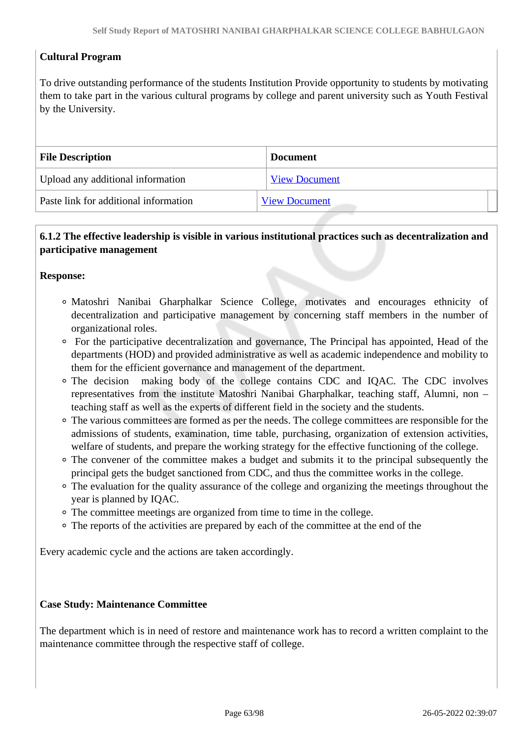# **Cultural Program**

To drive outstanding performance of the students Institution Provide opportunity to students by motivating them to take part in the various cultural programs by college and parent university such as Youth Festival by the University.

| <b>File Description</b>               | <b>Document</b>      |
|---------------------------------------|----------------------|
| Upload any additional information     | <b>View Document</b> |
| Paste link for additional information | <b>View Document</b> |

# **6.1.2 The effective leadership is visible in various institutional practices such as decentralization and participative management**

#### **Response:**

- Matoshri Nanibai Gharphalkar Science College, motivates and encourages ethnicity of decentralization and participative management by concerning staff members in the number of organizational roles.
- For the participative decentralization and governance, The Principal has appointed, Head of the departments (HOD) and provided administrative as well as academic independence and mobility to them for the efficient governance and management of the department.
- The decision making body of the college contains CDC and IQAC. The CDC involves representatives from the institute Matoshri Nanibai Gharphalkar, teaching staff, Alumni, non – teaching staff as well as the experts of different field in the society and the students.
- The various committees are formed as per the needs. The college committees are responsible for the admissions of students, examination, time table, purchasing, organization of extension activities, welfare of students, and prepare the working strategy for the effective functioning of the college.
- The convener of the committee makes a budget and submits it to the principal subsequently the principal gets the budget sanctioned from CDC, and thus the committee works in the college.
- The evaluation for the quality assurance of the college and organizing the meetings throughout the year is planned by IQAC.
- The committee meetings are organized from time to time in the college.
- The reports of the activities are prepared by each of the committee at the end of the

Every academic cycle and the actions are taken accordingly.

#### **Case Study: Maintenance Committee**

The department which is in need of restore and maintenance work has to record a written complaint to the maintenance committee through the respective staff of college.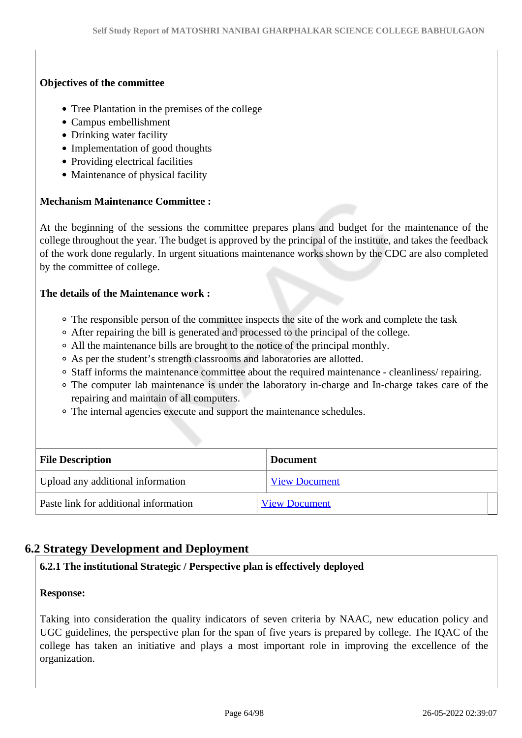# **Objectives of the committee**

- Tree Plantation in the premises of the college
- Campus embellishment
- Drinking water facility
- Implementation of good thoughts
- Providing electrical facilities
- Maintenance of physical facility

# **Mechanism Maintenance Committee :**

At the beginning of the sessions the committee prepares plans and budget for the maintenance of the college throughout the year. The budget is approved by the principal of the institute, and takes the feedback of the work done regularly. In urgent situations maintenance works shown by the CDC are also completed by the committee of college.

#### **The details of the Maintenance work :**

- The responsible person of the committee inspects the site of the work and complete the task
- After repairing the bill is generated and processed to the principal of the college.
- All the maintenance bills are brought to the notice of the principal monthly.
- As per the student's strength classrooms and laboratories are allotted.
- Staff informs the maintenance committee about the required maintenance cleanliness/ repairing.
- The computer lab maintenance is under the laboratory in-charge and In-charge takes care of the repairing and maintain of all computers.
- The internal agencies execute and support the maintenance schedules.

| <b>File Description</b>               | <b>Document</b>      |
|---------------------------------------|----------------------|
| Upload any additional information     | <b>View Document</b> |
| Paste link for additional information | <b>View Document</b> |

# **6.2 Strategy Development and Deployment**

# **6.2.1 The institutional Strategic / Perspective plan is effectively deployed**

#### **Response:**

Taking into consideration the quality indicators of seven criteria by NAAC, new education policy and UGC guidelines, the perspective plan for the span of five years is prepared by college. The IQAC of the college has taken an initiative and plays a most important role in improving the excellence of the organization.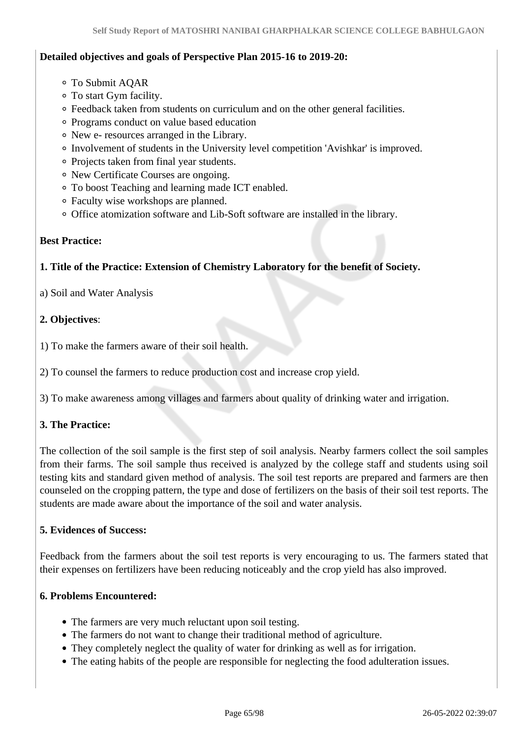### **Detailed objectives and goals of Perspective Plan 2015-16 to 2019-20:**

- To Submit AQAR
- To start Gym facility.
- Feedback taken from students on curriculum and on the other general facilities.
- Programs conduct on value based education
- New e- resources arranged in the Library.
- Involvement of students in the University level competition 'Avishkar' is improved.
- Projects taken from final year students.
- New Certificate Courses are ongoing.
- To boost Teaching and learning made ICT enabled.
- Faculty wise workshops are planned.
- Office atomization software and Lib-Soft software are installed in the library.

#### **Best Practice:**

# **1. Title of the Practice: Extension of Chemistry Laboratory for the benefit of Society.**

a) Soil and Water Analysis

# **2. Objectives**:

1) To make the farmers aware of their soil health.

2) To counsel the farmers to reduce production cost and increase crop yield.

3) To make awareness among villages and farmers about quality of drinking water and irrigation.

# **3. The Practice:**

The collection of the soil sample is the first step of soil analysis. Nearby farmers collect the soil samples from their farms. The soil sample thus received is analyzed by the college staff and students using soil testing kits and standard given method of analysis. The soil test reports are prepared and farmers are then counseled on the cropping pattern, the type and dose of fertilizers on the basis of their soil test reports. The students are made aware about the importance of the soil and water analysis.

#### **5. Evidences of Success:**

Feedback from the farmers about the soil test reports is very encouraging to us. The farmers stated that their expenses on fertilizers have been reducing noticeably and the crop yield has also improved.

#### **6. Problems Encountered:**

- The farmers are very much reluctant upon soil testing.
- The farmers do not want to change their traditional method of agriculture.
- They completely neglect the quality of water for drinking as well as for irrigation.
- The eating habits of the people are responsible for neglecting the food adulteration issues.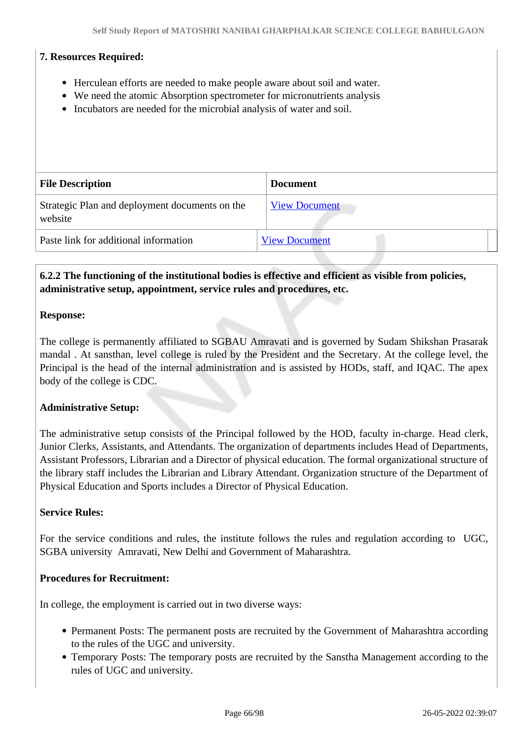#### **7. Resources Required:**

- Herculean efforts are needed to make people aware about soil and water.
- We need the atomic Absorption spectrometer for micronutrients analysis
- Incubators are needed for the microbial analysis of water and soil.

| <b>File Description</b>                                   | <b>Document</b>      |
|-----------------------------------------------------------|----------------------|
| Strategic Plan and deployment documents on the<br>website | <b>View Document</b> |
| Paste link for additional information                     | <b>View Document</b> |

## **6.2.2 The functioning of the institutional bodies is effective and efficient as visible from policies, administrative setup, appointment, service rules and procedures, etc.**

#### **Response:**

The college is permanently affiliated to SGBAU Amravati and is governed by Sudam Shikshan Prasarak mandal . At sansthan, level college is ruled by the President and the Secretary. At the college level, the Principal is the head of the internal administration and is assisted by HODs, staff, and IQAC. The apex body of the college is CDC.

#### **Administrative Setup:**

The administrative setup consists of the Principal followed by the HOD, faculty in-charge. Head clerk, Junior Clerks, Assistants, and Attendants. The organization of departments includes Head of Departments, Assistant Professors, Librarian and a Director of physical education. The formal organizational structure of the library staff includes the Librarian and Library Attendant. Organization structure of the Department of Physical Education and Sports includes a Director of Physical Education.

#### **Service Rules:**

For the service conditions and rules, the institute follows the rules and regulation according to UGC, SGBA university Amravati, New Delhi and Government of Maharashtra.

#### **Procedures for Recruitment:**

In college, the employment is carried out in two diverse ways:

- Permanent Posts: The permanent posts are recruited by the Government of Maharashtra according to the rules of the UGC and university.
- Temporary Posts: The temporary posts are recruited by the Sanstha Management according to the rules of UGC and university.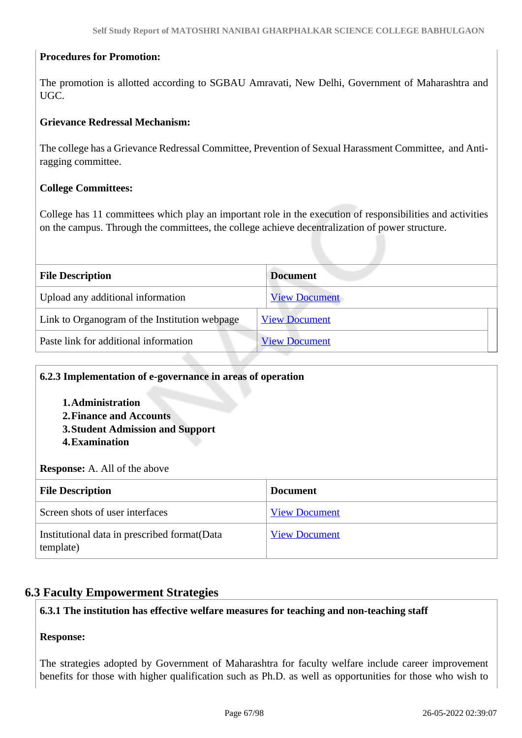#### **Procedures for Promotion:**

The promotion is allotted according to SGBAU Amravati, New Delhi, Government of Maharashtra and UGC.

#### **Grievance Redressal Mechanism:**

The college has a Grievance Redressal Committee, Prevention of Sexual Harassment Committee, and Antiragging committee.

#### **College Committees:**

College has 11 committees which play an important role in the execution of responsibilities and activities on the campus. Through the committees, the college achieve decentralization of power structure.

| <b>File Description</b>                       | <b>Document</b>      |
|-----------------------------------------------|----------------------|
| Upload any additional information             | <b>View Document</b> |
| Link to Organogram of the Institution webpage | <b>View Document</b> |
| Paste link for additional information         | <b>View Document</b> |

## **6.2.3 Implementation of e-governance in areas of operation**

- **1.Administration**
- **2.Finance and Accounts**
- **3.Student Admission and Support**
- **4.Examination**

**Response:** A. All of the above

| <b>File Description</b>                                    | <b>Document</b>      |
|------------------------------------------------------------|----------------------|
| Screen shots of user interfaces                            | <b>View Document</b> |
| Institutional data in prescribed format (Data<br>template) | <b>View Document</b> |

#### **6.3 Faculty Empowerment Strategies**

#### **6.3.1 The institution has effective welfare measures for teaching and non-teaching staff**

#### **Response:**

The strategies adopted by Government of Maharashtra for faculty welfare include career improvement benefits for those with higher qualification such as Ph.D. as well as opportunities for those who wish to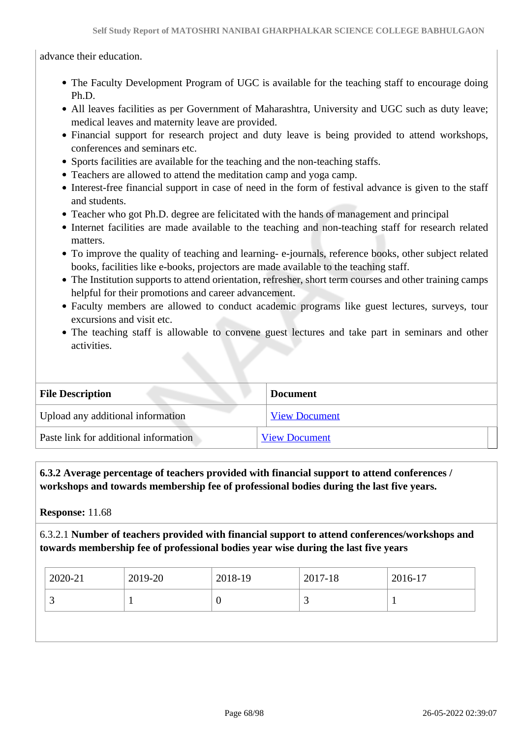advance their education.

- The Faculty Development Program of UGC is available for the teaching staff to encourage doing Ph.D.
- All leaves facilities as per Government of Maharashtra, University and UGC such as duty leave; medical leaves and maternity leave are provided.
- Financial support for research project and duty leave is being provided to attend workshops, conferences and seminars etc.
- Sports facilities are available for the teaching and the non-teaching staffs.
- Teachers are allowed to attend the meditation camp and yoga camp.
- Interest-free financial support in case of need in the form of festival advance is given to the staff and students.
- Teacher who got Ph.D. degree are felicitated with the hands of management and principal
- Internet facilities are made available to the teaching and non-teaching staff for research related matters.
- To improve the quality of teaching and learning- e-journals, reference books, other subject related books, facilities like e-books, projectors are made available to the teaching staff.
- The Institution supports to attend orientation, refresher, short term courses and other training camps helpful for their promotions and career advancement.
- Faculty members are allowed to conduct academic programs like guest lectures, surveys, tour excursions and visit etc.
- The teaching staff is allowable to convene guest lectures and take part in seminars and other activities.

| <b>File Description</b>               | <b>Document</b>      |
|---------------------------------------|----------------------|
| Upload any additional information     | <b>View Document</b> |
| Paste link for additional information | <b>View Document</b> |

# **6.3.2 Average percentage of teachers provided with financial support to attend conferences / workshops and towards membership fee of professional bodies during the last five years.**

**Response:** 11.68

6.3.2.1 **Number of teachers provided with financial support to attend conferences/workshops and towards membership fee of professional bodies year wise during the last five years**

| 2020-21 | 2019-20 | 2018-19 | 2017-18 | 2016-17 |
|---------|---------|---------|---------|---------|
|         |         | U       | ~       |         |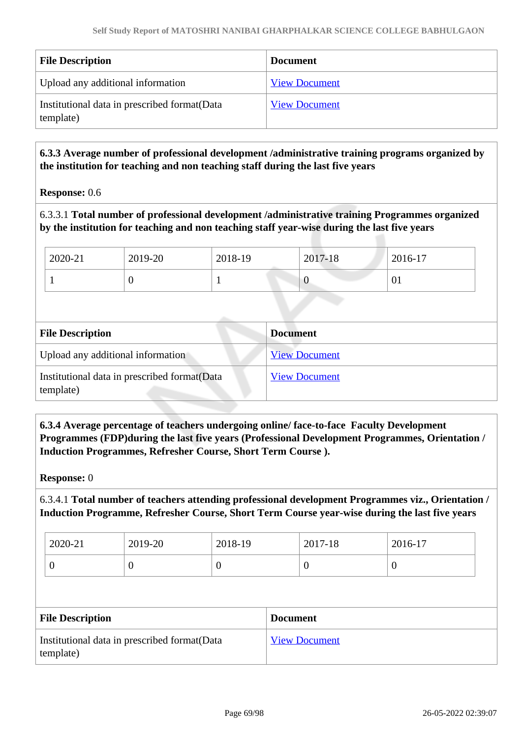| <b>File Description</b>                                    | <b>Document</b>      |
|------------------------------------------------------------|----------------------|
| Upload any additional information                          | <b>View Document</b> |
| Institutional data in prescribed format (Data<br>template) | <b>View Document</b> |

 **6.3.3 Average number of professional development /administrative training programs organized by the institution for teaching and non teaching staff during the last five years**

**Response:** 0.6

6.3.3.1 **Total number of professional development /administrative training Programmes organized by the institution for teaching and non teaching staff year-wise during the last five years**

| 2020-21 | 2019-20 | 2018-19 | 2017-18     | 2016-17      |
|---------|---------|---------|-------------|--------------|
|         | ◡       |         | $\mathbf v$ | $\degree$ 01 |

| <b>File Description</b>                                   | <b>Document</b>      |  |
|-----------------------------------------------------------|----------------------|--|
| Upload any additional information                         | <b>View Document</b> |  |
| Institutional data in prescribed format(Data<br>template) | <b>View Document</b> |  |

 **6.3.4 Average percentage of teachers undergoing online/ face-to-face Faculty Development Programmes (FDP)during the last five years (Professional Development Programmes, Orientation / Induction Programmes, Refresher Course, Short Term Course ).**

**Response:** 0

6.3.4.1 **Total number of teachers attending professional development Programmes viz., Orientation / Induction Programme, Refresher Course, Short Term Course year-wise during the last five years**

| 2020-21 | 2019-20 | 2018-19 | 2017-18 | 2016-17 |
|---------|---------|---------|---------|---------|
| ິ       | ິ       |         |         | ν       |

| <b>File Description</b>                                    | <b>Document</b>      |
|------------------------------------------------------------|----------------------|
| Institutional data in prescribed format (Data<br>template) | <b>View Document</b> |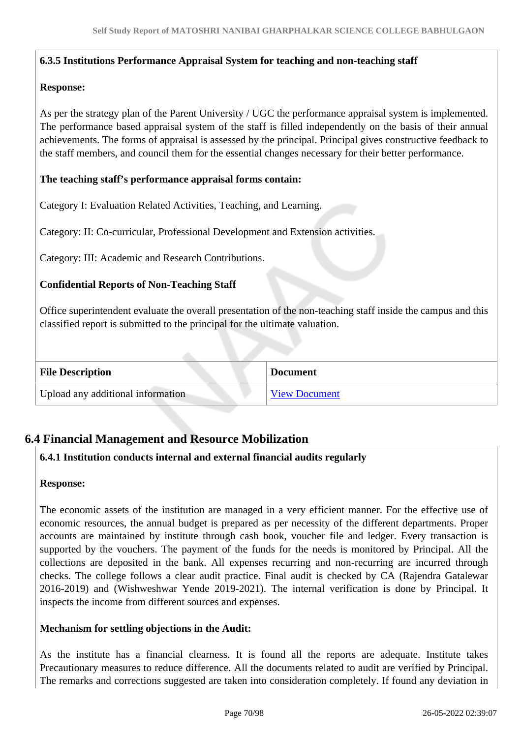#### **6.3.5 Institutions Performance Appraisal System for teaching and non-teaching staff**

#### **Response:**

As per the strategy plan of the Parent University / UGC the performance appraisal system is implemented. The performance based appraisal system of the staff is filled independently on the basis of their annual achievements. The forms of appraisal is assessed by the principal. Principal gives constructive feedback to the staff members, and council them for the essential changes necessary for their better performance.

#### **The teaching staff's performance appraisal forms contain:**

Category I: Evaluation Related Activities, Teaching, and Learning.

Category: II: Co-curricular, Professional Development and Extension activities.

Category: III: Academic and Research Contributions.

## **Confidential Reports of Non-Teaching Staff**

Office superintendent evaluate the overall presentation of the non-teaching staff inside the campus and this classified report is submitted to the principal for the ultimate valuation.

| <b>File Description</b>           | <b>Document</b>      |
|-----------------------------------|----------------------|
| Upload any additional information | <b>View Document</b> |

# **6.4 Financial Management and Resource Mobilization**

#### **6.4.1 Institution conducts internal and external financial audits regularly**

#### **Response:**

The economic assets of the institution are managed in a very efficient manner. For the effective use of economic resources, the annual budget is prepared as per necessity of the different departments. Proper accounts are maintained by institute through cash book, voucher file and ledger. Every transaction is supported by the vouchers. The payment of the funds for the needs is monitored by Principal. All the collections are deposited in the bank. All expenses recurring and non-recurring are incurred through checks. The college follows a clear audit practice. Final audit is checked by CA (Rajendra Gatalewar 2016-2019) and (Wishweshwar Yende 2019-2021). The internal verification is done by Principal. It inspects the income from different sources and expenses.

#### **Mechanism for settling objections in the Audit:**

As the institute has a financial clearness. It is found all the reports are adequate. Institute takes Precautionary measures to reduce difference. All the documents related to audit are verified by Principal. The remarks and corrections suggested are taken into consideration completely. If found any deviation in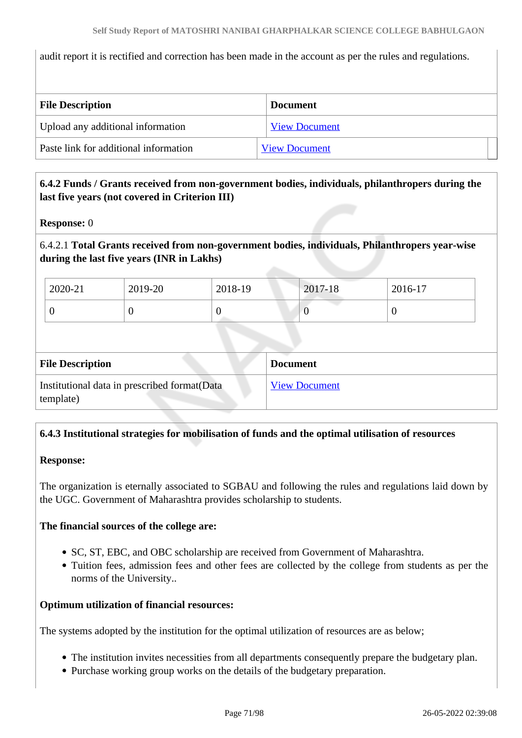audit report it is rectified and correction has been made in the account as per the rules and regulations.

| <b>File Description</b>               | <b>Document</b>      |  |
|---------------------------------------|----------------------|--|
| Upload any additional information     | <b>View Document</b> |  |
| Paste link for additional information | <b>View Document</b> |  |

# **6.4.2 Funds / Grants received from non-government bodies, individuals, philanthropers during the last five years (not covered in Criterion III)**

#### **Response:** 0

# 6.4.2.1 **Total Grants received from non-government bodies, individuals, Philanthropers year-wise during the last five years (INR in Lakhs)**

| 2020-21 | 2019-20 | 2018-19 | 2017-18 | 2016-17 |
|---------|---------|---------|---------|---------|
|         |         |         |         |         |

| <b>File Description</b>                                    | <b>Document</b>      |
|------------------------------------------------------------|----------------------|
| Institutional data in prescribed format (Data<br>template) | <b>View Document</b> |

# **6.4.3 Institutional strategies for mobilisation of funds and the optimal utilisation of resources**

#### **Response:**

The organization is eternally associated to SGBAU and following the rules and regulations laid down by the UGC. Government of Maharashtra provides scholarship to students.

#### **The financial sources of the college are:**

- SC, ST, EBC, and OBC scholarship are received from Government of Maharashtra.
- Tuition fees, admission fees and other fees are collected by the college from students as per the norms of the University..

#### **Optimum utilization of financial resources:**

The systems adopted by the institution for the optimal utilization of resources are as below;

- The institution invites necessities from all departments consequently prepare the budgetary plan.
- Purchase working group works on the details of the budgetary preparation.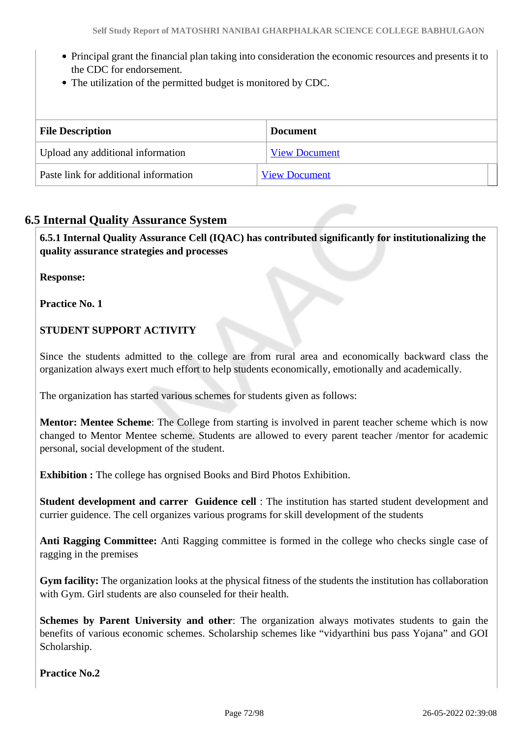- Principal grant the financial plan taking into consideration the economic resources and presents it to the CDC for endorsement.
- The utilization of the permitted budget is monitored by CDC.

| <b>File Description</b>               | <b>Document</b>      |
|---------------------------------------|----------------------|
| Upload any additional information     | <b>View Document</b> |
| Paste link for additional information | <b>View Document</b> |

# **6.5 Internal Quality Assurance System**

 **6.5.1 Internal Quality Assurance Cell (IQAC) has contributed significantly for institutionalizing the quality assurance strategies and processes**

**Response:** 

**Practice No. 1**

# **STUDENT SUPPORT ACTIVITY**

Since the students admitted to the college are from rural area and economically backward class the organization always exert much effort to help students economically, emotionally and academically.

The organization has started various schemes for students given as follows:

**Mentor: Mentee Scheme**: The College from starting is involved in parent teacher scheme which is now changed to Mentor Mentee scheme. Students are allowed to every parent teacher /mentor for academic personal, social development of the student.

**Exhibition :** The college has orgnised Books and Bird Photos Exhibition.

**Student development and carrer Guidence cell** : The institution has started student development and currier guidence. The cell organizes various programs for skill development of the students

**Anti Ragging Committee:** Anti Ragging committee is formed in the college who checks single case of ragging in the premises

**Gym facility:** The organization looks at the physical fitness of the students the institution has collaboration with Gym. Girl students are also counseled for their health.

**Schemes by Parent University and other**: The organization always motivates students to gain the benefits of various economic schemes. Scholarship schemes like "vidyarthini bus pass Yojana" and GOI Scholarship.

**Practice No.2**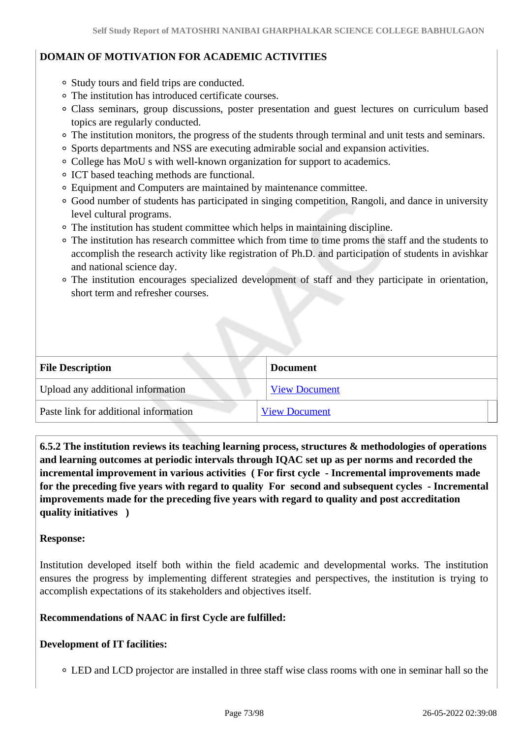## **DOMAIN OF MOTIVATION FOR ACADEMIC ACTIVITIES**

- Study tours and field trips are conducted.
- The institution has introduced certificate courses.
- Class seminars, group discussions, poster presentation and guest lectures on curriculum based topics are regularly conducted.
- The institution monitors, the progress of the students through terminal and unit tests and seminars.
- Sports departments and NSS are executing admirable social and expansion activities.
- College has MoU s with well-known organization for support to academics.
- ICT based teaching methods are functional.
- Equipment and Computers are maintained by maintenance committee.
- Good number of students has participated in singing competition, Rangoli, and dance in university level cultural programs.
- The institution has student committee which helps in maintaining discipline.
- The institution has research committee which from time to time proms the staff and the students to accomplish the research activity like registration of Ph.D. and participation of students in avishkar and national science day.
- The institution encourages specialized development of staff and they participate in orientation, short term and refresher courses.

| <b>File Description</b>               | <b>Document</b>      |
|---------------------------------------|----------------------|
| Upload any additional information     | <b>View Document</b> |
| Paste link for additional information | <b>View Document</b> |

 **6.5.2 The institution reviews its teaching learning process, structures & methodologies of operations and learning outcomes at periodic intervals through IQAC set up as per norms and recorded the incremental improvement in various activities ( For first cycle - Incremental improvements made for the preceding five years with regard to quality For second and subsequent cycles - Incremental improvements made for the preceding five years with regard to quality and post accreditation quality initiatives )** 

#### **Response:**

Institution developed itself both within the field academic and developmental works. The institution ensures the progress by implementing different strategies and perspectives, the institution is trying to accomplish expectations of its stakeholders and objectives itself.

## **Recommendations of NAAC in first Cycle are fulfilled:**

## **Development of IT facilities:**

LED and LCD projector are installed in three staff wise class rooms with one in seminar hall so the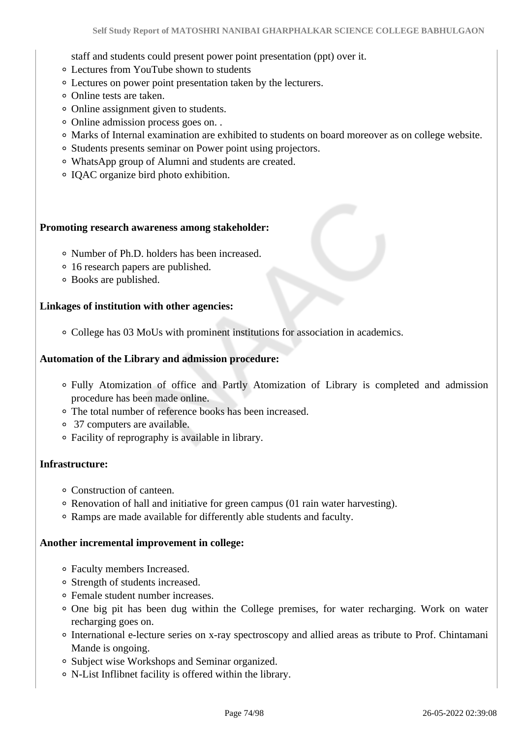staff and students could present power point presentation (ppt) over it.

- Lectures from YouTube shown to students
- Lectures on power point presentation taken by the lecturers.
- Online tests are taken.
- Online assignment given to students.
- Online admission process goes on. .
- Marks of Internal examination are exhibited to students on board moreover as on college website.
- Students presents seminar on Power point using projectors.
- WhatsApp group of Alumni and students are created.
- IQAC organize bird photo exhibition.

#### **Promoting research awareness among stakeholder:**

- Number of Ph.D. holders has been increased.
- 16 research papers are published.
- Books are published.

#### **Linkages of institution with other agencies:**

College has 03 MoUs with prominent institutions for association in academics.

#### **Automation of the Library and admission procedure:**

- Fully Atomization of office and Partly Atomization of Library is completed and admission procedure has been made online.
- The total number of reference books has been increased.
- 37 computers are available.
- Facility of reprography is available in library.

#### **Infrastructure:**

- Construction of canteen.
- Renovation of hall and initiative for green campus (01 rain water harvesting).
- Ramps are made available for differently able students and faculty.

#### **Another incremental improvement in college:**

- Faculty members Increased.
- Strength of students increased.
- Female student number increases.
- One big pit has been dug within the College premises, for water recharging. Work on water recharging goes on.
- International e-lecture series on x-ray spectroscopy and allied areas as tribute to Prof. Chintamani Mande is ongoing.
- Subject wise Workshops and Seminar organized.
- N-List Inflibnet facility is offered within the library.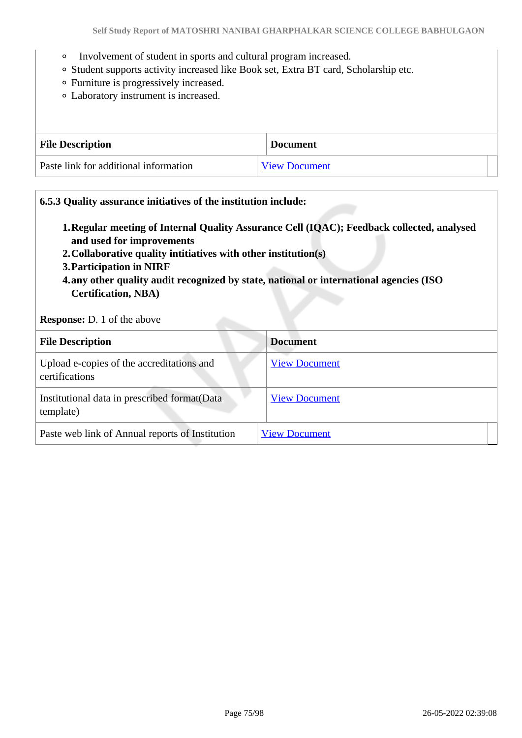- Involvement of student in sports and cultural program increased.
- Student supports activity increased like Book set, Extra BT card, Scholarship etc.
- Furniture is progressively increased.
- Laboratory instrument is increased.

| <b>File Description</b>               | <b>Document</b>      |
|---------------------------------------|----------------------|
| Paste link for additional information | <b>View Document</b> |

#### **6.5.3 Quality assurance initiatives of the institution include:**

- **1.Regular meeting of Internal Quality Assurance Cell (IQAC); Feedback collected, analysed and used for improvements**
- **2.Collaborative quality intitiatives with other institution(s)**
- **3.Participation in NIRF**
- **4.any other quality audit recognized by state, national or international agencies (ISO Certification, NBA)**

**Response:** D. 1 of the above

| <b>File Description</b>                                     | <b>Document</b>      |
|-------------------------------------------------------------|----------------------|
| Upload e-copies of the accreditations and<br>certifications | <b>View Document</b> |
| Institutional data in prescribed format (Data<br>template)  | <b>View Document</b> |
| Paste web link of Annual reports of Institution             | <b>View Document</b> |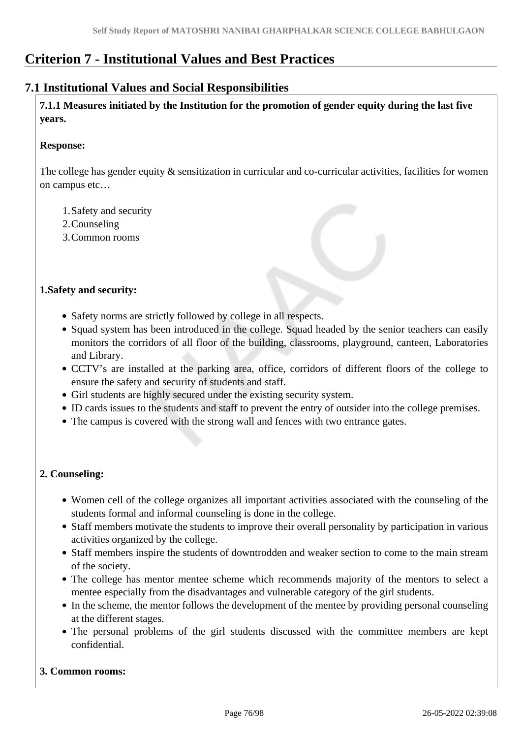# **Criterion 7 - Institutional Values and Best Practices**

## **7.1 Institutional Values and Social Responsibilities**

 **7.1.1 Measures initiated by the Institution for the promotion of gender equity during the last five years.**

#### **Response:**

The college has gender equity  $\&$  sensitization in curricular and co-curricular activities, facilities for women on campus etc…

- 1.Safety and security
- 2.Counseling
- 3.Common rooms

#### **1.Safety and security:**

- Safety norms are strictly followed by college in all respects.
- Squad system has been introduced in the college. Squad headed by the senior teachers can easily monitors the corridors of all floor of the building, classrooms, playground, canteen, Laboratories and Library.
- CCTV's are installed at the parking area, office, corridors of different floors of the college to ensure the safety and security of students and staff.
- Girl students are highly secured under the existing security system.
- ID cards issues to the students and staff to prevent the entry of outsider into the college premises.
- The campus is covered with the strong wall and fences with two entrance gates.

#### **2. Counseling:**

- Women cell of the college organizes all important activities associated with the counseling of the students formal and informal counseling is done in the college.
- Staff members motivate the students to improve their overall personality by participation in various activities organized by the college.
- Staff members inspire the students of downtrodden and weaker section to come to the main stream of the society.
- The college has mentor mentee scheme which recommends majority of the mentors to select a mentee especially from the disadvantages and vulnerable category of the girl students.
- In the scheme, the mentor follows the development of the mentee by providing personal counseling at the different stages.
- The personal problems of the girl students discussed with the committee members are kept confidential.

#### **3. Common rooms:**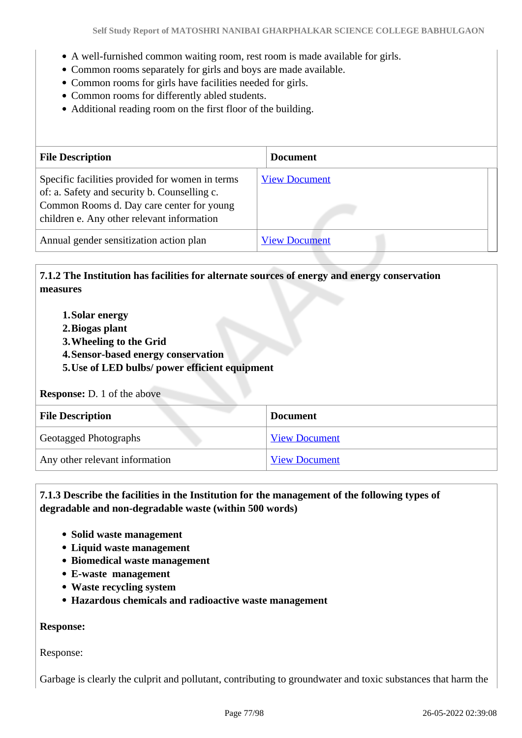- A well-furnished common waiting room, rest room is made available for girls.
- Common rooms separately for girls and boys are made available.
- Common rooms for girls have facilities needed for girls.
- Common rooms for differently abled students.
- Additional reading room on the first floor of the building.

| <b>File Description</b>                                                                                                                                                                    | <b>Document</b>      |
|--------------------------------------------------------------------------------------------------------------------------------------------------------------------------------------------|----------------------|
| Specific facilities provided for women in terms<br>of: a. Safety and security b. Counselling c.<br>Common Rooms d. Day care center for young<br>children e. Any other relevant information | <b>View Document</b> |
| Annual gender sensitization action plan                                                                                                                                                    | <b>View Document</b> |

#### **7.1.2 The Institution has facilities for alternate sources of energy and energy conservation measures**

- **1.Solar energy**
- **2.Biogas plant**
- **3.Wheeling to the Grid**
- **4.Sensor-based energy conservation**
- **5.Use of LED bulbs/ power efficient equipment**

#### **Response:** D. 1 of the above

| <b>File Description</b>        | <b>Document</b>      |
|--------------------------------|----------------------|
| <b>Geotagged Photographs</b>   | <b>View Document</b> |
| Any other relevant information | <b>View Document</b> |

#### **7.1.3 Describe the facilities in the Institution for the management of the following types of degradable and non-degradable waste (within 500 words)**

- **Solid waste management**
- **Liquid waste management**
- **Biomedical waste management**
- **E-waste management**
- **Waste recycling system**
- **Hazardous chemicals and radioactive waste management**

#### **Response:**

Response:

Garbage is clearly the culprit and pollutant, contributing to groundwater and toxic substances that harm the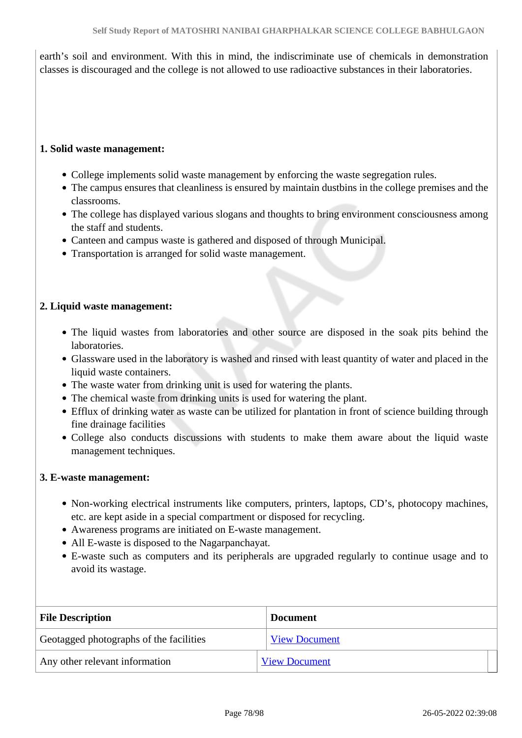earth's soil and environment. With this in mind, the indiscriminate use of chemicals in demonstration classes is discouraged and the college is not allowed to use radioactive substances in their laboratories.

#### **1. Solid waste management:**

- College implements solid waste management by enforcing the waste segregation rules.
- The campus ensures that cleanliness is ensured by maintain dustbins in the college premises and the classrooms.
- The college has displayed various slogans and thoughts to bring environment consciousness among the staff and students.
- Canteen and campus waste is gathered and disposed of through Municipal.
- Transportation is arranged for solid waste management.

#### **2. Liquid waste management:**

- The liquid wastes from laboratories and other source are disposed in the soak pits behind the laboratories.
- Glassware used in the laboratory is washed and rinsed with least quantity of water and placed in the liquid waste containers.
- The waste water from drinking unit is used for watering the plants.
- The chemical waste from drinking units is used for watering the plant.
- Efflux of drinking water as waste can be utilized for plantation in front of science building through fine drainage facilities
- College also conducts discussions with students to make them aware about the liquid waste management techniques.

#### **3. E-waste management:**

- Non-working electrical instruments like computers, printers, laptops, CD's, photocopy machines, etc. are kept aside in a special compartment or disposed for recycling.
- Awareness programs are initiated on E-waste management.
- All E-waste is disposed to the Nagarpanchayat.
- E-waste such as computers and its peripherals are upgraded regularly to continue usage and to avoid its wastage.

| <b>File Description</b>                 | <b>Document</b>      |
|-----------------------------------------|----------------------|
| Geotagged photographs of the facilities | <b>View Document</b> |
| Any other relevant information          | <b>View Document</b> |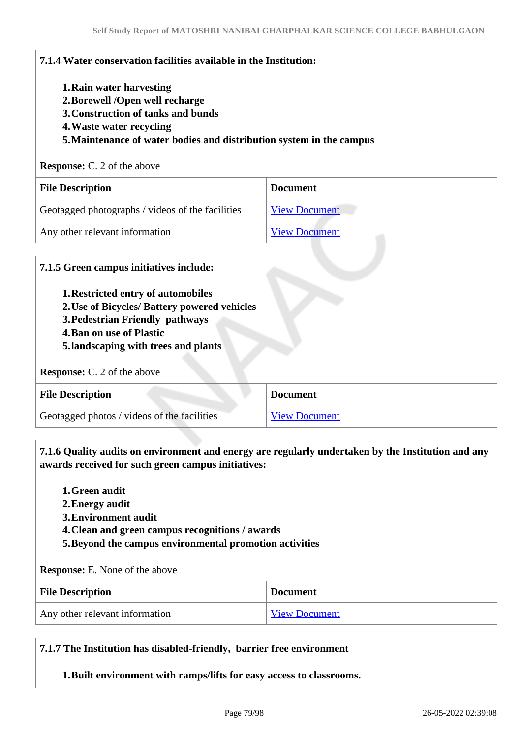| 1. Rain water harvesting                                                                                          |                      |
|-------------------------------------------------------------------------------------------------------------------|----------------------|
| 2. Borewell /Open well recharge                                                                                   |                      |
| 3. Construction of tanks and bunds                                                                                |                      |
| 4. Waste water recycling                                                                                          |                      |
|                                                                                                                   |                      |
| 5. Maintenance of water bodies and distribution system in the campus                                              |                      |
|                                                                                                                   |                      |
|                                                                                                                   | <b>Document</b>      |
| <b>Response:</b> C. 2 of the above<br><b>File Description</b><br>Geotagged photographs / videos of the facilities | <b>View Document</b> |

#### **7.1.5 Green campus initiatives include:**

- **1.Restricted entry of automobiles**
- **2.Use of Bicycles/ Battery powered vehicles**
- **3.Pedestrian Friendly pathways**
- **4.Ban on use of Plastic**
- **5.landscaping with trees and plants**

#### **Response:** C. 2 of the above

| <b>File Description</b>                     | <b>Document</b>      |
|---------------------------------------------|----------------------|
| Geotagged photos / videos of the facilities | <b>View Document</b> |

 **7.1.6 Quality audits on environment and energy are regularly undertaken by the Institution and any awards received for such green campus initiatives:**

- **1.Green audit**
- **2.Energy audit**
- **3.Environment audit**
- **4.Clean and green campus recognitions / awards**
- **5.Beyond the campus environmental promotion activities**

**Response:** E. None of the above

| <b>File Description</b>        | <b>Document</b>      |
|--------------------------------|----------------------|
| Any other relevant information | <b>View Document</b> |

#### **7.1.7 The Institution has disabled-friendly, barrier free environment**

**1.Built environment with ramps/lifts for easy access to classrooms.**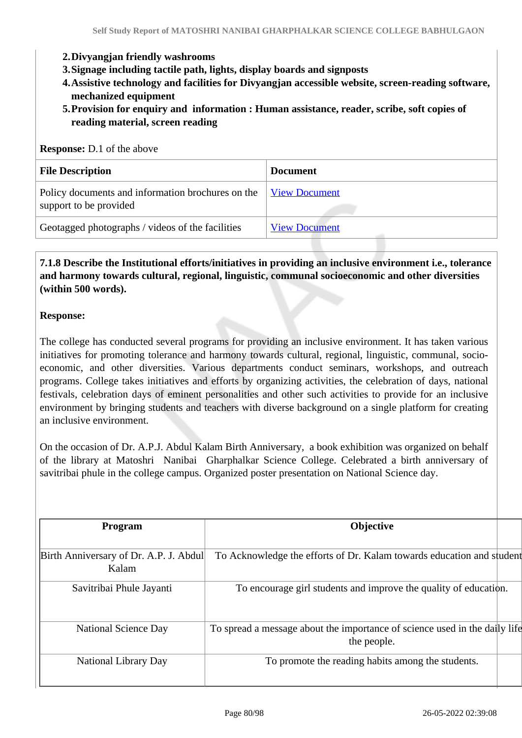#### **2.Divyangjan friendly washrooms**

- **3.Signage including tactile path, lights, display boards and signposts**
- **4.Assistive technology and facilities for Divyangjan accessible website, screen-reading software, mechanized equipment**
- **5.Provision for enquiry and information : Human assistance, reader, scribe, soft copies of reading material, screen reading**

#### **Response:** D.1 of the above

| <b>File Description</b>                                                     | <b>Document</b>      |
|-----------------------------------------------------------------------------|----------------------|
| Policy documents and information brochures on the<br>support to be provided | <b>View Document</b> |
| Geotagged photographs / videos of the facilities                            | <b>View Document</b> |

#### **7.1.8 Describe the Institutional efforts/initiatives in providing an inclusive environment i.e., tolerance and harmony towards cultural, regional, linguistic, communal socioeconomic and other diversities (within 500 words).**

#### **Response:**

The college has conducted several programs for providing an inclusive environment. It has taken various initiatives for promoting tolerance and harmony towards cultural, regional, linguistic, communal, socioeconomic, and other diversities. Various departments conduct seminars, workshops, and outreach programs. College takes initiatives and efforts by organizing activities, the celebration of days, national festivals, celebration days of eminent personalities and other such activities to provide for an inclusive environment by bringing students and teachers with diverse background on a single platform for creating an inclusive environment.

On the occasion of Dr. A.P.J. Abdul Kalam Birth Anniversary, a book exhibition was organized on behalf of the library at Matoshri Nanibai Gharphalkar Science College. Celebrated a birth anniversary of savitribai phule in the college campus. Organized poster presentation on National Science day.

| <b>Program</b>                                  | <b>Objective</b>                                                                          |  |
|-------------------------------------------------|-------------------------------------------------------------------------------------------|--|
| Birth Anniversary of Dr. A.P. J. Abdul<br>Kalam | To Acknowledge the efforts of Dr. Kalam towards education and student                     |  |
| Savitribai Phule Jayanti                        | To encourage girl students and improve the quality of education.                          |  |
| <b>National Science Day</b>                     | To spread a message about the importance of science used in the daily life<br>the people. |  |
| National Library Day                            | To promote the reading habits among the students.                                         |  |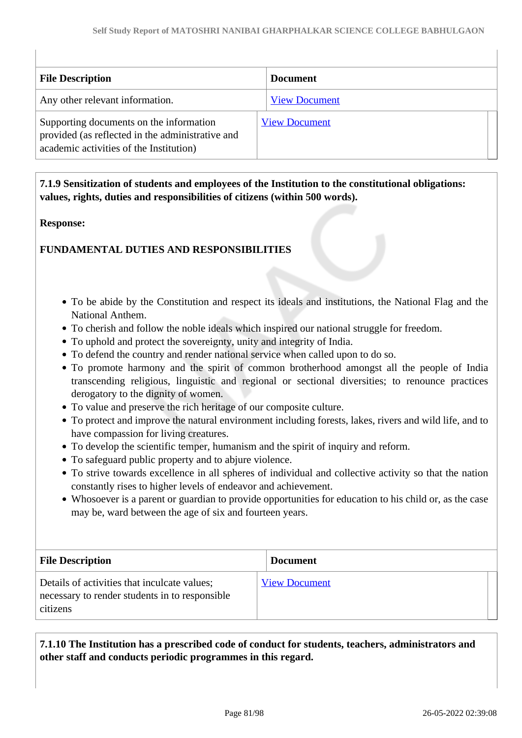| <b>File Description</b>                                                                                                                | <b>Document</b>      |
|----------------------------------------------------------------------------------------------------------------------------------------|----------------------|
| Any other relevant information.                                                                                                        | <b>View Document</b> |
| Supporting documents on the information<br>provided (as reflected in the administrative and<br>academic activities of the Institution) | <b>View Document</b> |

 **7.1.9 Sensitization of students and employees of the Institution to the constitutional obligations: values, rights, duties and responsibilities of citizens (within 500 words).**

#### **Response:**

#### **FUNDAMENTAL DUTIES AND RESPONSIBILITIES**

- To be abide by the Constitution and respect its ideals and institutions, the National Flag and the National Anthem.
- To cherish and follow the noble ideals which inspired our national struggle for freedom.
- To uphold and protect the sovereignty, unity and integrity of India.
- To defend the country and render national service when called upon to do so.
- To promote harmony and the spirit of common brotherhood amongst all the people of India transcending religious, linguistic and regional or sectional diversities; to renounce practices derogatory to the dignity of women.
- To value and preserve the rich heritage of our composite culture.
- To protect and improve the natural environment including forests, lakes, rivers and wild life, and to have compassion for living creatures.
- To develop the scientific temper, humanism and the spirit of inquiry and reform.
- To safeguard public property and to abjure violence.
- To strive towards excellence in all spheres of individual and collective activity so that the nation constantly rises to higher levels of endeavor and achievement.
- Whosoever is a parent or guardian to provide opportunities for education to his child or, as the case may be, ward between the age of six and fourteen years.

| <b>File Description</b>                                                                                    | <b>Document</b>      |
|------------------------------------------------------------------------------------------------------------|----------------------|
| Details of activities that inculcate values;<br>necessary to render students in to responsible<br>citizens | <b>View Document</b> |

 **7.1.10 The Institution has a prescribed code of conduct for students, teachers, administrators and other staff and conducts periodic programmes in this regard.**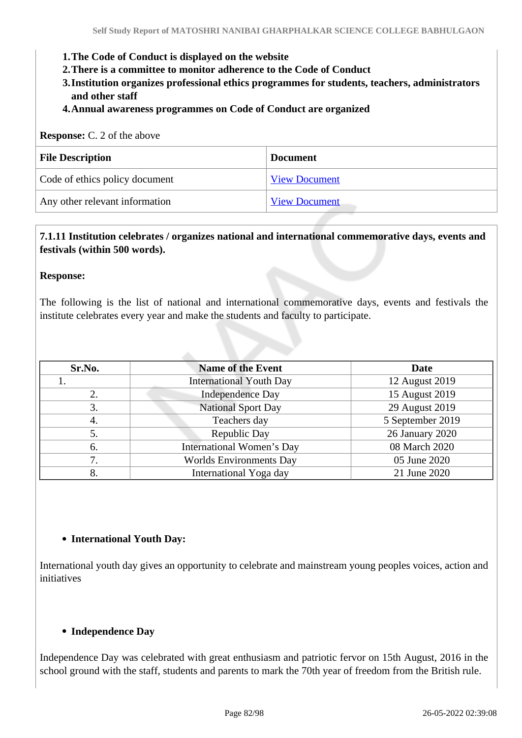- **1.The Code of Conduct is displayed on the website**
- **2.There is a committee to monitor adherence to the Code of Conduct**
- **3.Institution organizes professional ethics programmes for students, teachers, administrators and other staff**
- **4.Annual awareness programmes on Code of Conduct are organized**

| <b>Response:</b> C. 2 of the above |                      |  |  |  |
|------------------------------------|----------------------|--|--|--|
| <b>File Description</b>            | <b>Document</b>      |  |  |  |
| Code of ethics policy document     | <b>View Document</b> |  |  |  |
| Any other relevant information     | <b>View Document</b> |  |  |  |

#### **7.1.11 Institution celebrates / organizes national and international commemorative days, events and festivals (within 500 words).**

#### **Response:**

The following is the list of national and international commemorative days, events and festivals the institute celebrates every year and make the students and faculty to participate.

| Sr.No.                                 | <b>Name of the Event</b>               | Date             |
|----------------------------------------|----------------------------------------|------------------|
|                                        | <b>International Youth Day</b>         | 12 August 2019   |
| 2.                                     | <b>Independence Day</b>                | 15 August 2019   |
| 3.                                     | <b>National Sport Day</b>              |                  |
| 4.                                     | Teachers day                           | 5 September 2019 |
| 5.                                     | Republic Day                           | 26 January 2020  |
| <b>International Women's Day</b><br>6. |                                        | 08 March 2020    |
| 7.                                     | <b>Worlds Environments Day</b>         | 05 June 2020     |
| 8.                                     | International Yoga day<br>21 June 2020 |                  |

#### **International Youth Day:**

International youth day gives an opportunity to celebrate and mainstream young peoples voices, action and initiatives

#### **Independence Day**

Independence Day was celebrated with great enthusiasm and patriotic fervor on 15th August, 2016 in the school ground with the staff, students and parents to mark the 70th year of freedom from the British rule.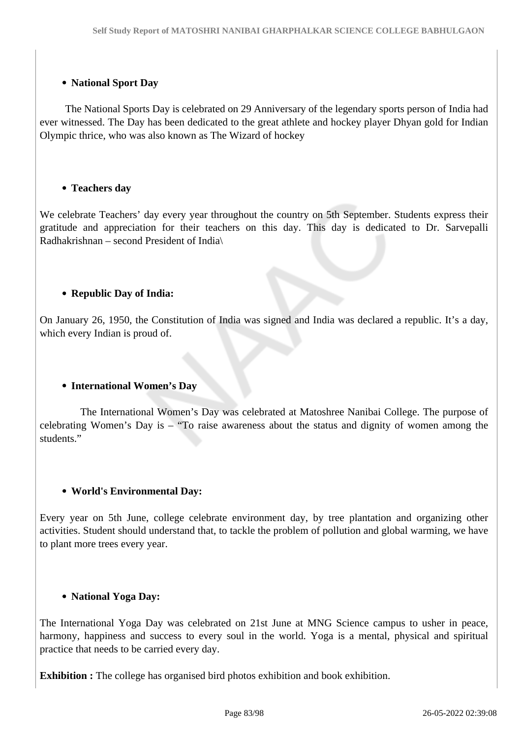#### **National Sport Day**

 The National Sports Day is celebrated on 29 Anniversary of the legendary sports person of India had ever witnessed. The Day has been dedicated to the great athlete and hockey player Dhyan gold for Indian Olympic thrice, who was also known as The Wizard of hockey

#### **Teachers day**

We celebrate Teachers' day every year throughout the country on 5th September. Students express their gratitude and appreciation for their teachers on this day. This day is dedicated to Dr. Sarvepalli Radhakrishnan – second President of India\

#### **Republic Day of India:**

On January 26, 1950, the Constitution of India was signed and India was declared a republic. It's a day, which every Indian is proud of.

#### **International Women's Day**

 The International Women's Day was celebrated at Matoshree Nanibai College. The purpose of celebrating Women's Day is – "To raise awareness about the status and dignity of women among the students"

#### **World's Environmental Day:**

Every year on 5th June, college celebrate environment day, by tree plantation and organizing other activities. Student should understand that, to tackle the problem of pollution and global warming, we have to plant more trees every year.

#### **National Yoga Day:**

The International Yoga Day was celebrated on 21st June at MNG Science campus to usher in peace, harmony, happiness and success to every soul in the world. Yoga is a mental, physical and spiritual practice that needs to be carried every day.

**Exhibition :** The college has organised bird photos exhibition and book exhibition.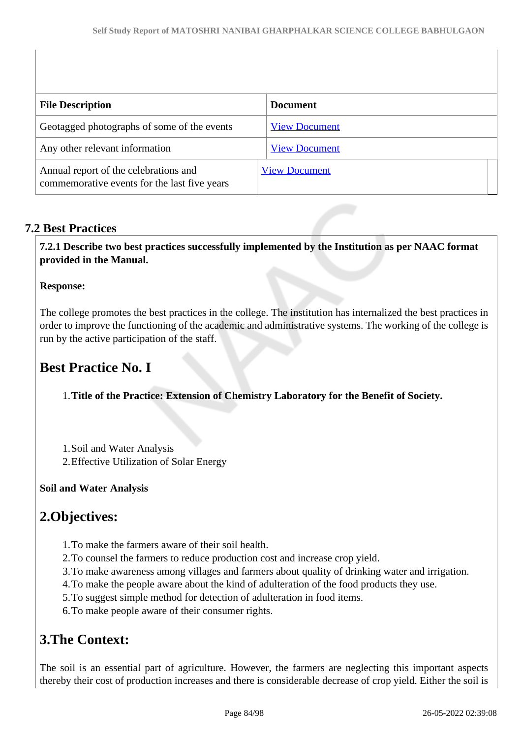| <b>File Description</b>                                                               | <b>Document</b>      |
|---------------------------------------------------------------------------------------|----------------------|
| Geotagged photographs of some of the events                                           | <b>View Document</b> |
| Any other relevant information                                                        | <b>View Document</b> |
| Annual report of the celebrations and<br>commemorative events for the last five years | <b>View Document</b> |

## **7.2 Best Practices**

 **7.2.1 Describe two best practices successfully implemented by the Institution as per NAAC format provided in the Manual.**

#### **Response:**

The college promotes the best practices in the college. The institution has internalized the best practices in order to improve the functioning of the academic and administrative systems. The working of the college is run by the active participation of the staff.

# **Best Practice No. I**

1.**Title of the Practice: Extension of Chemistry Laboratory for the Benefit of Society.**

- 1.Soil and Water Analysis
- 2.Effective Utilization of Solar Energy

## **Soil and Water Analysis**

## **2.Objectives:**

- 1.To make the farmers aware of their soil health.
- 2.To counsel the farmers to reduce production cost and increase crop yield.
- 3.To make awareness among villages and farmers about quality of drinking water and irrigation.
- 4.To make the people aware about the kind of adulteration of the food products they use.
- 5.To suggest simple method for detection of adulteration in food items.
- 6.To make people aware of their consumer rights.

## **3.The Context:**

The soil is an essential part of agriculture. However, the farmers are neglecting this important aspects thereby their cost of production increases and there is considerable decrease of crop yield. Either the soil is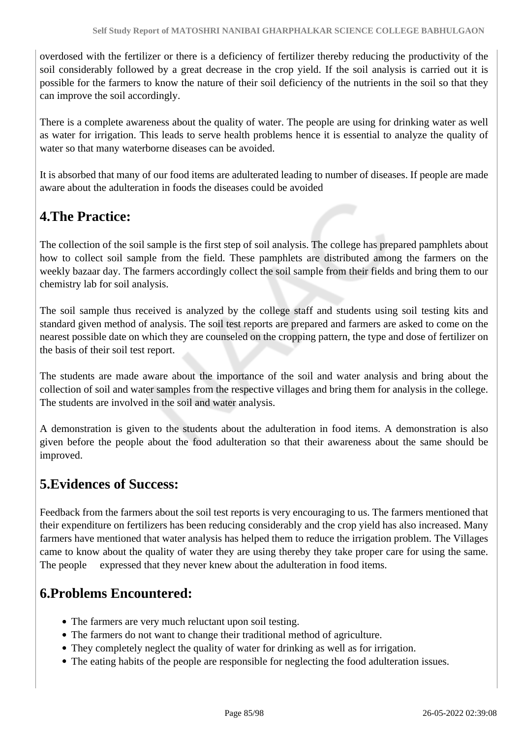overdosed with the fertilizer or there is a deficiency of fertilizer thereby reducing the productivity of the soil considerably followed by a great decrease in the crop yield. If the soil analysis is carried out it is possible for the farmers to know the nature of their soil deficiency of the nutrients in the soil so that they can improve the soil accordingly.

There is a complete awareness about the quality of water. The people are using for drinking water as well as water for irrigation. This leads to serve health problems hence it is essential to analyze the quality of water so that many waterborne diseases can be avoided.

It is absorbed that many of our food items are adulterated leading to number of diseases. If people are made aware about the adulteration in foods the diseases could be avoided

# **4.The Practice:**

The collection of the soil sample is the first step of soil analysis. The college has prepared pamphlets about how to collect soil sample from the field. These pamphlets are distributed among the farmers on the weekly bazaar day. The farmers accordingly collect the soil sample from their fields and bring them to our chemistry lab for soil analysis.

The soil sample thus received is analyzed by the college staff and students using soil testing kits and standard given method of analysis. The soil test reports are prepared and farmers are asked to come on the nearest possible date on which they are counseled on the cropping pattern, the type and dose of fertilizer on the basis of their soil test report.

The students are made aware about the importance of the soil and water analysis and bring about the collection of soil and water samples from the respective villages and bring them for analysis in the college. The students are involved in the soil and water analysis.

A demonstration is given to the students about the adulteration in food items. A demonstration is also given before the people about the food adulteration so that their awareness about the same should be improved.

# **5.Evidences of Success:**

Feedback from the farmers about the soil test reports is very encouraging to us. The farmers mentioned that their expenditure on fertilizers has been reducing considerably and the crop yield has also increased. Many farmers have mentioned that water analysis has helped them to reduce the irrigation problem. The Villages came to know about the quality of water they are using thereby they take proper care for using the same. The people expressed that they never knew about the adulteration in food items.

# **6.Problems Encountered:**

- The farmers are very much reluctant upon soil testing.
- The farmers do not want to change their traditional method of agriculture.
- They completely neglect the quality of water for drinking as well as for irrigation.
- The eating habits of the people are responsible for neglecting the food adulteration issues.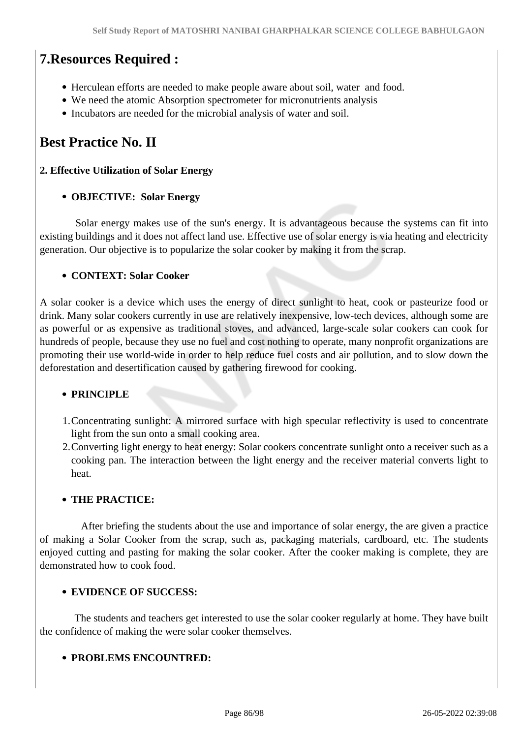# **7.Resources Required :**

- Herculean efforts are needed to make people aware about soil, water and food.
- We need the atomic Absorption spectrometer for micronutrients analysis
- Incubators are needed for the microbial analysis of water and soil.

# **Best Practice No. II**

#### **2. Effective Utilization of Solar Energy**

#### **OBJECTIVE: Solar Energy**

 Solar energy makes use of the sun's energy. It is advantageous because the systems can fit into existing buildings and it does not affect land use. Effective use of solar energy is via heating and electricity generation. Our objective is to popularize the solar cooker by making it from the scrap.

#### **CONTEXT: Solar Cooker**

A solar cooker is a device which uses the energy of direct sunlight to heat, cook or pasteurize food or drink. Many solar cookers currently in use are relatively inexpensive, low-tech devices, although some are as powerful or as expensive as traditional stoves, and advanced, large-scale solar cookers can cook for hundreds of people, because they use no fuel and cost nothing to operate, many nonprofit organizations are promoting their use world-wide in order to help reduce fuel costs and air pollution, and to slow down the deforestation and desertification caused by gathering firewood for cooking.

#### **PRINCIPLE**

- 1.Concentrating sunlight: A mirrored surface with high specular reflectivity is used to concentrate light from the sun onto a small cooking area.
- 2.Converting light energy to heat energy: Solar cookers concentrate sunlight onto a receiver such as a cooking pan. The interaction between the light energy and the receiver material converts light to heat.

#### **THE PRACTICE:**

 After briefing the students about the use and importance of solar energy, the are given a practice of making a Solar Cooker from the scrap, such as, packaging materials, cardboard, etc. The students enjoyed cutting and pasting for making the solar cooker. After the cooker making is complete, they are demonstrated how to cook food.

#### **EVIDENCE OF SUCCESS:**

 The students and teachers get interested to use the solar cooker regularly at home. They have built the confidence of making the were solar cooker themselves.

#### **PROBLEMS ENCOUNTRED:**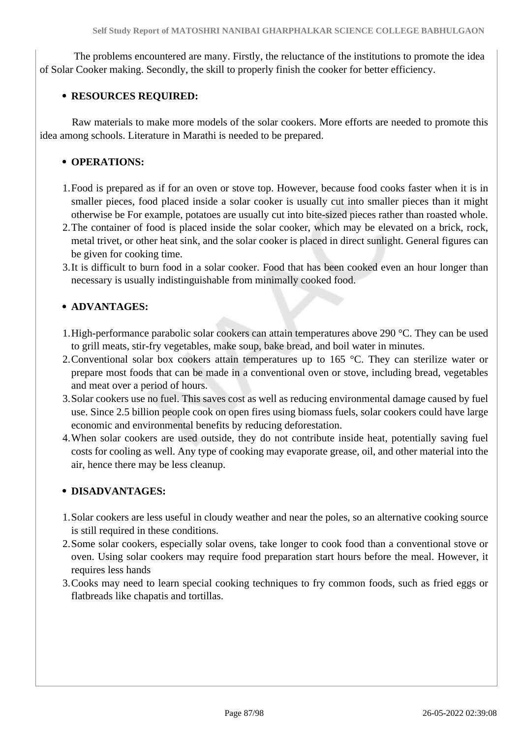The problems encountered are many. Firstly, the reluctance of the institutions to promote the idea of Solar Cooker making. Secondly, the skill to properly finish the cooker for better efficiency.

#### **RESOURCES REQUIRED:**

 Raw materials to make more models of the solar cookers. More efforts are needed to promote this idea among schools. Literature in Marathi is needed to be prepared.

#### **• OPERATIONS:**

- 1.Food is prepared as if for an oven or stove top. However, because food cooks faster when it is in smaller pieces, food placed inside a solar cooker is usually cut into smaller pieces than it might otherwise be For example, potatoes are usually cut into bite-sized pieces rather than roasted whole.
- 2.The container of food is placed inside the solar cooker, which may be elevated on a brick, rock, metal trivet, or other heat sink, and the solar cooker is placed in direct sunlight. General figures can be given for cooking time.
- 3.It is difficult to burn food in a solar cooker. Food that has been cooked even an hour longer than necessary is usually indistinguishable from minimally cooked food.

## **ADVANTAGES:**

- 1.High-performance parabolic solar cookers can attain temperatures above 290 °C. They can be used to grill meats, stir-fry vegetables, make soup, bake bread, and boil water in minutes.
- 2. Conventional solar box cookers attain temperatures up to 165 °C. They can sterilize water or prepare most foods that can be made in a conventional oven or stove, including bread, vegetables and meat over a period of hours.
- 3.Solar cookers use no fuel. This saves cost as well as reducing environmental damage caused by fuel use. Since 2.5 billion people cook on open fires using biomass fuels, solar cookers could have large economic and environmental benefits by reducing deforestation.
- 4.When solar cookers are used outside, they do not contribute inside heat, potentially saving fuel costs for cooling as well. Any type of cooking may evaporate grease, oil, and other material into the air, hence there may be less cleanup.

## **DISADVANTAGES:**

- 1.Solar cookers are less useful in cloudy weather and near the poles, so an alternative cooking source is still required in these conditions.
- 2.Some solar cookers, especially solar ovens, take longer to cook food than a conventional stove or oven. Using solar cookers may require food preparation start hours before the meal. However, it requires less hands
- 3.Cooks may need to learn special cooking techniques to fry common foods, such as fried eggs or flatbreads like chapatis and tortillas.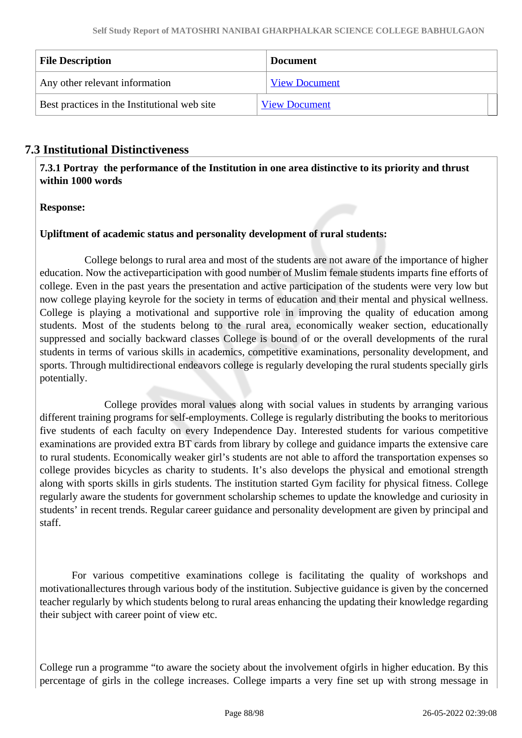| <b>File Description</b>                      | <b>Document</b>      |  |
|----------------------------------------------|----------------------|--|
| Any other relevant information               | <b>View Document</b> |  |
| Best practices in the Institutional web site | <b>View Document</b> |  |

## **7.3 Institutional Distinctiveness**

 **7.3.1 Portray the performance of the Institution in one area distinctive to its priority and thrust within 1000 words**

#### **Response:**

#### **Upliftment of academic status and personality development of rural students:**

 College belongs to rural area and most of the students are not aware of the importance of higher education. Now the activeparticipation with good number of Muslim female students imparts fine efforts of college. Even in the past years the presentation and active participation of the students were very low but now college playing keyrole for the society in terms of education and their mental and physical wellness. College is playing a motivational and supportive role in improving the quality of education among students. Most of the students belong to the rural area, economically weaker section, educationally suppressed and socially backward classes College is bound of or the overall developments of the rural students in terms of various skills in academics, competitive examinations, personality development, and sports. Through multidirectional endeavors college is regularly developing the rural students specially girls potentially.

 College provides moral values along with social values in students by arranging various different training programs for self-employments. College is regularly distributing the books to meritorious five students of each faculty on every Independence Day. Interested students for various competitive examinations are provided extra BT cards from library by college and guidance imparts the extensive care to rural students. Economically weaker girl's students are not able to afford the transportation expenses so college provides bicycles as charity to students. It's also develops the physical and emotional strength along with sports skills in girls students. The institution started Gym facility for physical fitness. College regularly aware the students for government scholarship schemes to update the knowledge and curiosity in students' in recent trends. Regular career guidance and personality development are given by principal and staff.

 For various competitive examinations college is facilitating the quality of workshops and motivationallectures through various body of the institution. Subjective guidance is given by the concerned teacher regularly by which students belong to rural areas enhancing the updating their knowledge regarding their subject with career point of view etc.

College run a programme "to aware the society about the involvement ofgirls in higher education. By this percentage of girls in the college increases. College imparts a very fine set up with strong message in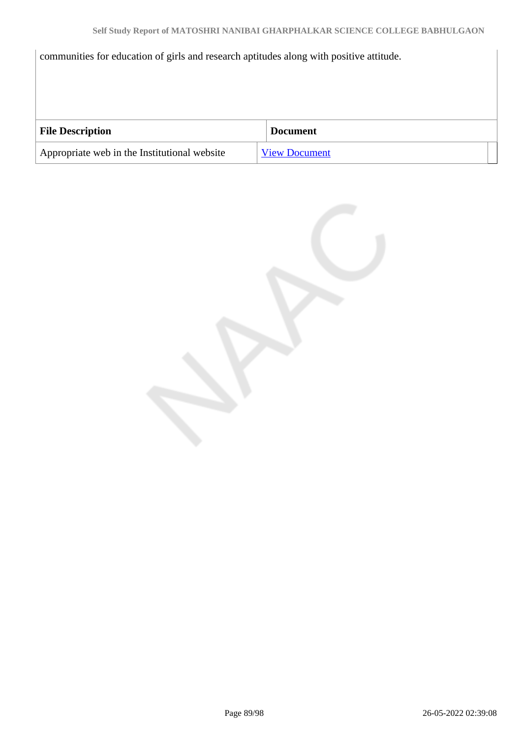communities for education of girls and research aptitudes along with positive attitude.

| <b>File Description</b>                      | <b>Document</b>      |
|----------------------------------------------|----------------------|
| Appropriate web in the Institutional website | <b>View Document</b> |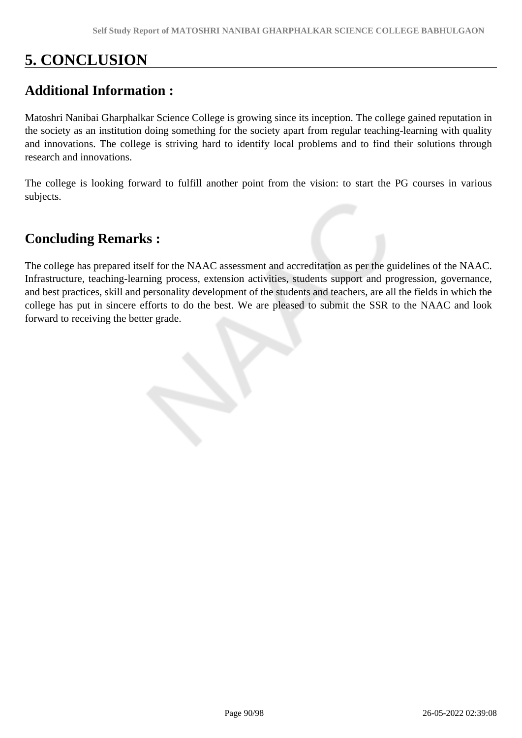# **5. CONCLUSION**

# **Additional Information :**

Matoshri Nanibai Gharphalkar Science College is growing since its inception. The college gained reputation in the society as an institution doing something for the society apart from regular teaching-learning with quality and innovations. The college is striving hard to identify local problems and to find their solutions through research and innovations.

The college is looking forward to fulfill another point from the vision: to start the PG courses in various subjects.

# **Concluding Remarks :**

The college has prepared itself for the NAAC assessment and accreditation as per the guidelines of the NAAC. Infrastructure, teaching-learning process, extension activities, students support and progression, governance, and best practices, skill and personality development of the students and teachers, are all the fields in which the college has put in sincere efforts to do the best. We are pleased to submit the SSR to the NAAC and look forward to receiving the better grade.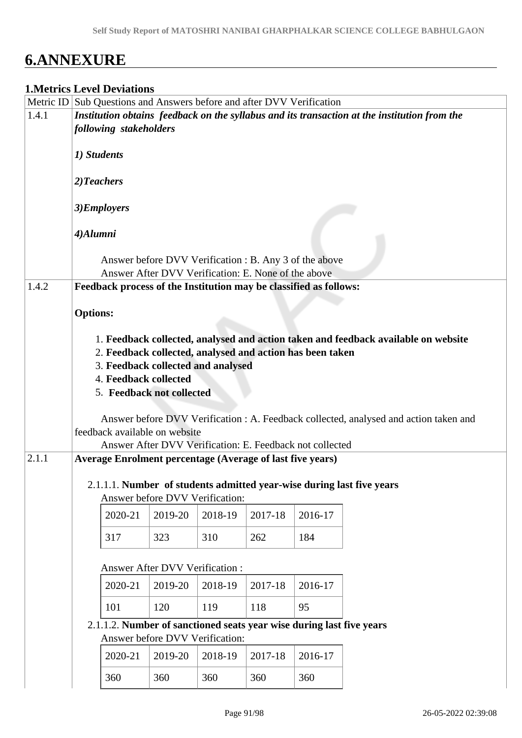# **6.ANNEXURE**

## **1.Metrics Level Deviations**

|       |                 | <b>1. NIGILIUS LEVEI DEVIATIOIIS</b> |                                       |                                                                  |         |                                                                       |                                                                                              |
|-------|-----------------|--------------------------------------|---------------------------------------|------------------------------------------------------------------|---------|-----------------------------------------------------------------------|----------------------------------------------------------------------------------------------|
|       |                 |                                      |                                       |                                                                  |         | Metric ID Sub Questions and Answers before and after DVV Verification |                                                                                              |
| 1.4.1 |                 |                                      |                                       |                                                                  |         |                                                                       | Institution obtains feedback on the syllabus and its transaction at the institution from the |
|       |                 | following stakeholders               |                                       |                                                                  |         |                                                                       |                                                                                              |
|       |                 |                                      |                                       |                                                                  |         |                                                                       |                                                                                              |
|       | 1) Students     |                                      |                                       |                                                                  |         |                                                                       |                                                                                              |
|       |                 |                                      |                                       |                                                                  |         |                                                                       |                                                                                              |
|       | 2)Teachers      |                                      |                                       |                                                                  |         |                                                                       |                                                                                              |
|       |                 |                                      |                                       |                                                                  |         |                                                                       |                                                                                              |
|       |                 | 3)Employers                          |                                       |                                                                  |         |                                                                       |                                                                                              |
|       |                 |                                      |                                       |                                                                  |         |                                                                       |                                                                                              |
|       | 4)Alumni        |                                      |                                       |                                                                  |         |                                                                       |                                                                                              |
|       |                 |                                      |                                       |                                                                  |         |                                                                       |                                                                                              |
|       |                 |                                      |                                       |                                                                  |         | Answer before DVV Verification : B. Any 3 of the above                |                                                                                              |
|       |                 |                                      |                                       | Answer After DVV Verification: E. None of the above              |         |                                                                       |                                                                                              |
| 1.4.2 |                 |                                      |                                       |                                                                  |         | Feedback process of the Institution may be classified as follows:     |                                                                                              |
|       |                 |                                      |                                       |                                                                  |         |                                                                       |                                                                                              |
|       | <b>Options:</b> |                                      |                                       |                                                                  |         |                                                                       |                                                                                              |
|       |                 |                                      |                                       |                                                                  |         |                                                                       |                                                                                              |
|       |                 |                                      |                                       |                                                                  |         |                                                                       | 1. Feedback collected, analysed and action taken and feedback available on website           |
|       |                 |                                      |                                       |                                                                  |         | 2. Feedback collected, analysed and action has been taken             |                                                                                              |
|       |                 |                                      |                                       | 3. Feedback collected and analysed                               |         |                                                                       |                                                                                              |
|       |                 | 4. Feedback collected                |                                       |                                                                  |         |                                                                       |                                                                                              |
|       |                 |                                      | 5. Feedback not collected             |                                                                  |         |                                                                       |                                                                                              |
|       |                 |                                      |                                       |                                                                  |         |                                                                       |                                                                                              |
|       |                 |                                      |                                       |                                                                  |         |                                                                       | Answer before DVV Verification : A. Feedback collected, analysed and action taken and        |
|       |                 |                                      | feedback available on website         |                                                                  |         |                                                                       |                                                                                              |
|       |                 |                                      |                                       |                                                                  |         | Answer After DVV Verification: E. Feedback not collected              |                                                                                              |
| 2.1.1 |                 |                                      |                                       | <b>Average Enrolment percentage (Average of last five years)</b> |         |                                                                       |                                                                                              |
|       |                 |                                      |                                       |                                                                  |         |                                                                       |                                                                                              |
|       |                 |                                      |                                       |                                                                  |         |                                                                       |                                                                                              |
|       |                 |                                      | Answer before DVV Verification:       |                                                                  |         |                                                                       | 2.1.1.1. Number of students admitted year-wise during last five years                        |
|       |                 |                                      |                                       |                                                                  |         |                                                                       |                                                                                              |
|       |                 | 2020-21                              | 2019-20                               | 2018-19                                                          | 2017-18 | 2016-17                                                               |                                                                                              |
|       |                 | 317                                  | 323                                   | 310                                                              | 262     | 184                                                                   |                                                                                              |
|       |                 |                                      |                                       |                                                                  |         |                                                                       |                                                                                              |
|       |                 |                                      |                                       |                                                                  |         |                                                                       |                                                                                              |
|       |                 |                                      | <b>Answer After DVV Verification:</b> |                                                                  |         |                                                                       |                                                                                              |
|       |                 | 2020-21                              | 2019-20                               | 2018-19                                                          | 2017-18 | 2016-17                                                               |                                                                                              |
|       |                 |                                      |                                       |                                                                  |         |                                                                       |                                                                                              |
|       |                 | 101                                  | 120                                   | 119                                                              | 118     | 95                                                                    |                                                                                              |
|       |                 |                                      |                                       |                                                                  |         | 2.1.1.2. Number of sanctioned seats year wise during last five years  |                                                                                              |
|       |                 |                                      |                                       | Answer before DVV Verification:                                  |         |                                                                       |                                                                                              |
|       |                 |                                      |                                       |                                                                  |         |                                                                       |                                                                                              |
|       |                 | 2020-21                              | 2019-20                               | 2018-19                                                          | 2017-18 | 2016-17                                                               |                                                                                              |
|       |                 | 360                                  | 360                                   | 360                                                              | 360     | 360                                                                   |                                                                                              |
|       |                 |                                      |                                       |                                                                  |         |                                                                       |                                                                                              |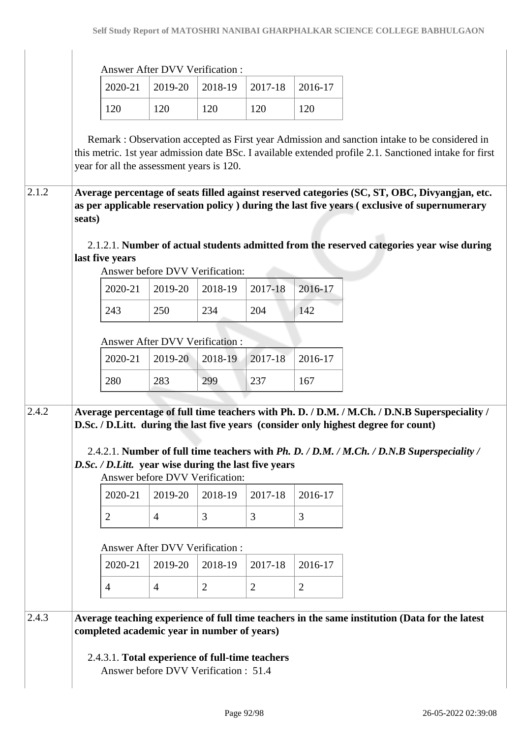| <b>Answer After DVV Verification:</b> |  |
|---------------------------------------|--|
|---------------------------------------|--|

|     | $\mid$ 2020-21 $\mid$ 2019-20 $\mid$ 2018-19 $\mid$ 2017-18 $\mid$ 2016-17 |     |     |     |
|-----|----------------------------------------------------------------------------|-----|-----|-----|
| 120 | 120                                                                        | 120 | 120 | 120 |

 Remark : Observation accepted as First year Admission and sanction intake to be considered in this metric. 1st year admission date BSc. I available extended profile 2.1. Sanctioned intake for first year for all the assessment years is 120.

#### 2.1.2 **Average percentage of seats filled against reserved categories (SC, ST, OBC, Divyangjan, etc. as per applicable reservation policy ) during the last five years ( exclusive of supernumerary seats)**

 2.1.2.1. **Number of actual students admitted from the reserved categories year wise during last five years**

Answer before DVV Verification:

|     |     | 2020-21   2019-20   2018-19   2017-18   2016-17 |     |     |
|-----|-----|-------------------------------------------------|-----|-----|
| 243 | 250 | 234                                             | 204 | 142 |

Answer After DVV Verification :

|     | 2020-21   2019-20   2018-19   2017-18   2016-17 |     |              |     |
|-----|-------------------------------------------------|-----|--------------|-----|
| 280 | 283                                             | 299 | $\sqrt{237}$ | 167 |

2.4.2 **Average percentage of full time teachers with Ph. D. / D.M. / M.Ch. / D.N.B Superspeciality / D.Sc. / D.Litt. during the last five years (consider only highest degree for count)**

 2.4.2.1. **Number of full time teachers with** *Ph. D. / D.M. / M.Ch. / D.N.B Superspeciality / D.Sc. / D.Litt.* **year wise during the last five years**

Answer before DVV Verification:

|  | $2020-21$   2019-20   2018-19   2017-18   2016-17 |  |
|--|---------------------------------------------------|--|
|  |                                                   |  |

Answer After DVV Verification :

|  | $2020-21$   2019-20   2018-19   2017-18   2016-17 |  |
|--|---------------------------------------------------|--|
|  |                                                   |  |

## 2.4.3 **Average teaching experience of full time teachers in the same institution (Data for the latest completed academic year in number of years)**

2.4.3.1. **Total experience of full-time teachers**

Answer before DVV Verification : 51.4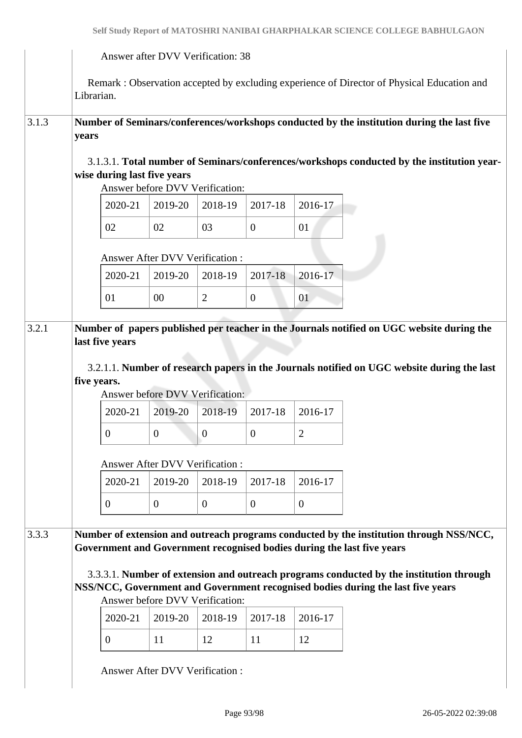|                |                                |         | Answer after DVV Verification: 38                              |                  |                |                                                                                                                                                                                         |  |  |
|----------------|--------------------------------|---------|----------------------------------------------------------------|------------------|----------------|-----------------------------------------------------------------------------------------------------------------------------------------------------------------------------------------|--|--|
|                | Librarian.                     |         |                                                                |                  |                | Remark: Observation accepted by excluding experience of Director of Physical Education and                                                                                              |  |  |
| 3.1.3          | years                          |         |                                                                |                  |                | Number of Seminars/conferences/workshops conducted by the institution during the last five                                                                                              |  |  |
|                |                                |         | wise during last five years<br>Answer before DVV Verification: |                  |                | 3.1.3.1. Total number of Seminars/conferences/workshops conducted by the institution year-                                                                                              |  |  |
|                |                                | 2020-21 | 2019-20                                                        | 2018-19          | 2017-18        | 2016-17                                                                                                                                                                                 |  |  |
|                | 02                             |         | 02                                                             | 03               | $\overline{0}$ | 01                                                                                                                                                                                      |  |  |
|                |                                |         | Answer After DVV Verification:                                 |                  |                |                                                                                                                                                                                         |  |  |
|                |                                | 2020-21 | 2019-20                                                        | 2018-19          | 2017-18        | 2016-17                                                                                                                                                                                 |  |  |
|                | 01                             |         | 00                                                             | $\overline{2}$   | $\overline{0}$ | 01                                                                                                                                                                                      |  |  |
|                | last five years<br>five years. |         |                                                                |                  |                | Number of papers published per teacher in the Journals notified on UGC website during the<br>3.2.1.1. Number of research papers in the Journals notified on UGC website during the last |  |  |
|                |                                |         | Answer before DVV Verification:                                |                  |                |                                                                                                                                                                                         |  |  |
|                |                                | 2020-21 | 2019-20                                                        | 2018-19          | 2017-18        | 2016-17                                                                                                                                                                                 |  |  |
|                | $\theta$                       |         | $\mathbf{0}$                                                   | $\boldsymbol{0}$ | $\overline{0}$ | $\overline{c}$                                                                                                                                                                          |  |  |
|                |                                |         | Answer After DVV Verification:                                 |                  |                |                                                                                                                                                                                         |  |  |
|                |                                | 2020-21 | 2019-20                                                        | 2018-19          | 2017-18        | 2016-17                                                                                                                                                                                 |  |  |
|                | $\overline{0}$                 |         | $\overline{0}$                                                 | $\overline{0}$   | $\theta$       | $\overline{0}$                                                                                                                                                                          |  |  |
| 3.2.1<br>3.3.3 |                                |         |                                                                |                  |                | Number of extension and outreach programs conducted by the institution through NSS/NCC,<br>Government and Government recognised bodies during the last five years                       |  |  |
|                |                                |         |                                                                |                  |                | 3.3.3.1. Number of extension and outreach programs conducted by the institution through<br>NSS/NCC, Government and Government recognised bodies during the last five years              |  |  |
|                |                                | 2020-21 | Answer before DVV Verification:<br>2019-20                     | 2018-19          | 2017-18        | 2016-17                                                                                                                                                                                 |  |  |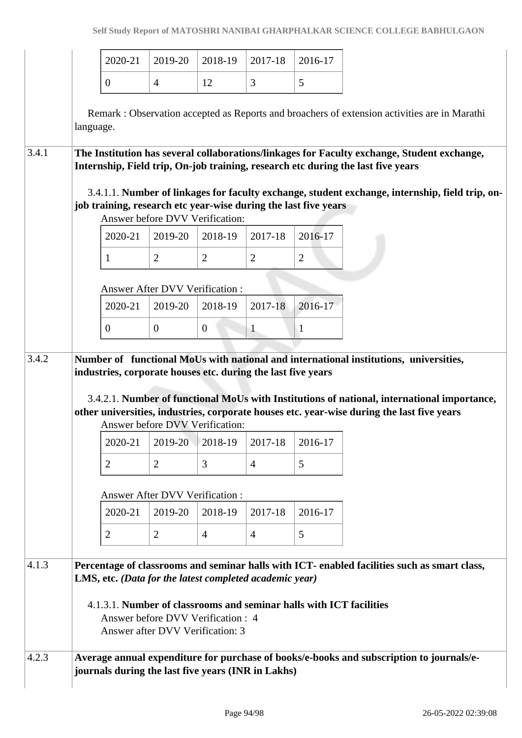|       |           | 2020-21        | 2019-20                                                                                                                           | 2018-19        | 2017-18        | 2016-17                                                             |                                                                                                                                                                                           |
|-------|-----------|----------------|-----------------------------------------------------------------------------------------------------------------------------------|----------------|----------------|---------------------------------------------------------------------|-------------------------------------------------------------------------------------------------------------------------------------------------------------------------------------------|
|       |           | $\overline{0}$ | $\overline{4}$                                                                                                                    | 12             | 3              | 5                                                                   |                                                                                                                                                                                           |
|       | language. |                |                                                                                                                                   |                |                |                                                                     | Remark: Observation accepted as Reports and broachers of extension activities are in Marathi                                                                                              |
| 3.4.1 |           |                |                                                                                                                                   |                |                |                                                                     | The Institution has several collaborations/linkages for Faculty exchange, Student exchange,<br>Internship, Field trip, On-job training, research etc during the last five years           |
|       |           |                | Answer before DVV Verification:                                                                                                   |                |                | job training, research etc year-wise during the last five years     | 3.4.1.1. Number of linkages for faculty exchange, student exchange, internship, field trip, on-                                                                                           |
|       |           | 2020-21        | 2019-20                                                                                                                           | 2018-19        | 2017-18        | 2016-17                                                             |                                                                                                                                                                                           |
|       |           | 1              | $\overline{2}$                                                                                                                    | $\overline{2}$ | $\overline{2}$ | $\overline{2}$                                                      |                                                                                                                                                                                           |
|       |           |                | <b>Answer After DVV Verification:</b>                                                                                             |                |                |                                                                     |                                                                                                                                                                                           |
|       |           | 2020-21        | 2019-20                                                                                                                           | 2018-19        | 2017-18        | 2016-17                                                             |                                                                                                                                                                                           |
|       |           | $\mathbf{0}$   | $\overline{0}$                                                                                                                    | $\overline{0}$ | $\mathbf{1}$   | $\mathbf{1}$                                                        |                                                                                                                                                                                           |
| 3.4.2 |           |                |                                                                                                                                   |                |                |                                                                     | Number of functional MoUs with national and international institutions, universities,                                                                                                     |
|       |           |                | industries, corporate houses etc. during the last five years                                                                      |                |                |                                                                     |                                                                                                                                                                                           |
|       |           |                |                                                                                                                                   |                |                |                                                                     | 3.4.2.1. Number of functional MoUs with Institutions of national, international importance,<br>other universities, industries, corporate houses etc. year-wise during the last five years |
|       |           |                | Answer before DVV Verification:                                                                                                   |                |                |                                                                     |                                                                                                                                                                                           |
|       |           | 2020-21        | 2019-20                                                                                                                           | 2018-19        | 2017-18        | 2016-17                                                             |                                                                                                                                                                                           |
|       |           | 2              | $\overline{2}$                                                                                                                    | 3              | $\overline{4}$ | 5                                                                   |                                                                                                                                                                                           |
|       |           |                | <b>Answer After DVV Verification:</b>                                                                                             |                |                |                                                                     |                                                                                                                                                                                           |
|       |           | 2020-21        | 2019-20                                                                                                                           | 2018-19        | 2017-18        | 2016-17                                                             |                                                                                                                                                                                           |
|       |           | $\overline{2}$ | $\overline{2}$                                                                                                                    | $\overline{4}$ | $\overline{4}$ | 5                                                                   |                                                                                                                                                                                           |
| 4.1.3 |           |                | LMS, etc. (Data for the latest completed academic year)<br>Answer before DVV Verification : 4<br>Answer after DVV Verification: 3 |                |                | 4.1.3.1. Number of classrooms and seminar halls with ICT facilities | Percentage of classrooms and seminar halls with ICT- enabled facilities such as smart class,                                                                                              |
| 4.2.3 |           |                | journals during the last five years (INR in Lakhs)                                                                                |                |                |                                                                     | Average annual expenditure for purchase of books/e-books and subscription to journals/e-                                                                                                  |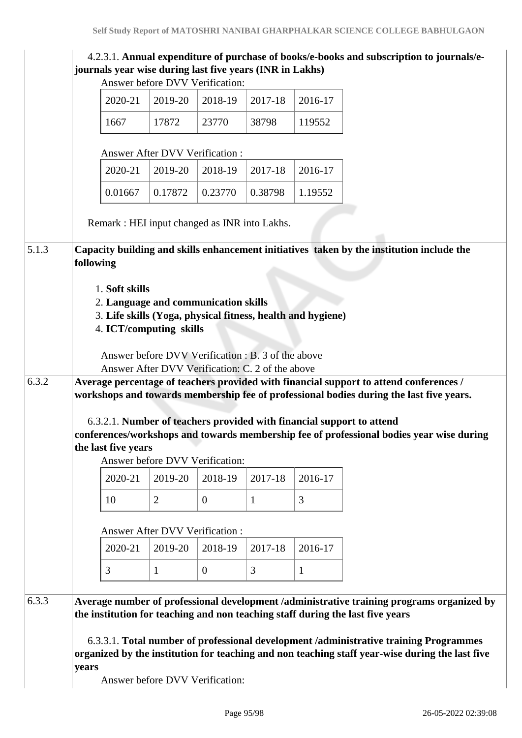|       |           | journals year wise during last five years (INR in Lakhs)                                                                                         |                                                                                                        |              |         |              | 4.2.3.1. Annual expenditure of purchase of books/e-books and subscription to journals/e-                                                                                                                                                                                                                                                                                |
|-------|-----------|--------------------------------------------------------------------------------------------------------------------------------------------------|--------------------------------------------------------------------------------------------------------|--------------|---------|--------------|-------------------------------------------------------------------------------------------------------------------------------------------------------------------------------------------------------------------------------------------------------------------------------------------------------------------------------------------------------------------------|
|       |           |                                                                                                                                                  | Answer before DVV Verification:                                                                        |              |         |              |                                                                                                                                                                                                                                                                                                                                                                         |
|       |           | 2020-21                                                                                                                                          | 2019-20                                                                                                | 2018-19      | 2017-18 | 2016-17      |                                                                                                                                                                                                                                                                                                                                                                         |
|       |           | 1667                                                                                                                                             | 17872                                                                                                  | 23770        | 38798   | 119552       |                                                                                                                                                                                                                                                                                                                                                                         |
|       |           |                                                                                                                                                  | <b>Answer After DVV Verification:</b>                                                                  |              |         |              |                                                                                                                                                                                                                                                                                                                                                                         |
|       |           | 2020-21                                                                                                                                          | 2019-20                                                                                                | 2018-19      | 2017-18 | 2016-17      |                                                                                                                                                                                                                                                                                                                                                                         |
|       |           | 0.01667                                                                                                                                          | 0.17872                                                                                                | 0.23770      | 0.38798 | 1.19552      |                                                                                                                                                                                                                                                                                                                                                                         |
|       |           | Remark : HEI input changed as INR into Lakhs.                                                                                                    |                                                                                                        |              |         |              |                                                                                                                                                                                                                                                                                                                                                                         |
| 5.1.3 | following |                                                                                                                                                  |                                                                                                        |              |         |              | Capacity building and skills enhancement initiatives taken by the institution include the                                                                                                                                                                                                                                                                               |
| 6.3.2 |           | 1. Soft skills<br>2. Language and communication skills<br>3. Life skills (Yoga, physical fitness, health and hygiene)<br>4. ICT/computing skills | Answer before DVV Verification : B. 3 of the above<br>Answer After DVV Verification: C. 2 of the above |              |         |              | Average percentage of teachers provided with financial support to attend conferences /                                                                                                                                                                                                                                                                                  |
|       |           | the last five years                                                                                                                              | Answer before DVV Verification:                                                                        |              |         |              | workshops and towards membership fee of professional bodies during the last five years.<br>6.3.2.1. Number of teachers provided with financial support to attend<br>conferences/workshops and towards membership fee of professional bodies year wise during                                                                                                            |
|       |           | 2020-21                                                                                                                                          | 2019-20                                                                                                | 2018-19      | 2017-18 | 2016-17      |                                                                                                                                                                                                                                                                                                                                                                         |
|       |           |                                                                                                                                                  |                                                                                                        |              |         | 3            |                                                                                                                                                                                                                                                                                                                                                                         |
|       |           | 10                                                                                                                                               | $\overline{2}$                                                                                         | $\theta$     | 1       |              |                                                                                                                                                                                                                                                                                                                                                                         |
|       |           |                                                                                                                                                  | Answer After DVV Verification:                                                                         |              |         |              |                                                                                                                                                                                                                                                                                                                                                                         |
|       |           | 2020-21                                                                                                                                          | 2019-20                                                                                                | 2018-19      | 2017-18 | 2016-17      |                                                                                                                                                                                                                                                                                                                                                                         |
|       |           | 3                                                                                                                                                | $\mathbf{1}$                                                                                           | $\mathbf{0}$ | 3       | $\mathbf{1}$ |                                                                                                                                                                                                                                                                                                                                                                         |
| 6.3.3 |           |                                                                                                                                                  |                                                                                                        |              |         |              | Average number of professional development /administrative training programs organized by<br>the institution for teaching and non teaching staff during the last five years<br>6.3.3.1. Total number of professional development /administrative training Programmes<br>organized by the institution for teaching and non teaching staff year-wise during the last five |
|       | years     |                                                                                                                                                  | Answer before DVV Verification:                                                                        |              |         |              |                                                                                                                                                                                                                                                                                                                                                                         |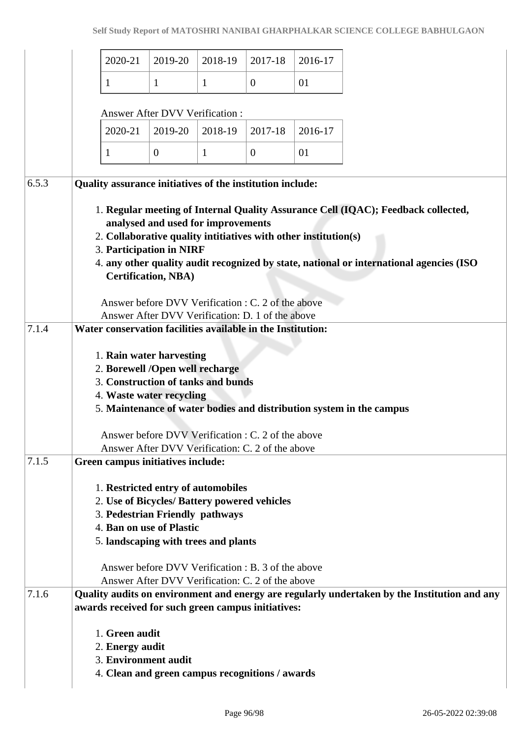|       | 2020-21                                                                                                                       | 2019-20                                                          | 2018-19      | 2017-18                                                                                                | 2016-17 |                                                                                   |                                                                                              |
|-------|-------------------------------------------------------------------------------------------------------------------------------|------------------------------------------------------------------|--------------|--------------------------------------------------------------------------------------------------------|---------|-----------------------------------------------------------------------------------|----------------------------------------------------------------------------------------------|
|       | 1                                                                                                                             | $\mathbf{1}$                                                     | $\mathbf{1}$ | $\boldsymbol{0}$                                                                                       | 01      |                                                                                   |                                                                                              |
|       |                                                                                                                               | <b>Answer After DVV Verification:</b>                            |              |                                                                                                        |         |                                                                                   |                                                                                              |
|       | 2020-21                                                                                                                       | 2019-20                                                          | 2018-19      | 2017-18                                                                                                | 2016-17 |                                                                                   |                                                                                              |
|       | 1                                                                                                                             | $\overline{0}$                                                   | 1            | $\theta$                                                                                               | 01      |                                                                                   |                                                                                              |
| 6.5.3 | Quality assurance initiatives of the institution include:                                                                     |                                                                  |              |                                                                                                        |         |                                                                                   |                                                                                              |
|       | 2. Collaborative quality intitiatives with other institution(s)<br>3. Participation in NIRF                                   | analysed and used for improvements<br><b>Certification, NBA)</b> |              | Answer before DVV Verification : C. 2 of the above<br>Answer After DVV Verification: D. 1 of the above |         | 1. Regular meeting of Internal Quality Assurance Cell (IQAC); Feedback collected, | 4. any other quality audit recognized by state, national or international agencies (ISO      |
| 7.1.4 | Water conservation facilities available in the Institution:                                                                   |                                                                  |              |                                                                                                        |         |                                                                                   |                                                                                              |
|       | 1. Rain water harvesting<br>2. Borewell /Open well recharge<br>3. Construction of tanks and bunds<br>4. Waste water recycling |                                                                  |              | Answer before DVV Verification : C. 2 of the above<br>Answer After DVV Verification: C. 2 of the above |         | 5. Maintenance of water bodies and distribution system in the campus              |                                                                                              |
| 7.1.5 | Green campus initiatives include:                                                                                             |                                                                  |              |                                                                                                        |         |                                                                                   |                                                                                              |
|       | 1. Restricted entry of automobiles<br>2. Use of Bicycles/ Battery powered vehicles                                            |                                                                  |              |                                                                                                        |         |                                                                                   |                                                                                              |
|       | 3. Pedestrian Friendly pathways                                                                                               |                                                                  |              |                                                                                                        |         |                                                                                   |                                                                                              |
|       | 4. Ban on use of Plastic                                                                                                      |                                                                  |              |                                                                                                        |         |                                                                                   |                                                                                              |
|       | 5. landscaping with trees and plants                                                                                          |                                                                  |              |                                                                                                        |         |                                                                                   |                                                                                              |
|       |                                                                                                                               |                                                                  |              | Answer before DVV Verification : B. 3 of the above                                                     |         |                                                                                   |                                                                                              |
|       |                                                                                                                               |                                                                  |              | Answer After DVV Verification: C. 2 of the above                                                       |         |                                                                                   |                                                                                              |
| 7.1.6 | awards received for such green campus initiatives:                                                                            |                                                                  |              |                                                                                                        |         |                                                                                   | Quality audits on environment and energy are regularly undertaken by the Institution and any |
|       | 1. Green audit<br>2. Energy audit<br>3. Environment audit<br>4. Clean and green campus recognitions / awards                  |                                                                  |              |                                                                                                        |         |                                                                                   |                                                                                              |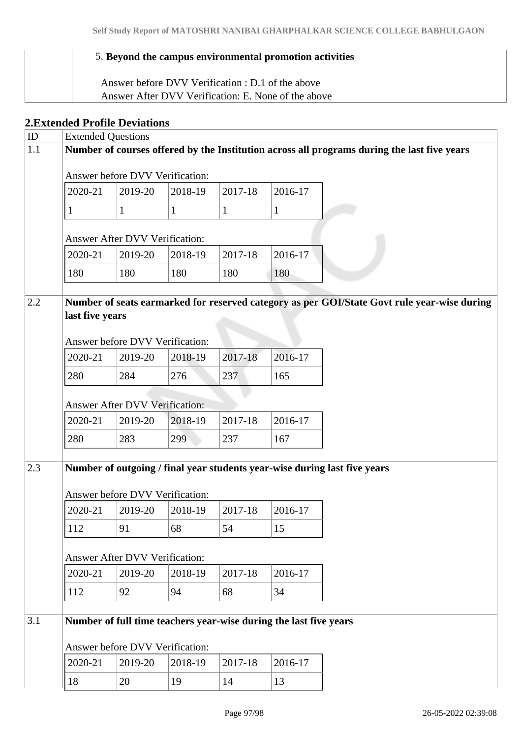## 5. **Beyond the campus environmental promotion activities**

 Answer before DVV Verification : D.1 of the above Answer After DVV Verification: E. None of the above

## **2.Extended Profile Deviations**

| ID  | <b>Extended Questions</b> |                                       |         |         |                                                                   |                                                                                             |
|-----|---------------------------|---------------------------------------|---------|---------|-------------------------------------------------------------------|---------------------------------------------------------------------------------------------|
| 1.1 |                           |                                       |         |         |                                                                   | Number of courses offered by the Institution across all programs during the last five years |
|     |                           |                                       |         |         |                                                                   |                                                                                             |
|     |                           | Answer before DVV Verification:       |         |         |                                                                   |                                                                                             |
|     | 2020-21                   | 2019-20                               | 2018-19 | 2017-18 | 2016-17                                                           |                                                                                             |
|     | 1                         | $\mathbf{1}$                          | 1       | 1       | $\mathbf{1}$                                                      |                                                                                             |
|     |                           | <b>Answer After DVV Verification:</b> |         |         |                                                                   |                                                                                             |
|     | 2020-21                   | 2019-20                               | 2018-19 | 2017-18 | 2016-17                                                           |                                                                                             |
|     | 180                       | 180                                   | 180     | 180     | 180                                                               |                                                                                             |
| 2.2 | last five years           | Answer before DVV Verification:       |         |         |                                                                   | Number of seats earmarked for reserved category as per GOI/State Govt rule year-wise during |
|     | 2020-21                   | 2019-20                               | 2018-19 | 2017-18 | 2016-17                                                           |                                                                                             |
|     | 280                       | 284                                   | 276     | 237     | 165                                                               |                                                                                             |
|     |                           | <b>Answer After DVV Verification:</b> |         |         |                                                                   |                                                                                             |
|     | 2020-21                   | 2019-20                               | 2018-19 | 2017-18 | 2016-17                                                           |                                                                                             |
|     | 280                       | 283                                   | 299     | 237     | 167                                                               |                                                                                             |
| 2.3 |                           | Answer before DVV Verification:       |         |         |                                                                   | Number of outgoing / final year students year-wise during last five years                   |
|     | 2020-21                   | 2019-20                               | 2018-19 | 2017-18 | 2016-17                                                           |                                                                                             |
|     | 112                       | 91                                    | 68      | 54      | 15                                                                |                                                                                             |
|     |                           | <b>Answer After DVV Verification:</b> |         |         |                                                                   |                                                                                             |
|     | 2020-21                   | 2019-20                               | 2018-19 | 2017-18 | 2016-17                                                           |                                                                                             |
|     | 112                       | 92                                    | 94      | 68      | 34                                                                |                                                                                             |
| 3.1 |                           | Answer before DVV Verification:       |         |         | Number of full time teachers year-wise during the last five years |                                                                                             |
|     | 2020-21                   | 2019-20                               | 2018-19 | 2017-18 | 2016-17                                                           |                                                                                             |
|     | 18                        | 20                                    | 19      | 14      | 13                                                                |                                                                                             |